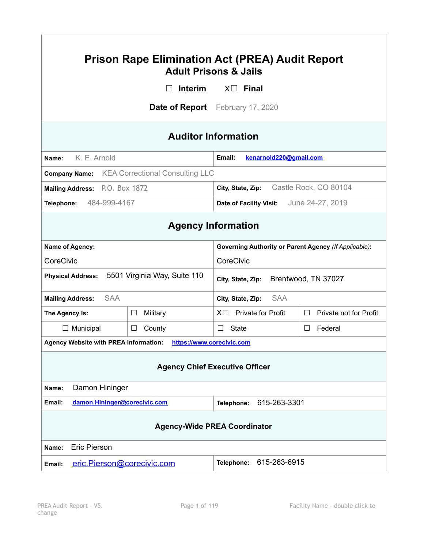| <b>Prison Rape Elimination Act (PREA) Audit Report</b><br><b>Adult Prisons &amp; Jails</b> |                                                      |                                                              |                             |  |
|--------------------------------------------------------------------------------------------|------------------------------------------------------|--------------------------------------------------------------|-----------------------------|--|
|                                                                                            | <b>Interim</b>                                       | $X \square$ Final                                            |                             |  |
| <b>Date of Report</b> February 17, 2020                                                    |                                                      |                                                              |                             |  |
| <b>Auditor Information</b>                                                                 |                                                      |                                                              |                             |  |
| K. E. Arnold<br>Name:                                                                      |                                                      | Email:<br>kenarnold220@gmail.com                             |                             |  |
|                                                                                            | <b>Company Name:</b> KEA Correctional Consulting LLC |                                                              |                             |  |
| Mailing Address: P.O. Box 1872                                                             |                                                      | Castle Rock, CO 80104<br>City, State, Zip:                   |                             |  |
| 484-999-4167<br>Telephone:                                                                 |                                                      | Date of Facility Visit:                                      | June 24-27, 2019            |  |
| <b>Agency Information</b>                                                                  |                                                      |                                                              |                             |  |
| Name of Agency:                                                                            |                                                      | <b>Governing Authority or Parent Agency (If Applicable):</b> |                             |  |
| CoreCivic                                                                                  |                                                      | CoreCivic                                                    |                             |  |
| 5501 Virginia Way, Suite 110<br><b>Physical Address:</b>                                   |                                                      | City, State, Zip:                                            | Brentwood, TN 37027         |  |
| <b>SAA</b><br><b>Mailing Address:</b>                                                      |                                                      | <b>SAA</b><br>City, State, Zip:                              |                             |  |
| The Agency Is:                                                                             | Military<br>$\Box$                                   | $X \Box$ Private for Profit                                  | Private not for Profit<br>□ |  |
| $\Box$ Municipal                                                                           | $\Box$<br>County                                     | State<br>⊔                                                   | Federal<br>ப                |  |
| <b>Agency Website with PREA Information:</b><br>https://www.corecivic.com                  |                                                      |                                                              |                             |  |
| <b>Agency Chief Executive Officer</b>                                                      |                                                      |                                                              |                             |  |
| Damon Hininger<br>Name:                                                                    |                                                      |                                                              |                             |  |
| damon.Hininger@corecivic.com<br>Email:<br>615-263-3301<br>Telephone:                       |                                                      |                                                              |                             |  |
| <b>Agency-Wide PREA Coordinator</b>                                                        |                                                      |                                                              |                             |  |
| <b>Eric Pierson</b><br>Name:                                                               |                                                      |                                                              |                             |  |
| eric.Pierson@corecivic.com<br>Email:                                                       |                                                      | 615-263-6915<br>Telephone:                                   |                             |  |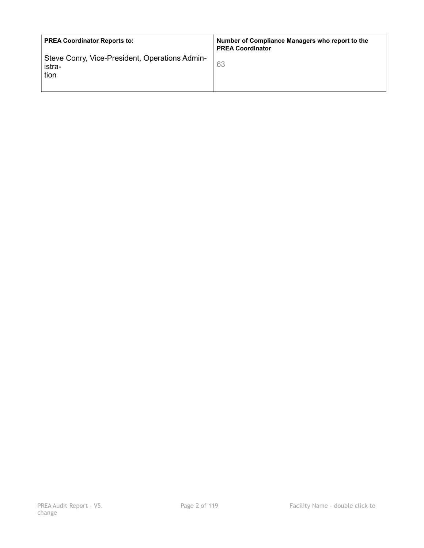| <b>PREA Coordinator Reports to:</b>                              | Number of Compliance Managers who report to the<br><b>PREA Coordinator</b> |
|------------------------------------------------------------------|----------------------------------------------------------------------------|
| Steve Conry, Vice-President, Operations Admin-<br>istra-<br>tion | 63                                                                         |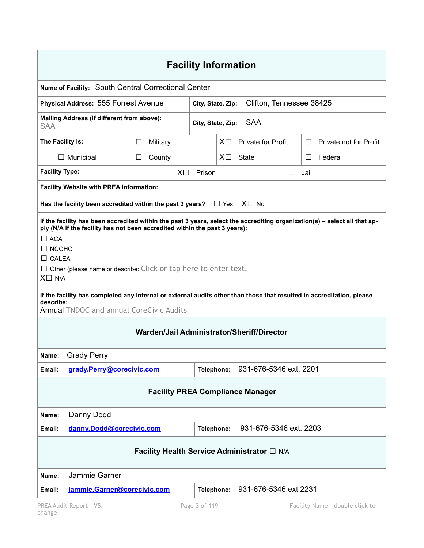| <b>Facility Information</b>                                                                                                                                                                                                                                                                                                                                                                                                                                                  |                                                                  |                   |            |       |                           |      |                        |
|------------------------------------------------------------------------------------------------------------------------------------------------------------------------------------------------------------------------------------------------------------------------------------------------------------------------------------------------------------------------------------------------------------------------------------------------------------------------------|------------------------------------------------------------------|-------------------|------------|-------|---------------------------|------|------------------------|
| Name of Facility: South Central Correctional Center                                                                                                                                                                                                                                                                                                                                                                                                                          |                                                                  |                   |            |       |                           |      |                        |
| <b>Physical Address: 555 Forrest Avenue</b>                                                                                                                                                                                                                                                                                                                                                                                                                                  |                                                                  | City, State, Zip: |            |       | Clifton, Tennessee 38425  |      |                        |
| Mailing Address (if different from above):<br><b>SAA</b><br>City, State, Zip:<br>SAA                                                                                                                                                                                                                                                                                                                                                                                         |                                                                  |                   |            |       |                           |      |                        |
| The Facility Is:                                                                                                                                                                                                                                                                                                                                                                                                                                                             | □<br>Military                                                    |                   | $X\square$ |       | <b>Private for Profit</b> | ⊔    | Private not for Profit |
| $\Box$ Municipal                                                                                                                                                                                                                                                                                                                                                                                                                                                             | County<br>⊔                                                      |                   | $X\square$ | State |                           | ⊔    | Federal                |
| <b>Facility Type:</b>                                                                                                                                                                                                                                                                                                                                                                                                                                                        | $X\square$                                                       | Prison            |            |       | ⊔                         | Jail |                        |
| <b>Facility Website with PREA Information:</b>                                                                                                                                                                                                                                                                                                                                                                                                                               |                                                                  |                   |            |       |                           |      |                        |
| Has the facility been accredited within the past 3 years?                                                                                                                                                                                                                                                                                                                                                                                                                    |                                                                  |                   | $\Box$ Yes |       | $X \square$ No            |      |                        |
| If the facility has been accredited within the past 3 years, select the accrediting organization(s) - select all that ap-<br>ply (N/A if the facility has not been accredited within the past 3 years):<br>$\Box$ ACA<br>$\Box$ NCCHC<br>$\Box$ CALEA<br>$\Box$ Other (please name or describe: Click or tap here to enter text.<br>$X \square$ N/A<br>If the facility has completed any internal or external audits other than those that resulted in accreditation, please |                                                                  |                   |            |       |                           |      |                        |
| describe:<br><b>Annual TNDOC and annual CoreCivic Audits</b>                                                                                                                                                                                                                                                                                                                                                                                                                 |                                                                  |                   |            |       |                           |      |                        |
| Warden/Jail Administrator/Sheriff/Director                                                                                                                                                                                                                                                                                                                                                                                                                                   |                                                                  |                   |            |       |                           |      |                        |
| <b>Grady Perry</b><br>Name:                                                                                                                                                                                                                                                                                                                                                                                                                                                  |                                                                  |                   |            |       |                           |      |                        |
| grady.Perry@corecivic.com<br>Email:                                                                                                                                                                                                                                                                                                                                                                                                                                          |                                                                  | Telephone:        |            |       | 931-676-5346 ext. 2201    |      |                        |
| <b>Facility PREA Compliance Manager</b>                                                                                                                                                                                                                                                                                                                                                                                                                                      |                                                                  |                   |            |       |                           |      |                        |
| Danny Dodd<br>Name:                                                                                                                                                                                                                                                                                                                                                                                                                                                          |                                                                  |                   |            |       |                           |      |                        |
| Email:                                                                                                                                                                                                                                                                                                                                                                                                                                                                       | 931-676-5346 ext. 2203<br>danny.Dodd@corecivic.com<br>Telephone: |                   |            |       |                           |      |                        |
| Facility Health Service Administrator □ N/A                                                                                                                                                                                                                                                                                                                                                                                                                                  |                                                                  |                   |            |       |                           |      |                        |
| Jammie Garner<br>Name:                                                                                                                                                                                                                                                                                                                                                                                                                                                       |                                                                  |                   |            |       |                           |      |                        |
| jammie.Garner@corecivic.com<br>Email:                                                                                                                                                                                                                                                                                                                                                                                                                                        |                                                                  | Telephone:        |            |       | 931-676-5346 ext 2231     |      |                        |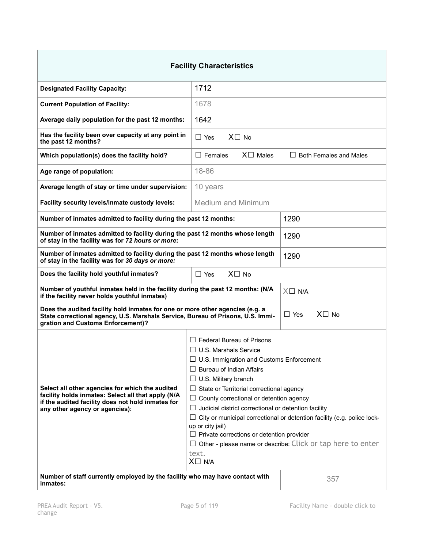| <b>Facility Characteristics</b>                                                                                                                                                                                                                                                                                                                                                                                                                                                                                                                                                                                                                                                                                                                                                                       |                                     |                               |
|-------------------------------------------------------------------------------------------------------------------------------------------------------------------------------------------------------------------------------------------------------------------------------------------------------------------------------------------------------------------------------------------------------------------------------------------------------------------------------------------------------------------------------------------------------------------------------------------------------------------------------------------------------------------------------------------------------------------------------------------------------------------------------------------------------|-------------------------------------|-------------------------------|
| <b>Designated Facility Capacity:</b>                                                                                                                                                                                                                                                                                                                                                                                                                                                                                                                                                                                                                                                                                                                                                                  | 1712                                |                               |
| <b>Current Population of Facility:</b>                                                                                                                                                                                                                                                                                                                                                                                                                                                                                                                                                                                                                                                                                                                                                                | 1678                                |                               |
| Average daily population for the past 12 months:                                                                                                                                                                                                                                                                                                                                                                                                                                                                                                                                                                                                                                                                                                                                                      | 1642                                |                               |
| Has the facility been over capacity at any point in<br>the past 12 months?                                                                                                                                                                                                                                                                                                                                                                                                                                                                                                                                                                                                                                                                                                                            | $X \square$ No<br>$\Box$ Yes        |                               |
| Which population(s) does the facility hold?                                                                                                                                                                                                                                                                                                                                                                                                                                                                                                                                                                                                                                                                                                                                                           | $X \square$ Males<br>$\Box$ Females | <b>Both Females and Males</b> |
| Age range of population:                                                                                                                                                                                                                                                                                                                                                                                                                                                                                                                                                                                                                                                                                                                                                                              | 18-86                               |                               |
| Average length of stay or time under supervision:                                                                                                                                                                                                                                                                                                                                                                                                                                                                                                                                                                                                                                                                                                                                                     | 10 years                            |                               |
| Facility security levels/inmate custody levels:                                                                                                                                                                                                                                                                                                                                                                                                                                                                                                                                                                                                                                                                                                                                                       | <b>Medium and Minimum</b>           |                               |
| Number of inmates admitted to facility during the past 12 months:                                                                                                                                                                                                                                                                                                                                                                                                                                                                                                                                                                                                                                                                                                                                     |                                     | 1290                          |
| Number of inmates admitted to facility during the past 12 months whose length<br>of stay in the facility was for 72 hours or more:                                                                                                                                                                                                                                                                                                                                                                                                                                                                                                                                                                                                                                                                    |                                     | 1290                          |
| Number of inmates admitted to facility during the past 12 months whose length<br>of stay in the facility was for 30 days or more:                                                                                                                                                                                                                                                                                                                                                                                                                                                                                                                                                                                                                                                                     |                                     | 1290                          |
| Does the facility hold youthful inmates?                                                                                                                                                                                                                                                                                                                                                                                                                                                                                                                                                                                                                                                                                                                                                              | $X \square$ No<br>$\Box$ Yes        |                               |
| Number of youthful inmates held in the facility during the past 12 months: (N/A<br>$X \square$ N/A<br>if the facility never holds youthful inmates)                                                                                                                                                                                                                                                                                                                                                                                                                                                                                                                                                                                                                                                   |                                     |                               |
| Does the audited facility hold inmates for one or more other agencies (e.g. a<br>$X\square$ No<br>$\Box$ Yes<br>State correctional agency, U.S. Marshals Service, Bureau of Prisons, U.S. Immi-<br>gration and Customs Enforcement)?                                                                                                                                                                                                                                                                                                                                                                                                                                                                                                                                                                  |                                     |                               |
| $\Box$ Federal Bureau of Prisons<br>$\Box$ U.S. Marshals Service<br>□ U.S. Immigration and Customs Enforcement<br>$\Box$ Bureau of Indian Affairs<br>$\Box$ U.S. Military branch<br>Select all other agencies for which the audited<br>$\Box$ State or Territorial correctional agency<br>facility holds inmates: Select all that apply (N/A<br>$\Box$ County correctional or detention agency<br>if the audited facility does not hold inmates for<br>Judicial district correctional or detention facility<br>ப<br>any other agency or agencies):<br>City or municipal correctional or detention facility (e.g. police lock-<br>up or city jail)<br>$\Box$ Private corrections or detention provider<br>Other - please name or describe: Click or tap here to enter<br>ப<br>text.<br>$X \square$ N/A |                                     |                               |
| Number of staff currently employed by the facility who may have contact with<br>inmates:                                                                                                                                                                                                                                                                                                                                                                                                                                                                                                                                                                                                                                                                                                              |                                     | 357                           |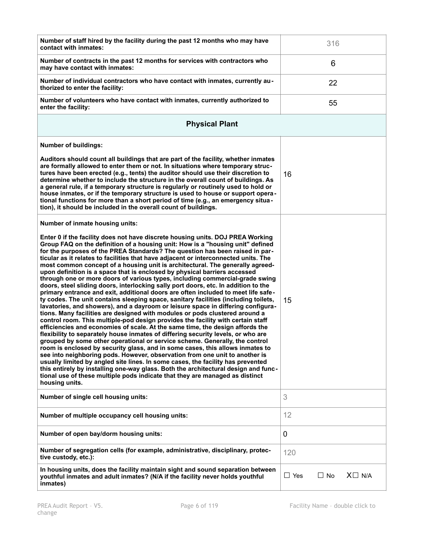| Number of staff hired by the facility during the past 12 months who may have<br>contact with inmates:                                                                                                                                                                                                                                                                                                                                                                                                                                                                                                                                                                                                                                                                                                                                                                                                                                                                                                                                                                                                                                                                                                                                                                                                                                                                                                                                                                                                                                                                                                                                                                                                                                                                                                        | 316                                        |
|--------------------------------------------------------------------------------------------------------------------------------------------------------------------------------------------------------------------------------------------------------------------------------------------------------------------------------------------------------------------------------------------------------------------------------------------------------------------------------------------------------------------------------------------------------------------------------------------------------------------------------------------------------------------------------------------------------------------------------------------------------------------------------------------------------------------------------------------------------------------------------------------------------------------------------------------------------------------------------------------------------------------------------------------------------------------------------------------------------------------------------------------------------------------------------------------------------------------------------------------------------------------------------------------------------------------------------------------------------------------------------------------------------------------------------------------------------------------------------------------------------------------------------------------------------------------------------------------------------------------------------------------------------------------------------------------------------------------------------------------------------------------------------------------------------------|--------------------------------------------|
| Number of contracts in the past 12 months for services with contractors who<br>may have contact with inmates:                                                                                                                                                                                                                                                                                                                                                                                                                                                                                                                                                                                                                                                                                                                                                                                                                                                                                                                                                                                                                                                                                                                                                                                                                                                                                                                                                                                                                                                                                                                                                                                                                                                                                                | 6                                          |
| Number of individual contractors who have contact with inmates, currently au-<br>thorized to enter the facility:                                                                                                                                                                                                                                                                                                                                                                                                                                                                                                                                                                                                                                                                                                                                                                                                                                                                                                                                                                                                                                                                                                                                                                                                                                                                                                                                                                                                                                                                                                                                                                                                                                                                                             | 22                                         |
| Number of volunteers who have contact with inmates, currently authorized to<br>enter the facility:                                                                                                                                                                                                                                                                                                                                                                                                                                                                                                                                                                                                                                                                                                                                                                                                                                                                                                                                                                                                                                                                                                                                                                                                                                                                                                                                                                                                                                                                                                                                                                                                                                                                                                           | 55                                         |
| <b>Physical Plant</b>                                                                                                                                                                                                                                                                                                                                                                                                                                                                                                                                                                                                                                                                                                                                                                                                                                                                                                                                                                                                                                                                                                                                                                                                                                                                                                                                                                                                                                                                                                                                                                                                                                                                                                                                                                                        |                                            |
| <b>Number of buildings:</b>                                                                                                                                                                                                                                                                                                                                                                                                                                                                                                                                                                                                                                                                                                                                                                                                                                                                                                                                                                                                                                                                                                                                                                                                                                                                                                                                                                                                                                                                                                                                                                                                                                                                                                                                                                                  |                                            |
| Auditors should count all buildings that are part of the facility, whether inmates<br>are formally allowed to enter them or not. In situations where temporary struc-<br>tures have been erected (e.g., tents) the auditor should use their discretion to<br>determine whether to include the structure in the overall count of buildings. As<br>a general rule, if a temporary structure is regularly or routinely used to hold or<br>house inmates, or if the temporary structure is used to house or support opera-<br>tional functions for more than a short period of time (e.g., an emergency situa-<br>tion), it should be included in the overall count of buildings.                                                                                                                                                                                                                                                                                                                                                                                                                                                                                                                                                                                                                                                                                                                                                                                                                                                                                                                                                                                                                                                                                                                                | 16                                         |
| Number of inmate housing units:                                                                                                                                                                                                                                                                                                                                                                                                                                                                                                                                                                                                                                                                                                                                                                                                                                                                                                                                                                                                                                                                                                                                                                                                                                                                                                                                                                                                                                                                                                                                                                                                                                                                                                                                                                              |                                            |
| Enter 0 if the facility does not have discrete housing units. DOJ PREA Working<br>Group FAQ on the definition of a housing unit: How is a "housing unit" defined<br>for the purposes of the PREA Standards? The question has been raised in par-<br>ticular as it relates to facilities that have adjacent or interconnected units. The<br>most common concept of a housing unit is architectural. The generally agreed-<br>upon definition is a space that is enclosed by physical barriers accessed<br>through one or more doors of various types, including commercial-grade swing<br>doors, steel sliding doors, interlocking sally port doors, etc. In addition to the<br>primary entrance and exit, additional doors are often included to meet life safe-<br>ty codes. The unit contains sleeping space, sanitary facilities (including toilets,<br>lavatories, and showers), and a dayroom or leisure space in differing configura-<br>tions. Many facilities are designed with modules or pods clustered around a<br>control room. This multiple-pod design provides the facility with certain staff<br>efficiencies and economies of scale. At the same time, the design affords the<br>flexibility to separately house inmates of differing security levels, or who are<br>grouped by some other operational or service scheme. Generally, the control<br>room is enclosed by security glass, and in some cases, this allows inmates to<br>see into neighboring pods. However, observation from one unit to another is<br>usually limited by angled site lines. In some cases, the facility has prevented<br>this entirely by installing one-way glass. Both the architectural design and func-<br>tional use of these multiple pods indicate that they are managed as distinct<br>housing units. | 15                                         |
| Number of single cell housing units:                                                                                                                                                                                                                                                                                                                                                                                                                                                                                                                                                                                                                                                                                                                                                                                                                                                                                                                                                                                                                                                                                                                                                                                                                                                                                                                                                                                                                                                                                                                                                                                                                                                                                                                                                                         | 3                                          |
| Number of multiple occupancy cell housing units:                                                                                                                                                                                                                                                                                                                                                                                                                                                                                                                                                                                                                                                                                                                                                                                                                                                                                                                                                                                                                                                                                                                                                                                                                                                                                                                                                                                                                                                                                                                                                                                                                                                                                                                                                             | 12                                         |
| Number of open bay/dorm housing units:                                                                                                                                                                                                                                                                                                                                                                                                                                                                                                                                                                                                                                                                                                                                                                                                                                                                                                                                                                                                                                                                                                                                                                                                                                                                                                                                                                                                                                                                                                                                                                                                                                                                                                                                                                       | 0                                          |
| Number of segregation cells (for example, administrative, disciplinary, protec-<br>tive custody, etc.):                                                                                                                                                                                                                                                                                                                                                                                                                                                                                                                                                                                                                                                                                                                                                                                                                                                                                                                                                                                                                                                                                                                                                                                                                                                                                                                                                                                                                                                                                                                                                                                                                                                                                                      | 120                                        |
| In housing units, does the facility maintain sight and sound separation between<br>youthful inmates and adult inmates? (N/A if the facility never holds youthful<br>inmates)                                                                                                                                                                                                                                                                                                                                                                                                                                                                                                                                                                                                                                                                                                                                                                                                                                                                                                                                                                                                                                                                                                                                                                                                                                                                                                                                                                                                                                                                                                                                                                                                                                 | $X \square$ N/A<br>$\Box$ Yes<br>$\Box$ No |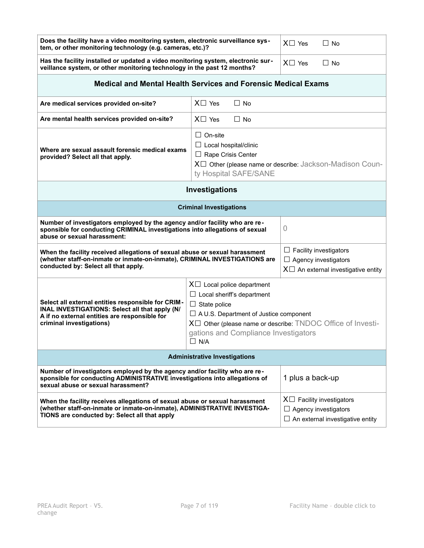| Does the facility have a video monitoring system, electronic surveillance sys-<br>tem, or other monitoring technology (e.g. cameras, etc.)?                                                                                                             | $X \square$ Yes<br>$\Box$ No                                                                                                                              |                                                                                                           |  |
|---------------------------------------------------------------------------------------------------------------------------------------------------------------------------------------------------------------------------------------------------------|-----------------------------------------------------------------------------------------------------------------------------------------------------------|-----------------------------------------------------------------------------------------------------------|--|
| Has the facility installed or updated a video monitoring system, electronic sur-<br>veillance system, or other monitoring technology in the past 12 months?                                                                                             | $X \square$ Yes<br>$\Box$ No                                                                                                                              |                                                                                                           |  |
| <b>Medical and Mental Health Services and Forensic Medical Exams</b>                                                                                                                                                                                    |                                                                                                                                                           |                                                                                                           |  |
| Are medical services provided on-site?                                                                                                                                                                                                                  | $X \square$ Yes<br>$\Box$ No                                                                                                                              |                                                                                                           |  |
| Are mental health services provided on-site?                                                                                                                                                                                                            | $X \square$ Yes<br>$\Box$ No                                                                                                                              |                                                                                                           |  |
| $\Box$ On-site<br>$\Box$ Local hospital/clinic<br>Where are sexual assault forensic medical exams<br>$\Box$ Rape Crisis Center<br>provided? Select all that apply.<br>X□ Other (please name or describe: Jackson-Madison Coun-<br>ty Hospital SAFE/SANE |                                                                                                                                                           |                                                                                                           |  |
| Investigations                                                                                                                                                                                                                                          |                                                                                                                                                           |                                                                                                           |  |
| <b>Criminal Investigations</b>                                                                                                                                                                                                                          |                                                                                                                                                           |                                                                                                           |  |
| Number of investigators employed by the agency and/or facility who are re-<br>0<br>sponsible for conducting CRIMINAL investigations into allegations of sexual<br>abuse or sexual harassment:                                                           |                                                                                                                                                           |                                                                                                           |  |
| When the facility received allegations of sexual abuse or sexual harassment<br>(whether staff-on-inmate or inmate-on-inmate), CRIMINAL INVESTIGATIONS are<br>conducted by: Select all that apply.                                                       |                                                                                                                                                           | $\Box$ Facility investigators<br>$\Box$ Agency investigators<br>$X\Box$ An external investigative entity  |  |
| Select all external entities responsible for CRIM-<br>INAL INVESTIGATIONS: Select all that apply (N/<br>A if no external entities are responsible for<br>criminal investigations)                                                                       | $\Box$ A U.S. Department of Justice component<br>$X\Box$ Other (please name or describe: TNDOC Office of Investi-<br>gations and Compliance Investigators |                                                                                                           |  |
| <b>Administrative Investigations</b>                                                                                                                                                                                                                    |                                                                                                                                                           |                                                                                                           |  |
| Number of investigators employed by the agency and/or facility who are re-<br>sponsible for conducting ADMINISTRATIVE investigations into allegations of<br>sexual abuse or sexual harassment?                                                          |                                                                                                                                                           | 1 plus a back-up                                                                                          |  |
| When the facility receives allegations of sexual abuse or sexual harassment<br>(whether staff-on-inmate or inmate-on-inmate), ADMINISTRATIVE INVESTIGA-<br>TIONS are conducted by: Select all that apply                                                |                                                                                                                                                           | $X \Box$ Facility investigators<br>$\Box$ Agency investigators<br>$\Box$ An external investigative entity |  |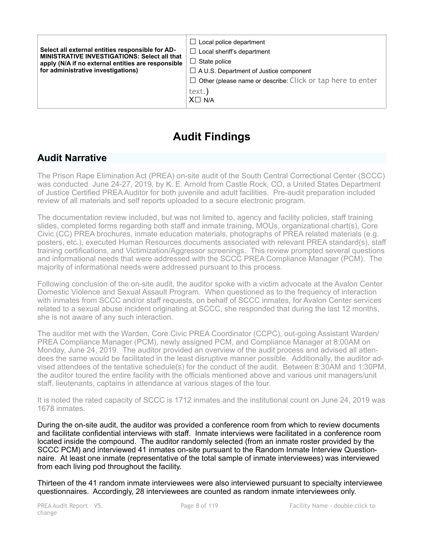| Select all external entities responsible for AD-<br><b>MINISTRATIVE INVESTIGATIONS: Select all that</b><br>apply (N/A if no external entities are responsible<br>for administrative investigations) | Local police department<br>$\Box$<br>$\Box$ Local sheriff's department<br>$\Box$ State police<br>$\Box$ A U.S. Department of Justice component<br>$\Box$ Other (please name or describe: Click or tap here to enter |
|-----------------------------------------------------------------------------------------------------------------------------------------------------------------------------------------------------|---------------------------------------------------------------------------------------------------------------------------------------------------------------------------------------------------------------------|
|                                                                                                                                                                                                     | text.)<br>$X \square N/A$                                                                                                                                                                                           |

# **Audit Findings**

## **Audit Narrative**

The Prison Rape Elimination Act (PREA) on-site audit of the South Central Correctional Center (SCCC) was conducted June 24-27, 2019, by K. E. Arnold from Castle Rock, CO, a United States Department of Justice Certified PREA Auditor for both juvenile and adult facilities. Pre-audit preparation included review of all materials and self reports uploaded to a secure electronic program.

The documentation review included, but was not limited to, agency and facility policies, staff training slides, completed forms regarding both staff and inmate training, MOUs, organizational chart(s), Core Civic (CC) PREA brochures, inmate education materials, photographs of PREA related materials (e.g. posters, etc.), executed Human Resources documents associated with relevant PREA standard(s), staff training certifications, and Victimization/Aggressor screenings. This review prompted several questions and informational needs that were addressed with the SCCC PREA Compliance Manager (PCM). The majority of informational needs were addressed pursuant to this process.

Following conclusion of the on-site audit, the auditor spoke with a victim advocate at the Avalon Center Domestic Violence and Sexual Assault Program. When questioned as to the frequency of interaction with inmates from SCCC and/or staff requests, on behalf of SCCC inmates, for Avalon Center services related to a sexual abuse incident originating at SCCC, she responded that during the last 12 months, she is not aware of any such interaction.

The auditor met with the Warden, Core Civic PREA Coordinator (CCPC), out-going Assistant Warden/ PREA Compliance Manager (PCM), newly assigned PCM, and Compliance Manager at 8:00AM on Monday, June 24, 2019. The auditor provided an overview of the audit process and advised all attendees the same would be facilitated in the least disruptive manner possible. Additionally, the auditor advised attendees of the tentative schedule(s) for the conduct of the audit. Between 8:30AM and 1:30PM, the auditor toured the entire facility with the officials mentioned above and various unit managers/unit staff, lieutenants, captains in attendance at various stages of the tour.

It is noted the rated capacity of SCCC is 1712 inmates and the institutional count on June 24, 2019 was 1678 inmates.

During the on-site audit, the auditor was provided a conference room from which to review documents and facilitate confidential interviews with staff. Inmate interviews were facilitated in a conference room located inside the compound. The auditor randomly selected (from an inmate roster provided by the SCCC PCM) and interviewed 41 inmates on-site pursuant to the Random Inmate Interview Questionnaire. At least one inmate (representative of the total sample of inmate interviewees) was interviewed from each living pod throughout the facility.

Thirteen of the 41 random inmate interviewees were also interviewed pursuant to specialty interviewee questionnaires. Accordingly, 28 interviewees are counted as random inmate interviewees only.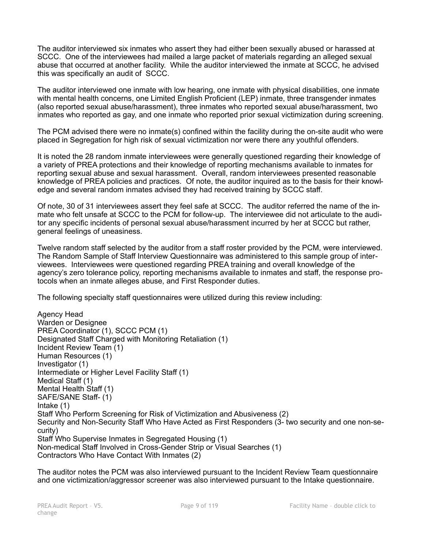The auditor interviewed six inmates who assert they had either been sexually abused or harassed at SCCC. One of the interviewees had mailed a large packet of materials regarding an alleged sexual abuse that occurred at another facility. While the auditor interviewed the inmate at SCCC, he advised this was specifically an audit of SCCC.

The auditor interviewed one inmate with low hearing, one inmate with physical disabilities, one inmate with mental health concerns, one Limited English Proficient (LEP) inmate, three transgender inmates (also reported sexual abuse/harassment), three inmates who reported sexual abuse/harassment, two inmates who reported as gay, and one inmate who reported prior sexual victimization during screening.

The PCM advised there were no inmate(s) confined within the facility during the on-site audit who were placed in Segregation for high risk of sexual victimization nor were there any youthful offenders.

It is noted the 28 random inmate interviewees were generally questioned regarding their knowledge of a variety of PREA protections and their knowledge of reporting mechanisms available to inmates for reporting sexual abuse and sexual harassment. Overall, random interviewees presented reasonable knowledge of PREA policies and practices. Of note, the auditor inquired as to the basis for their knowledge and several random inmates advised they had received training by SCCC staff.

Of note, 30 of 31 interviewees assert they feel safe at SCCC. The auditor referred the name of the inmate who felt unsafe at SCCC to the PCM for follow-up. The interviewee did not articulate to the auditor any specific incidents of personal sexual abuse/harassment incurred by her at SCCC but rather, general feelings of uneasiness.

Twelve random staff selected by the auditor from a staff roster provided by the PCM, were interviewed. The Random Sample of Staff Interview Questionnaire was administered to this sample group of interviewees. Interviewees were questioned regarding PREA training and overall knowledge of the agency's zero tolerance policy, reporting mechanisms available to inmates and staff, the response protocols when an inmate alleges abuse, and First Responder duties.

The following specialty staff questionnaires were utilized during this review including:

Agency Head Warden or Designee PREA Coordinator (1), SCCC PCM (1) Designated Staff Charged with Monitoring Retaliation (1) Incident Review Team (1) Human Resources (1) Investigator (1) Intermediate or Higher Level Facility Staff (1) Medical Staff (1) Mental Health Staff (1) SAFE/SANE Staff- (1) Intake (1) Staff Who Perform Screening for Risk of Victimization and Abusiveness (2) Security and Non-Security Staff Who Have Acted as First Responders (3- two security and one non-security) Staff Who Supervise Inmates in Segregated Housing (1) Non-medical Staff Involved in Cross-Gender Strip or Visual Searches (1) Contractors Who Have Contact With Inmates (2)

The auditor notes the PCM was also interviewed pursuant to the Incident Review Team questionnaire and one victimization/aggressor screener was also interviewed pursuant to the Intake questionnaire.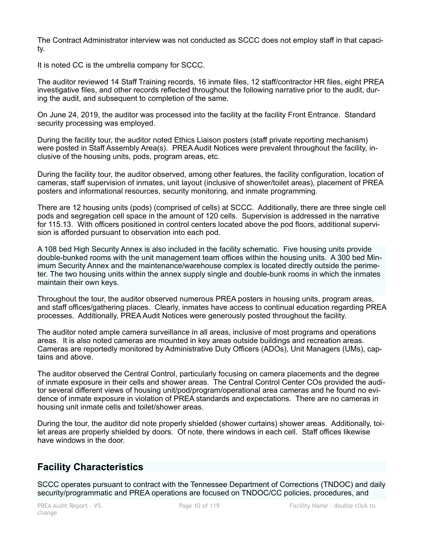The Contract Administrator interview was not conducted as SCCC does not employ staff in that capacity.

It is noted CC is the umbrella company for SCCC.

The auditor reviewed 14 Staff Training records, 16 inmate files, 12 staff/contractor HR files, eight PREA investigative files, and other records reflected throughout the following narrative prior to the audit, during the audit, and subsequent to completion of the same.

On June 24, 2019, the auditor was processed into the facility at the facility Front Entrance. Standard security processing was employed.

During the facility tour, the auditor noted Ethics Liaison posters (staff private reporting mechanism) were posted in Staff Assembly Area(s). PREA Audit Notices were prevalent throughout the facility, inclusive of the housing units, pods, program areas, etc.

During the facility tour, the auditor observed, among other features, the facility configuration, location of cameras, staff supervision of inmates, unit layout (inclusive of shower/toilet areas), placement of PREA posters and informational resources, security monitoring, and inmate programming.

There are 12 housing units (pods) (comprised of cells) at SCCC. Additionally, there are three single cell pods and segregation cell space in the amount of 120 cells. Supervision is addressed in the narrative for 115.13. With officers positioned in control centers located above the pod floors, additional supervision is afforded pursuant to observation into each pod.

A 108 bed High Security Annex is also included in the facility schematic. Five housing units provide double-bunked rooms with the unit management team offices within the housing units. A 300 bed Minimum Security Annex and the maintenance/warehouse complex is located directly outside the perimeter. The two housing units within the annex supply single and double-bunk rooms in which the inmates maintain their own keys.

Throughout the tour, the auditor observed numerous PREA posters in housing units, program areas, and staff offices/gathering places. Clearly, inmates have access to continual education regarding PREA processes. Additionally, PREA Audit Notices were generously posted throughout the facility.

The auditor noted ample camera surveillance in all areas, inclusive of most programs and operations areas. It is also noted cameras are mounted in key areas outside buildings and recreation areas. Cameras are reportedly monitored by Administrative Duty Officers (ADOs), Unit Managers (UMs), captains and above.

The auditor observed the Central Control, particularly focusing on camera placements and the degree of inmate exposure in their cells and shower areas. The Central Control Center COs provided the auditor several different views of housing unit/pod/program/operational area cameras and he found no evidence of inmate exposure in violation of PREA standards and expectations. There are no cameras in housing unit inmate cells and toilet/shower areas.

During the tour, the auditor did note properly shielded (shower curtains) shower areas. Additionally, toilet areas are properly shielded by doors. Of note, there windows in each cell. Staff offices likewise have windows in the door.

## **Facility Characteristics**

SCCC operates pursuant to contract with the Tennessee Department of Corrections (TNDOC) and daily security/programmatic and PREA operations are focused on TNDOC/CC policies, procedures, and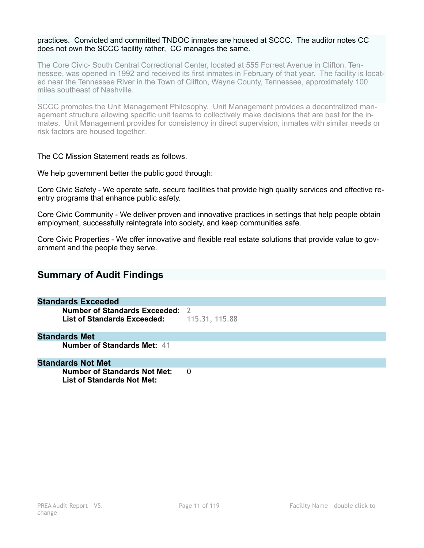#### practices. Convicted and committed TNDOC inmates are housed at SCCC. The auditor notes CC does not own the SCCC facility rather, CC manages the same.

The Core Civic- South Central Correctional Center, located at 555 Forrest Avenue in Clifton, Tennessee, was opened in 1992 and received its first inmates in February of that year. The facility is located near the Tennessee River in the Town of Clifton, Wayne County, Tennessee, approximately 100 miles southeast of Nashville.

SCCC promotes the Unit Management Philosophy. Unit Management provides a decentralized management structure allowing specific unit teams to collectively make decisions that are best for the inmates. Unit Management provides for consistency in direct supervision, inmates with similar needs or risk factors are housed together.

#### The CC Mission Statement reads as follows.

We help government better the public good through:

Core Civic Safety - We operate safe, secure facilities that provide high quality services and effective reentry programs that enhance public safety.

Core Civic Community - We deliver proven and innovative practices in settings that help people obtain employment, successfully reintegrate into society, and keep communities safe.

Core Civic Properties - We offer innovative and flexible real estate solutions that provide value to government and the people they serve.

## **Summary of Audit Findings**

## **Standards Exceeded**

**Number of Standards Exceeded:** 2 **List of Standards Exceeded:** 115.31, 115.88

#### **Standards Met**

**Number of Standards Met:** 41

#### **Standards Not Met**

**Number of Standards Not Met: 0 List of Standards Not Met:**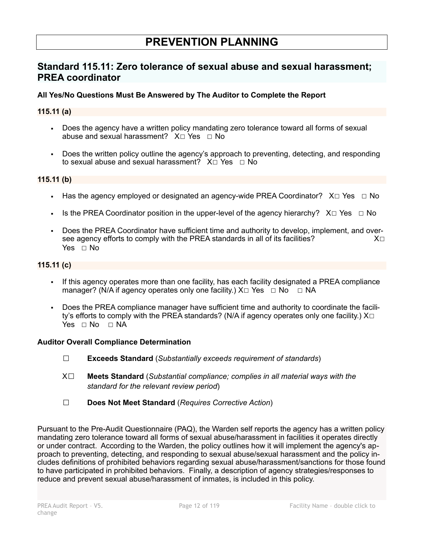# **PREVENTION PLANNING**

## **Standard 115.11: Zero tolerance of sexual abuse and sexual harassment; PREA coordinator**

### **All Yes/No Questions Must Be Answered by The Auditor to Complete the Report**

#### **115.11 (a)**

- Does the agency have a written policy mandating zero tolerance toward all forms of sexual abuse and sexual harassment? X□ Yes □ No
- Does the written policy outline the agency's approach to preventing, detecting, and responding to sexual abuse and sexual harassment? X□ Yes □ No

#### **115.11 (b)**

- **■** Has the agency employed or designated an agency-wide PREA Coordinator?  $X \Box Y$ es  $\Box \text{No}$
- **•** Is the PREA Coordinator position in the upper-level of the agency hierarchy?  $X \Box Y$ es  $\Box$  No
- Does the PREA Coordinator have sufficient time and authority to develop, implement, and over-<br>see agency efforts to comply with the PRFA standards in all of its facilities?  $X□$ see agency efforts to comply with the PREA standards in all of its facilities? Yes □ No

#### **115.11 (c)**

- If this agency operates more than one facility, has each facility designated a PREA compliance manager? (N/A if agency operates only one facility.)  $X \Box Y$ es  $\Box$  No  $\Box$  NA
- Does the PREA compliance manager have sufficient time and authority to coordinate the facility's efforts to comply with the PREA standards? (N/A if agency operates only one facility.)  $X\square$  $Yes \square No \square NA$

#### **Auditor Overall Compliance Determination**

- ☐ **Exceeds Standard** (*Substantially exceeds requirement of standards*)
- X☐ **Meets Standard** (*Substantial compliance; complies in all material ways with the standard for the relevant review period*)
- ☐ **Does Not Meet Standard** (*Requires Corrective Action*)

Pursuant to the Pre-Audit Questionnaire (PAQ), the Warden self reports the agency has a written policy mandating zero tolerance toward all forms of sexual abuse/harassment in facilities it operates directly or under contract. According to the Warden, the policy outlines how it will implement the agency's approach to preventing, detecting, and responding to sexual abuse/sexual harassment and the policy includes definitions of prohibited behaviors regarding sexual abuse/harassment/sanctions for those found to have participated in prohibited behaviors. Finally, a description of agency strategies/responses to reduce and prevent sexual abuse/harassment of inmates, is included in this policy.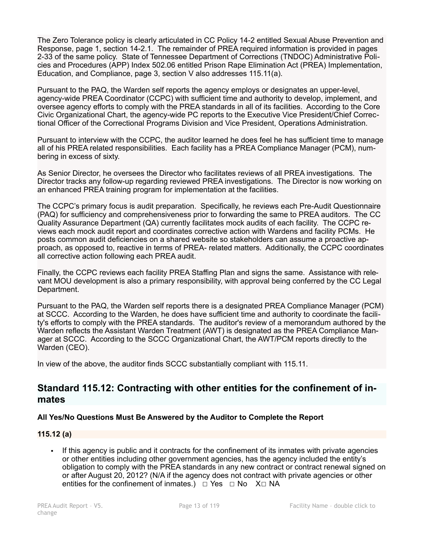The Zero Tolerance policy is clearly articulated in CC Policy 14-2 entitled Sexual Abuse Prevention and Response, page 1, section 14-2.1. The remainder of PREA required information is provided in pages 2-33 of the same policy. State of Tennessee Department of Corrections (TNDOC) Administrative Policies and Procedures (APP) Index 502.06 entitled Prison Rape Elimination Act (PREA) Implementation, Education, and Compliance, page 3, section V also addresses 115.11(a).

Pursuant to the PAQ, the Warden self reports the agency employs or designates an upper-level, agency-wide PREA Coordinator (CCPC) with sufficient time and authority to develop, implement, and oversee agency efforts to comply with the PREA standards in all of its facilities. According to the Core Civic Organizational Chart, the agency-wide PC reports to the Executive Vice President/Chief Correctional Officer of the Correctional Programs Division and Vice President, Operations Administration.

Pursuant to interview with the CCPC, the auditor learned he does feel he has sufficient time to manage all of his PREA related responsibilities. Each facility has a PREA Compliance Manager (PCM), numbering in excess of sixty.

As Senior Director, he oversees the Director who facilitates reviews of all PREA investigations. The Director tracks any follow-up regarding reviewed PREA investigations. The Director is now working on an enhanced PREA training program for implementation at the facilities.

The CCPC's primary focus is audit preparation. Specifically, he reviews each Pre-Audit Questionnaire (PAQ) for sufficiency and comprehensiveness prior to forwarding the same to PREA auditors. The CC Quality Assurance Department (QA) currently facilitates mock audits of each facility. The CCPC reviews each mock audit report and coordinates corrective action with Wardens and facility PCMs. He posts common audit deficiencies on a shared website so stakeholders can assume a proactive approach, as opposed to, reactive in terms of PREA- related matters. Additionally, the CCPC coordinates all corrective action following each PREA audit.

Finally, the CCPC reviews each facility PREA Staffing Plan and signs the same. Assistance with relevant MOU development is also a primary responsibility, with approval being conferred by the CC Legal Department.

Pursuant to the PAQ, the Warden self reports there is a designated PREA Compliance Manager (PCM) at SCCC. According to the Warden, he does have sufficient time and authority to coordinate the facility's efforts to comply with the PREA standards. The auditor's review of a memorandum authored by the Warden reflects the Assistant Warden Treatment (AWT) is designated as the PREA Compliance Manager at SCCC. According to the SCCC Organizational Chart, the AWT/PCM reports directly to the Warden (CEO).

In view of the above, the auditor finds SCCC substantially compliant with 115.11.

## **Standard 115.12: Contracting with other entities for the confinement of inmates**

## **All Yes/No Questions Must Be Answered by the Auditor to Complete the Report**

### **115.12 (a)**

▪ If this agency is public and it contracts for the confinement of its inmates with private agencies or other entities including other government agencies, has the agency included the entity's obligation to comply with the PREA standards in any new contract or contract renewal signed on or after August 20, 2012? (N/A if the agency does not contract with private agencies or other entities for the confinement of inmates.)  $□$  Yes  $□$  No  $X□$  NA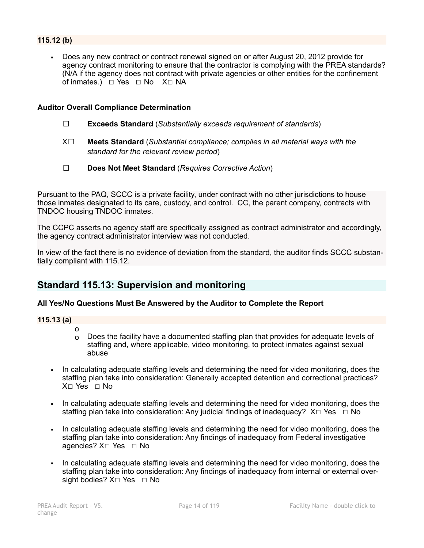### **115.12 (b)**

Does any new contract or contract renewal signed on or after August 20, 2012 provide for agency contract monitoring to ensure that the contractor is complying with the PREA standards? (N/A if the agency does not contract with private agencies or other entities for the confinement of inmates.)  $□$  Yes  $□$  No X $□$  NA

#### **Auditor Overall Compliance Determination**

- ☐ **Exceeds Standard** (*Substantially exceeds requirement of standards*)
- X☐ **Meets Standard** (*Substantial compliance; complies in all material ways with the standard for the relevant review period*)
- ☐ **Does Not Meet Standard** (*Requires Corrective Action*)

Pursuant to the PAQ, SCCC is a private facility, under contract with no other jurisdictions to house those inmates designated to its care, custody, and control. CC, the parent company, contracts with TNDOC housing TNDOC inmates.

The CCPC asserts no agency staff are specifically assigned as contract administrator and accordingly, the agency contract administrator interview was not conducted.

In view of the fact there is no evidence of deviation from the standard, the auditor finds SCCC substantially compliant with 115.12.

## **Standard 115.13: Supervision and monitoring**

#### **All Yes/No Questions Must Be Answered by the Auditor to Complete the Report**

#### **115.13 (a)**

- o  $\Omega$  Does the facility have a documented staffing plan that provides for adequate levels of staffing and, where applicable, video monitoring, to protect inmates against sexual abuse
- In calculating adequate staffing levels and determining the need for video monitoring, does the staffing plan take into consideration: Generally accepted detention and correctional practices?  $X \cap Yes \cap No$
- In calculating adequate staffing levels and determining the need for video monitoring, does the staffing plan take into consideration: Any judicial findings of inadequacy?  $X \Box Y$ es  $\Box$  No
- In calculating adequate staffing levels and determining the need for video monitoring, does the staffing plan take into consideration: Any findings of inadequacy from Federal investigative agencies? X□ Yes □ No
- In calculating adequate staffing levels and determining the need for video monitoring, does the staffing plan take into consideration: Any findings of inadequacy from internal or external oversight bodies? X□ Yes □ No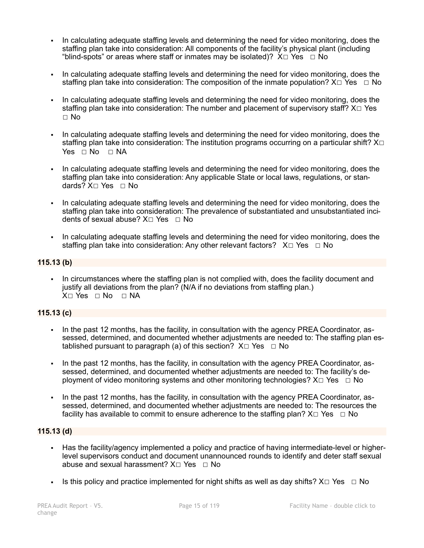- In calculating adequate staffing levels and determining the need for video monitoring, does the staffing plan take into consideration: All components of the facility's physical plant (including "blind-spots" or areas where staff or inmates may be isolated)?  $X \Box Y$ es  $\Box$  No
- In calculating adequate staffing levels and determining the need for video monitoring, does the staffing plan take into consideration: The composition of the inmate population?  $X \Box Y$ es  $\Box$  No
- In calculating adequate staffing levels and determining the need for video monitoring, does the staffing plan take into consideration: The number and placement of supervisory staff? X□ Yes ☐ No
- In calculating adequate staffing levels and determining the need for video monitoring, does the staffing plan take into consideration: The institution programs occurring on a particular shift? X□  $Yes \Box No \Box NA$
- In calculating adequate staffing levels and determining the need for video monitoring, does the staffing plan take into consideration: Any applicable State or local laws, regulations, or standards? X□ Yes □ No
- In calculating adequate staffing levels and determining the need for video monitoring, does the staffing plan take into consideration: The prevalence of substantiated and unsubstantiated incidents of sexual abuse?  $X \square Y$ es  $\square$  No
- In calculating adequate staffing levels and determining the need for video monitoring, does the staffing plan take into consideration: Any other relevant factors?  $X \Box Y$ es  $\Box$  No

## **115.13 (b)**

▪ In circumstances where the staffing plan is not complied with, does the facility document and justify all deviations from the plan? (N/A if no deviations from staffing plan.)  $X \square Y$ es  $\square$  No  $\square$  NA

### **115.13 (c)**

- In the past 12 months, has the facility, in consultation with the agency PREA Coordinator, assessed, determined, and documented whether adjustments are needed to: The staffing plan established pursuant to paragraph (a) of this section?  $X \Box Y$ es  $\Box$  No
- In the past 12 months, has the facility, in consultation with the agency PREA Coordinator, assessed, determined, and documented whether adjustments are needed to: The facility's deployment of video monitoring systems and other monitoring technologies?  $X \Box Y$ es  $\Box$  No
- In the past 12 months, has the facility, in consultation with the agency PREA Coordinator, assessed, determined, and documented whether adjustments are needed to: The resources the facility has available to commit to ensure adherence to the staffing plan?  $X \Box Y$ es  $\Box$  No

#### **115.13 (d)**

- Has the facility/agency implemented a policy and practice of having intermediate-level or higherlevel supervisors conduct and document unannounced rounds to identify and deter staff sexual abuse and sexual harassment?  $X \cap Yes \cap No$
- Is this policy and practice implemented for night shifts as well as day shifts?  $X \square Ye$ s  $\Box$  No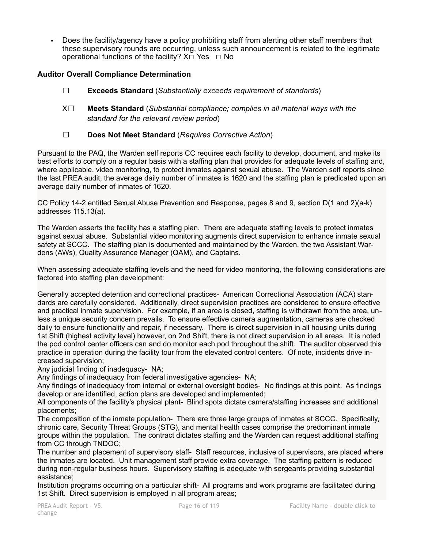▪ Does the facility/agency have a policy prohibiting staff from alerting other staff members that these supervisory rounds are occurring, unless such announcement is related to the legitimate operational functions of the facility?  $X \Box Y$ es  $\Box$  No

### **Auditor Overall Compliance Determination**

- ☐ **Exceeds Standard** (*Substantially exceeds requirement of standards*)
- X☐ **Meets Standard** (*Substantial compliance; complies in all material ways with the standard for the relevant review period*)
- ☐ **Does Not Meet Standard** (*Requires Corrective Action*)

Pursuant to the PAQ, the Warden self reports CC requires each facility to develop, document, and make its best efforts to comply on a regular basis with a staffing plan that provides for adequate levels of staffing and, where applicable, video monitoring, to protect inmates against sexual abuse. The Warden self reports since the last PREA audit, the average daily number of inmates is 1620 and the staffing plan is predicated upon an average daily number of inmates of 1620.

CC Policy 14-2 entitled Sexual Abuse Prevention and Response, pages 8 and 9, section D(1 and 2)(a-k) addresses 115.13(a).

The Warden asserts the facility has a staffing plan. There are adequate staffing levels to protect inmates against sexual abuse. Substantial video monitoring augments direct supervision to enhance inmate sexual safety at SCCC. The staffing plan is documented and maintained by the Warden, the two Assistant Wardens (AWs), Quality Assurance Manager (QAM), and Captains.

When assessing adequate staffing levels and the need for video monitoring, the following considerations are factored into staffing plan development:

Generally accepted detention and correctional practices- American Correctional Association (ACA) standards are carefully considered. Additionally, direct supervision practices are considered to ensure effective and practical inmate supervision. For example, if an area is closed, staffing is withdrawn from the area, unless a unique security concern prevails. To ensure effective camera augmentation, cameras are checked daily to ensure functionality and repair, if necessary. There is direct supervision in all housing units during 1st Shift (highest activity level) however, on 2nd Shift, there is not direct supervision in all areas. It is noted the pod control center officers can and do monitor each pod throughout the shift. The auditor observed this practice in operation during the facility tour from the elevated control centers. Of note, incidents drive increased supervision;

Any judicial finding of inadequacy- NA;

Any findings of inadequacy from federal investigative agencies- NA;

Any findings of inadequacy from internal or external oversight bodies- No findings at this point. As findings develop or are identified, action plans are developed and implemented;

All components of the facility's physical plant- Blind spots dictate camera/staffing increases and additional placements;

The composition of the inmate population- There are three large groups of inmates at SCCC. Specifically, chronic care, Security Threat Groups (STG), and mental health cases comprise the predominant inmate groups within the population. The contract dictates staffing and the Warden can request additional staffing from CC through TNDOC;

The number and placement of supervisory staff- Staff resources, inclusive of supervisors, are placed where the inmates are located. Unit management staff provide extra coverage. The staffing pattern is reduced during non-regular business hours. Supervisory staffing is adequate with sergeants providing substantial assistance;

Institution programs occurring on a particular shift- All programs and work programs are facilitated during 1st Shift. Direct supervision is employed in all program areas;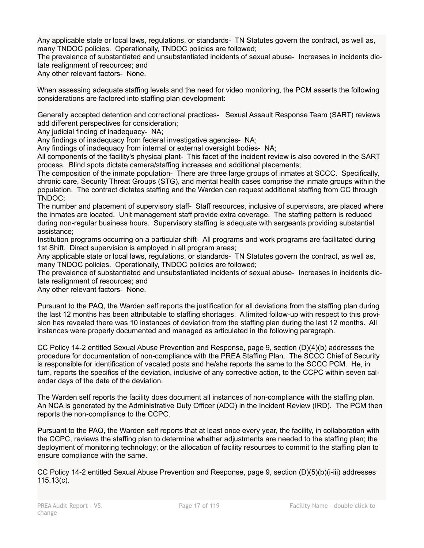Any applicable state or local laws, regulations, or standards- TN Statutes govern the contract, as well as, many TNDOC policies. Operationally, TNDOC policies are followed;

The prevalence of substantiated and unsubstantiated incidents of sexual abuse- Increases in incidents dictate realignment of resources; and

Any other relevant factors- None.

When assessing adequate staffing levels and the need for video monitoring, the PCM asserts the following considerations are factored into staffing plan development:

Generally accepted detention and correctional practices- Sexual Assault Response Team (SART) reviews add different perspectives for consideration;

Any judicial finding of inadequacy- NA;

Any findings of inadequacy from federal investigative agencies- NA;

Any findings of inadequacy from internal or external oversight bodies- NA;

All components of the facility's physical plant- This facet of the incident review is also covered in the SART process. Blind spots dictate camera/staffing increases and additional placements;

The composition of the inmate population- There are three large groups of inmates at SCCC. Specifically, chronic care, Security Threat Groups (STG), and mental health cases comprise the inmate groups within the population. The contract dictates staffing and the Warden can request additional staffing from CC through TNDOC;

The number and placement of supervisory staff- Staff resources, inclusive of supervisors, are placed where the inmates are located. Unit management staff provide extra coverage. The staffing pattern is reduced during non-regular business hours. Supervisory staffing is adequate with sergeants providing substantial assistance;

Institution programs occurring on a particular shift- All programs and work programs are facilitated during 1st Shift. Direct supervision is employed in all program areas;

Any applicable state or local laws, regulations, or standards- TN Statutes govern the contract, as well as, many TNDOC policies. Operationally, TNDOC policies are followed;

The prevalence of substantiated and unsubstantiated incidents of sexual abuse- Increases in incidents dictate realignment of resources; and

Any other relevant factors- None.

Pursuant to the PAQ, the Warden self reports the justification for all deviations from the staffing plan during the last 12 months has been attributable to staffing shortages. A limited follow-up with respect to this provision has revealed there was 10 instances of deviation from the staffing plan during the last 12 months. All instances were properly documented and managed as articulated in the following paragraph.

CC Policy 14-2 entitled Sexual Abuse Prevention and Response, page 9, section (D)(4)(b) addresses the procedure for documentation of non-compliance with the PREA Staffing Plan. The SCCC Chief of Security is responsible for identification of vacated posts and he/she reports the same to the SCCC PCM. He, in turn, reports the specifics of the deviation, inclusive of any corrective action, to the CCPC within seven calendar days of the date of the deviation.

The Warden self reports the facility does document all instances of non-compliance with the staffing plan. An NCA is generated by the Administrative Duty Officer (ADO) in the Incident Review (IRD). The PCM then reports the non-compliance to the CCPC.

Pursuant to the PAQ, the Warden self reports that at least once every year, the facility, in collaboration with the CCPC, reviews the staffing plan to determine whether adjustments are needed to the staffing plan; the deployment of monitoring technology; or the allocation of facility resources to commit to the staffing plan to ensure compliance with the same.

CC Policy 14-2 entitled Sexual Abuse Prevention and Response, page 9, section (D)(5)(b)(i-iii) addresses 115.13(c).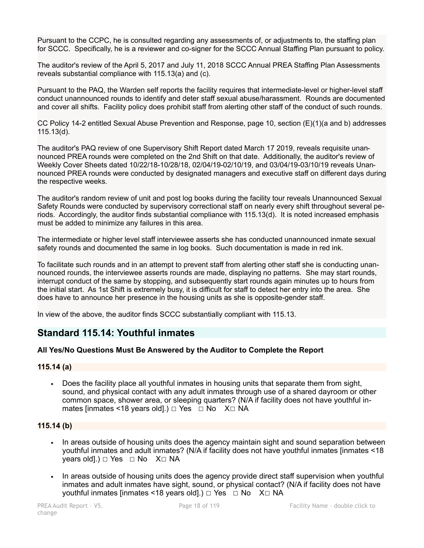Pursuant to the CCPC, he is consulted regarding any assessments of, or adjustments to, the staffing plan for SCCC. Specifically, he is a reviewer and co-signer for the SCCC Annual Staffing Plan pursuant to policy.

The auditor's review of the April 5, 2017 and July 11, 2018 SCCC Annual PREA Staffing Plan Assessments reveals substantial compliance with 115.13(a) and (c).

Pursuant to the PAQ, the Warden self reports the facility requires that intermediate-level or higher-level staff conduct unannounced rounds to identify and deter staff sexual abuse/harassment. Rounds are documented and cover all shifts. Facility policy does prohibit staff from alerting other staff of the conduct of such rounds.

CC Policy 14-2 entitled Sexual Abuse Prevention and Response, page 10, section (E)(1)(a and b) addresses 115.13(d).

The auditor's PAQ review of one Supervisory Shift Report dated March 17 2019, reveals requisite unannounced PREA rounds were completed on the 2nd Shift on that date. Additionally, the auditor's review of Weekly Cover Sheets dated 10/22/18-10/28/18, 02/04/19-02/10/19, and 03/04/19-03/10/19 reveals Unannounced PREA rounds were conducted by designated managers and executive staff on different days during the respective weeks.

The auditor's random review of unit and post log books during the facility tour reveals Unannounced Sexual Safety Rounds were conducted by supervisory correctional staff on nearly every shift throughout several periods. Accordingly, the auditor finds substantial compliance with 115.13(d). It is noted increased emphasis must be added to minimize any failures in this area.

The intermediate or higher level staff interviewee asserts she has conducted unannounced inmate sexual safety rounds and documented the same in log books. Such documentation is made in red ink.

To facilitate such rounds and in an attempt to prevent staff from alerting other staff she is conducting unannounced rounds, the interviewee asserts rounds are made, displaying no patterns. She may start rounds, interrupt conduct of the same by stopping, and subsequently start rounds again minutes up to hours from the initial start. As 1st Shift is extremely busy, it is difficult for staff to detect her entry into the area. She does have to announce her presence in the housing units as she is opposite-gender staff.

In view of the above, the auditor finds SCCC substantially compliant with 115.13.

## **Standard 115.14: Youthful inmates**

#### **All Yes/No Questions Must Be Answered by the Auditor to Complete the Report**

#### **115.14 (a)**

**•** Does the facility place all youthful inmates in housing units that separate them from sight, sound, and physical contact with any adult inmates through use of a shared dayroom or other common space, shower area, or sleeping quarters? (N/A if facility does not have youthful inmates [inmates <18 years old].)  $\Box$  Yes  $\Box$  No X $\Box$  NA

#### **115.14 (b)**

- In areas outside of housing units does the agency maintain sight and sound separation between youthful inmates and adult inmates? (N/A if facility does not have youthful inmates [inmates <18 vears old].) □ Yes □ No X□ NA
- In areas outside of housing units does the agency provide direct staff supervision when youthful inmates and adult inmates have sight, sound, or physical contact? (N/A if facility does not have youthful inmates [inmates <18 years old].) □ Yes □ No X□ NA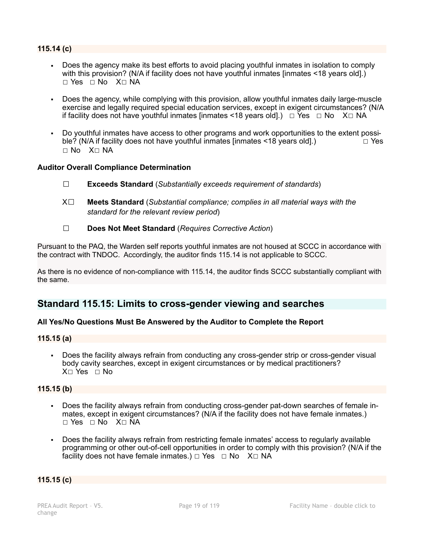#### **115.14 (c)**

- Does the agency make its best efforts to avoid placing youthful inmates in isolation to comply with this provision? (N/A if facility does not have youthful inmates [inmates <18 years old].) ☐ Yes ☐ No X☐ NA
- Does the agency, while complying with this provision, allow youthful inmates daily large-muscle exercise and legally required special education services, except in exigent circumstances? (N/A if facility does not have youthful inmates [inmates <18 years old].)  $\Box$  Yes  $\Box$  No X $\Box$  NA
- Do youthful inmates have access to other programs and work opportunities to the extent possi-<br>ble? (N/A if facility does not have youthful inmates linmates <18 years oldl) ble? (N/A if facility does not have youthful inmates  $\frac{1}{8}$  vears old].) ☐ No X☐ NA

#### **Auditor Overall Compliance Determination**

- ☐ **Exceeds Standard** (*Substantially exceeds requirement of standards*)
- X☐ **Meets Standard** (*Substantial compliance; complies in all material ways with the standard for the relevant review period*)
- ☐ **Does Not Meet Standard** (*Requires Corrective Action*)

Pursuant to the PAQ, the Warden self reports youthful inmates are not housed at SCCC in accordance with the contract with TNDOC. Accordingly, the auditor finds 115.14 is not applicable to SCCC.

As there is no evidence of non-compliance with 115.14, the auditor finds SCCC substantially compliant with the same.

## **Standard 115.15: Limits to cross-gender viewing and searches**

#### **All Yes/No Questions Must Be Answered by the Auditor to Complete the Report**

#### **115.15 (a)**

▪ Does the facility always refrain from conducting any cross-gender strip or cross-gender visual body cavity searches, except in exigent circumstances or by medical practitioners? X□ Yes □ No

#### **115.15 (b)**

- Does the facility always refrain from conducting cross-gender pat-down searches of female inmates, except in exigent circumstances? (N/A if the facility does not have female inmates.) ☐ Yes ☐ No X☐ NA
- Does the facility always refrain from restricting female inmates' access to regularly available programming or other out-of-cell opportunities in order to comply with this provision? (N/A if the facility does not have female inmates.)  $\Box$  Yes  $\Box$  No X $\Box$  NA

#### **115.15 (c)**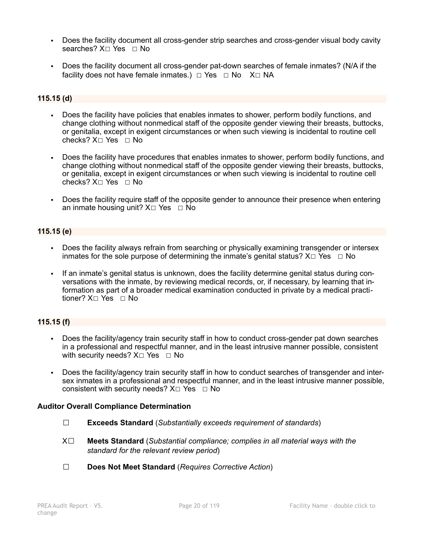- **•** Does the facility document all cross-gender strip searches and cross-gender visual body cavity searches? X□ Yes □ No
- Does the facility document all cross-gender pat-down searches of female inmates? (N/A if the facility does not have female inmates.) □ Yes □ No X□ NA

### **115.15 (d)**

- Does the facility have policies that enables inmates to shower, perform bodily functions, and change clothing without nonmedical staff of the opposite gender viewing their breasts, buttocks, or genitalia, except in exigent circumstances or when such viewing is incidental to routine cell checks? X☐ Yes ☐ No
- Does the facility have procedures that enables inmates to shower, perform bodily functions, and change clothing without nonmedical staff of the opposite gender viewing their breasts, buttocks, or genitalia, except in exigent circumstances or when such viewing is incidental to routine cell checks? X☐ Yes ☐ No
- Does the facility require staff of the opposite gender to announce their presence when entering an inmate housing unit? X□ Yes □ No

#### **115.15 (e)**

- Does the facility always refrain from searching or physically examining transgender or intersex inmates for the sole purpose of determining the inmate's genital status?  $X \Box Y$ es  $\Box$  No
- If an inmate's genital status is unknown, does the facility determine genital status during conversations with the inmate, by reviewing medical records, or, if necessary, by learning that information as part of a broader medical examination conducted in private by a medical practitioner? X□ Yes □ No

#### **115.15 (f)**

- Does the facility/agency train security staff in how to conduct cross-gender pat down searches in a professional and respectful manner, and in the least intrusive manner possible, consistent with security needs?  $X□$  Yes □ No
- Does the facility/agency train security staff in how to conduct searches of transgender and intersex inmates in a professional and respectful manner, and in the least intrusive manner possible, consistent with security needs?  $X \square Y$ es  $\square$  No

#### **Auditor Overall Compliance Determination**

- ☐ **Exceeds Standard** (*Substantially exceeds requirement of standards*)
- X☐ **Meets Standard** (*Substantial compliance; complies in all material ways with the standard for the relevant review period*)
- ☐ **Does Not Meet Standard** (*Requires Corrective Action*)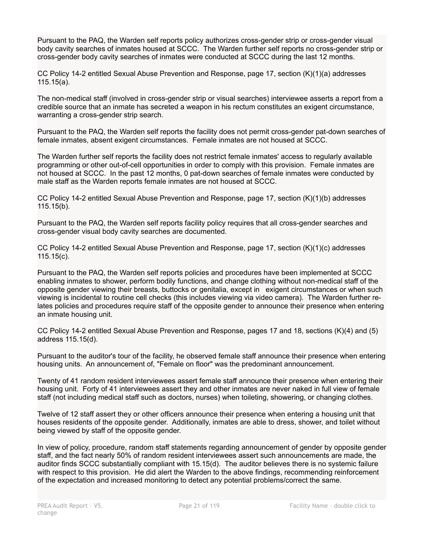Pursuant to the PAQ, the Warden self reports policy authorizes cross-gender strip or cross-gender visual body cavity searches of inmates housed at SCCC. The Warden further self reports no cross-gender strip or cross-gender body cavity searches of inmates were conducted at SCCC during the last 12 months.

CC Policy 14-2 entitled Sexual Abuse Prevention and Response, page 17, section (K)(1)(a) addresses 115.15(a).

The non-medical staff (involved in cross-gender strip or visual searches) interviewee asserts a report from a credible source that an inmate has secreted a weapon in his rectum constitutes an exigent circumstance, warranting a cross-gender strip search.

Pursuant to the PAQ, the Warden self reports the facility does not permit cross-gender pat-down searches of female inmates, absent exigent circumstances. Female inmates are not housed at SCCC.

The Warden further self reports the facility does not restrict female inmates' access to regularly available programming or other out-of-cell opportunities in order to comply with this provision. Female inmates are not housed at SCCC. In the past 12 months, 0 pat-down searches of female inmates were conducted by male staff as the Warden reports female inmates are not housed at SCCC.

CC Policy 14-2 entitled Sexual Abuse Prevention and Response, page 17, section (K)(1)(b) addresses 115.15(b).

Pursuant to the PAQ, the Warden self reports facility policy requires that all cross-gender searches and cross-gender visual body cavity searches are documented.

CC Policy 14-2 entitled Sexual Abuse Prevention and Response, page 17, section (K)(1)(c) addresses 115.15(c).

Pursuant to the PAQ, the Warden self reports policies and procedures have been implemented at SCCC enabling inmates to shower, perform bodily functions, and change clothing without non-medical staff of the opposite gender viewing their breasts, buttocks or genitalia, except in exigent circumstances or when such viewing is incidental to routine cell checks (this includes viewing via video camera). The Warden further relates policies and procedures require staff of the opposite gender to announce their presence when entering an inmate housing unit.

CC Policy 14-2 entitled Sexual Abuse Prevention and Response, pages 17 and 18, sections (K)(4) and (5) address 115.15(d).

Pursuant to the auditor's tour of the facility, he observed female staff announce their presence when entering housing units. An announcement of, "Female on floor" was the predominant announcement.

Twenty of 41 random resident interviewees assert female staff announce their presence when entering their housing unit. Forty of 41 interviewees assert they and other inmates are never naked in full view of female staff (not including medical staff such as doctors, nurses) when toileting, showering, or changing clothes.

Twelve of 12 staff assert they or other officers announce their presence when entering a housing unit that houses residents of the opposite gender. Additionally, inmates are able to dress, shower, and toilet without being viewed by staff of the opposite gender.

In view of policy, procedure, random staff statements regarding announcement of gender by opposite gender staff, and the fact nearly 50% of random resident interviewees assert such announcements are made, the auditor finds SCCC substantially compliant with 15.15(d). The auditor believes there is no systemic failure with respect to this provision. He did alert the Warden to the above findings, recommending reinforcement of the expectation and increased monitoring to detect any potential problems/correct the same.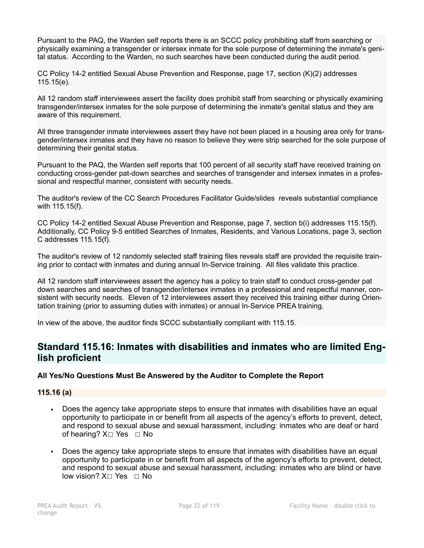Pursuant to the PAQ, the Warden self reports there is an SCCC policy prohibiting staff from searching or physically examining a transgender or intersex inmate for the sole purpose of determining the inmate's genital status. According to the Warden, no such searches have been conducted during the audit period.

CC Policy 14-2 entitled Sexual Abuse Prevention and Response, page 17, section (K)(2) addresses 115.15(e).

All 12 random staff interviewees assert the facility does prohibit staff from searching or physically examining transgender/intersex inmates for the sole purpose of determining the inmate's genital status and they are aware of this requirement.

All three transgender inmate interviewees assert they have not been placed in a housing area only for transgender/intersex inmates and they have no reason to believe they were strip searched for the sole purpose of determining their genital status.

Pursuant to the PAQ, the Warden self reports that 100 percent of all security staff have received training on conducting cross-gender pat-down searches and searches of transgender and intersex inmates in a professional and respectful manner, consistent with security needs.

The auditor's review of the CC Search Procedures Facilitator Guide/slides reveals substantial compliance with 115.15(f).

CC Policy 14-2 entitled Sexual Abuse Prevention and Response, page 7, section b(i) addresses 115.15(f). Additionally, CC Policy 9-5 entitled Searches of Inmates, Residents, and Various Locations, page 3, section C addresses 115.15(f).

The auditor's review of 12 randomly selected staff training files reveals staff are provided the requisite training prior to contact with inmates and during annual In-Service training. All files validate this practice.

All 12 random staff interviewees assert the agency has a policy to train staff to conduct cross-gender pat down searches and searches of transgender/intersex inmates in a professional and respectful manner, consistent with security needs. Eleven of 12 interviewees assert they received this training either during Orientation training (prior to assuming duties with inmates) or annual In-Service PREA training.

In view of the above, the auditor finds SCCC substantially compliant with 115.15.

## **Standard 115.16: Inmates with disabilities and inmates who are limited English proficient**

#### **All Yes/No Questions Must Be Answered by the Auditor to Complete the Report**

**115.16 (a)**

- Does the agency take appropriate steps to ensure that inmates with disabilities have an equal opportunity to participate in or benefit from all aspects of the agency's efforts to prevent, detect, and respond to sexual abuse and sexual harassment, including: inmates who are deaf or hard of hearing? X□ Yes □ No
- Does the agency take appropriate steps to ensure that inmates with disabilities have an equal opportunity to participate in or benefit from all aspects of the agency's efforts to prevent, detect, and respond to sexual abuse and sexual harassment, including: inmates who are blind or have low vision?  $X□$  Yes  $□$  No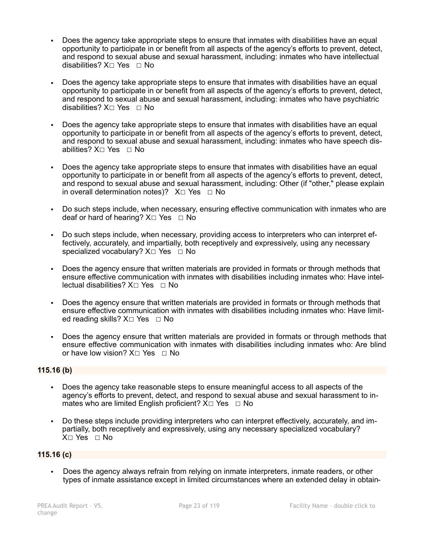- Does the agency take appropriate steps to ensure that inmates with disabilities have an equal opportunity to participate in or benefit from all aspects of the agency's efforts to prevent, detect, and respond to sexual abuse and sexual harassment, including: inmates who have intellectual disabilities? X□ Yes □ No
- Does the agency take appropriate steps to ensure that inmates with disabilities have an equal opportunity to participate in or benefit from all aspects of the agency's efforts to prevent, detect, and respond to sexual abuse and sexual harassment, including: inmates who have psychiatric disabilities? X☐ Yes ☐ No
- Does the agency take appropriate steps to ensure that inmates with disabilities have an equal opportunity to participate in or benefit from all aspects of the agency's efforts to prevent, detect, and respond to sexual abuse and sexual harassment, including: inmates who have speech disabilities? X□ Yes □ No
- Does the agency take appropriate steps to ensure that inmates with disabilities have an equal opportunity to participate in or benefit from all aspects of the agency's efforts to prevent, detect, and respond to sexual abuse and sexual harassment, including: Other (if "other," please explain in overall determination notes)?  $X□$  Yes  $□$  No
- Do such steps include, when necessary, ensuring effective communication with inmates who are deaf or hard of hearing?  $X \square$  Yes  $\square$  No
- Do such steps include, when necessary, providing access to interpreters who can interpret effectively, accurately, and impartially, both receptively and expressively, using any necessary specialized vocabulary? X□ Yes □ No
- Does the agency ensure that written materials are provided in formats or through methods that ensure effective communication with inmates with disabilities including inmates who: Have intellectual disabilities? X□ Yes □ No
- Does the agency ensure that written materials are provided in formats or through methods that ensure effective communication with inmates with disabilities including inmates who: Have limited reading skills? X□ Yes □ No
- Does the agency ensure that written materials are provided in formats or through methods that ensure effective communication with inmates with disabilities including inmates who: Are blind or have low vision?  $X□$  Yes □ No

#### **115.16 (b)**

- Does the agency take reasonable steps to ensure meaningful access to all aspects of the agency's efforts to prevent, detect, and respond to sexual abuse and sexual harassment to inmates who are limited English proficient?  $X \square Y$ es  $\square$  No
- Do these steps include providing interpreters who can interpret effectively, accurately, and impartially, both receptively and expressively, using any necessary specialized vocabulary? X☐ Yes ☐ No

#### **115.16 (c)**

Does the agency always refrain from relying on inmate interpreters, inmate readers, or other types of inmate assistance except in limited circumstances where an extended delay in obtain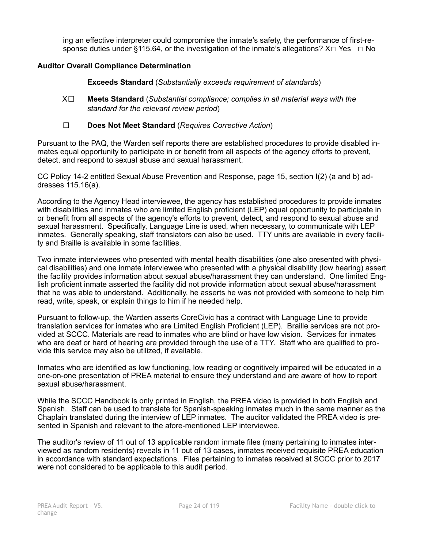ing an effective interpreter could compromise the inmate's safety, the performance of first-response duties under §115.64, or the investigation of the inmate's allegations?  $X \Box Y$ es  $\Box$  No

#### **Auditor Overall Compliance Determination**

 **Exceeds Standard** (*Substantially exceeds requirement of standards*)

- X☐ **Meets Standard** (*Substantial compliance; complies in all material ways with the standard for the relevant review period*)
- ☐ **Does Not Meet Standard** (*Requires Corrective Action*)

Pursuant to the PAQ, the Warden self reports there are established procedures to provide disabled inmates equal opportunity to participate in or benefit from all aspects of the agency efforts to prevent, detect, and respond to sexual abuse and sexual harassment.

CC Policy 14-2 entitled Sexual Abuse Prevention and Response, page 15, section I(2) (a and b) addresses 115.16(a).

According to the Agency Head interviewee, the agency has established procedures to provide inmates with disabilities and inmates who are limited English proficient (LEP) equal opportunity to participate in or benefit from all aspects of the agency's efforts to prevent, detect, and respond to sexual abuse and sexual harassment. Specifically, Language Line is used, when necessary, to communicate with LEP inmates. Generally speaking, staff translators can also be used. TTY units are available in every facility and Braille is available in some facilities.

Two inmate interviewees who presented with mental health disabilities (one also presented with physical disabilities) and one inmate interviewee who presented with a physical disability (low hearing) assert the facility provides information about sexual abuse/harassment they can understand. One limited English proficient inmate asserted the facility did not provide information about sexual abuse/harassment that he was able to understand. Additionally, he asserts he was not provided with someone to help him read, write, speak, or explain things to him if he needed help.

Pursuant to follow-up, the Warden asserts CoreCivic has a contract with Language Line to provide translation services for inmates who are Limited English Proficient (LEP). Braille services are not provided at SCCC. Materials are read to inmates who are blind or have low vision. Services for inmates who are deaf or hard of hearing are provided through the use of a TTY. Staff who are qualified to provide this service may also be utilized, if available.

Inmates who are identified as low functioning, low reading or cognitively impaired will be educated in a one-on-one presentation of PREA material to ensure they understand and are aware of how to report sexual abuse/harassment.

While the SCCC Handbook is only printed in English, the PREA video is provided in both English and Spanish. Staff can be used to translate for Spanish-speaking inmates much in the same manner as the Chaplain translated during the interview of LEP inmates. The auditor validated the PREA video is presented in Spanish and relevant to the afore-mentioned LEP interviewee.

The auditor's review of 11 out of 13 applicable random inmate files (many pertaining to inmates interviewed as random residents) reveals in 11 out of 13 cases, inmates received requisite PREA education in accordance with standard expectations. Files pertaining to inmates received at SCCC prior to 2017 were not considered to be applicable to this audit period.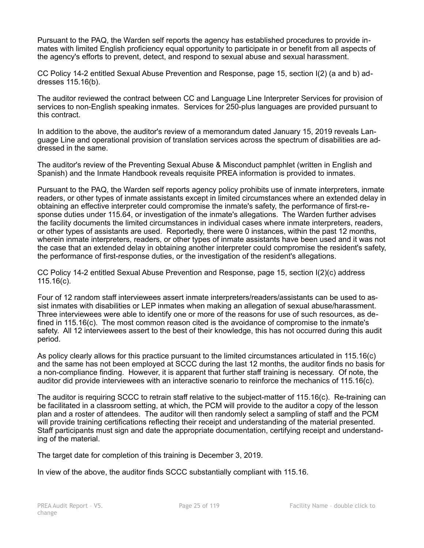Pursuant to the PAQ, the Warden self reports the agency has established procedures to provide inmates with limited English proficiency equal opportunity to participate in or benefit from all aspects of the agency's efforts to prevent, detect, and respond to sexual abuse and sexual harassment.

CC Policy 14-2 entitled Sexual Abuse Prevention and Response, page 15, section I(2) (a and b) addresses 115.16(b).

The auditor reviewed the contract between CC and Language Line Interpreter Services for provision of services to non-English speaking inmates. Services for 250-plus languages are provided pursuant to this contract.

In addition to the above, the auditor's review of a memorandum dated January 15, 2019 reveals Language Line and operational provision of translation services across the spectrum of disabilities are addressed in the same.

The auditor's review of the Preventing Sexual Abuse & Misconduct pamphlet (written in English and Spanish) and the Inmate Handbook reveals requisite PREA information is provided to inmates.

Pursuant to the PAQ, the Warden self reports agency policy prohibits use of inmate interpreters, inmate readers, or other types of inmate assistants except in limited circumstances where an extended delay in obtaining an effective interpreter could compromise the inmate's safety, the performance of first-response duties under 115.64, or investigation of the inmate's allegations. The Warden further advises the facility documents the limited circumstances in individual cases where inmate interpreters, readers, or other types of assistants are used. Reportedly, there were 0 instances, within the past 12 months, wherein inmate interpreters, readers, or other types of inmate assistants have been used and it was not the case that an extended delay in obtaining another interpreter could compromise the resident's safety, the performance of first-response duties, or the investigation of the resident's allegations.

CC Policy 14-2 entitled Sexual Abuse Prevention and Response, page 15, section I(2)(c) address 115.16(c).

Four of 12 random staff interviewees assert inmate interpreters/readers/assistants can be used to assist inmates with disabilities or LEP inmates when making an allegation of sexual abuse/harassment. Three interviewees were able to identify one or more of the reasons for use of such resources, as defined in 115.16(c). The most common reason cited is the avoidance of compromise to the inmate's safety. All 12 interviewees assert to the best of their knowledge, this has not occurred during this audit period.

As policy clearly allows for this practice pursuant to the limited circumstances articulated in 115.16(c) and the same has not been employed at SCCC during the last 12 months, the auditor finds no basis for a non-compliance finding. However, it is apparent that further staff training is necessary. Of note, the auditor did provide interviewees with an interactive scenario to reinforce the mechanics of 115.16(c).

The auditor is requiring SCCC to retrain staff relative to the subject-matter of 115.16(c). Re-training can be facilitated in a classroom setting, at which, the PCM will provide to the auditor a copy of the lesson plan and a roster of attendees. The auditor will then randomly select a sampling of staff and the PCM will provide training certifications reflecting their receipt and understanding of the material presented. Staff participants must sign and date the appropriate documentation, certifying receipt and understanding of the material.

The target date for completion of this training is December 3, 2019.

In view of the above, the auditor finds SCCC substantially compliant with 115.16.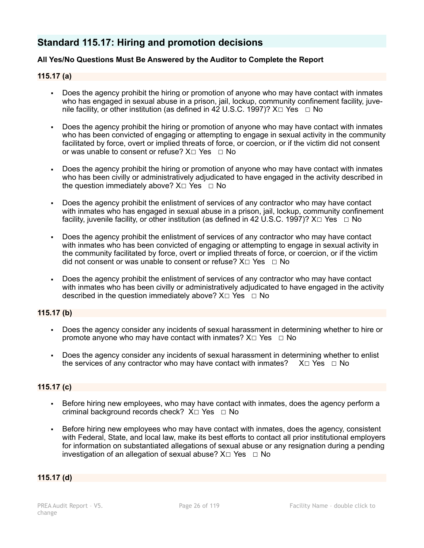## **Standard 115.17: Hiring and promotion decisions**

### **All Yes/No Questions Must Be Answered by the Auditor to Complete the Report**

#### **115.17 (a)**

- Does the agency prohibit the hiring or promotion of anyone who may have contact with inmates who has engaged in sexual abuse in a prison, jail, lockup, community confinement facility, juvenile facility, or other institution (as defined in 42 U.S.C. 1997)?  $X \Box Y$ es  $\Box$  No
- Does the agency prohibit the hiring or promotion of anyone who may have contact with inmates who has been convicted of engaging or attempting to engage in sexual activity in the community facilitated by force, overt or implied threats of force, or coercion, or if the victim did not consent or was unable to consent or refuse?  $X \Box Y$ es  $\Box$  No
- Does the agency prohibit the hiring or promotion of anyone who may have contact with inmates who has been civilly or administratively adjudicated to have engaged in the activity described in the question immediately above?  $X \Box Y$ es  $\Box$  No
- Does the agency prohibit the enlistment of services of any contractor who may have contact with inmates who has engaged in sexual abuse in a prison, jail, lockup, community confinement facility, juvenile facility, or other institution (as defined in 42 U.S.C. 1997)?  $X \Box Y$ es  $\Box$  No
- Does the agency prohibit the enlistment of services of any contractor who may have contact with inmates who has been convicted of engaging or attempting to engage in sexual activity in the community facilitated by force, overt or implied threats of force, or coercion, or if the victim did not consent or was unable to consent or refuse?  $X \square$  Yes  $\square$  No
- Does the agency prohibit the enlistment of services of any contractor who may have contact with inmates who has been civilly or administratively adjudicated to have engaged in the activity described in the question immediately above?  $X \Box Y$ es  $\Box$  No

#### **115.17 (b)**

- Does the agency consider any incidents of sexual harassment in determining whether to hire or promote anyone who may have contact with inmates?  $X \Box Y$ es  $\Box$  No
- Does the agency consider any incidents of sexual harassment in determining whether to enlist the services of any contractor who may have contact with inmates?  $X\square$  Yes  $\square$  No the services of any contractor who may have contact with inmates?

#### **115.17 (c)**

- Before hiring new employees, who may have contact with inmates, does the agency perform a criminal background records check? X□ Yes □ No
- Before hiring new employees who may have contact with inmates, does the agency, consistent with Federal, State, and local law, make its best efforts to contact all prior institutional employers for information on substantiated allegations of sexual abuse or any resignation during a pending investigation of an allegation of sexual abuse?  $X \Box Y$ es  $\Box$  No

#### **115.17 (d)**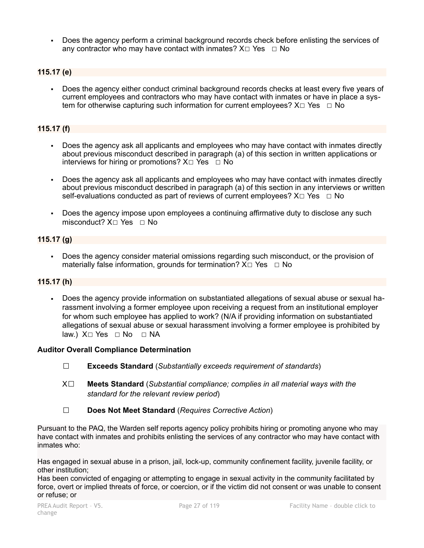Does the agency perform a criminal background records check before enlisting the services of any contractor who may have contact with inmates?  $X \Box Y$ es  $\Box$  No

## **115.17 (e)**

▪ Does the agency either conduct criminal background records checks at least every five years of current employees and contractors who may have contact with inmates or have in place a system for otherwise capturing such information for current employees?  $X \Box Y$ es  $\Box$  No

### **115.17 (f)**

- Does the agency ask all applicants and employees who may have contact with inmates directly about previous misconduct described in paragraph (a) of this section in written applications or interviews for hiring or promotions?  $X \Box Y$ es  $\Box$  No
- Does the agency ask all applicants and employees who may have contact with inmates directly about previous misconduct described in paragraph (a) of this section in any interviews or written self-evaluations conducted as part of reviews of current employees?  $X \Box Y$ es  $\Box$  No
- Does the agency impose upon employees a continuing affirmative duty to disclose any such misconduct?  $X \cap Yes \cap No$

## **115.17 (g)**

Does the agency consider material omissions regarding such misconduct, or the provision of materially false information, grounds for termination?  $X \Box Y$ es  $\Box$  No

#### **115.17 (h)**

Does the agency provide information on substantiated allegations of sexual abuse or sexual harassment involving a former employee upon receiving a request from an institutional employer for whom such employee has applied to work? (N/A if providing information on substantiated allegations of sexual abuse or sexual harassment involving a former employee is prohibited by law.) X□ Yes □ No □ NA

#### **Auditor Overall Compliance Determination**

- ☐ **Exceeds Standard** (*Substantially exceeds requirement of standards*)
- X☐ **Meets Standard** (*Substantial compliance; complies in all material ways with the standard for the relevant review period*)
- ☐ **Does Not Meet Standard** (*Requires Corrective Action*)

Pursuant to the PAQ, the Warden self reports agency policy prohibits hiring or promoting anyone who may have contact with inmates and prohibits enlisting the services of any contractor who may have contact with inmates who:

Has engaged in sexual abuse in a prison, jail, lock-up, community confinement facility, juvenile facility, or other institution;

Has been convicted of engaging or attempting to engage in sexual activity in the community facilitated by force, overt or implied threats of force, or coercion, or if the victim did not consent or was unable to consent or refuse; or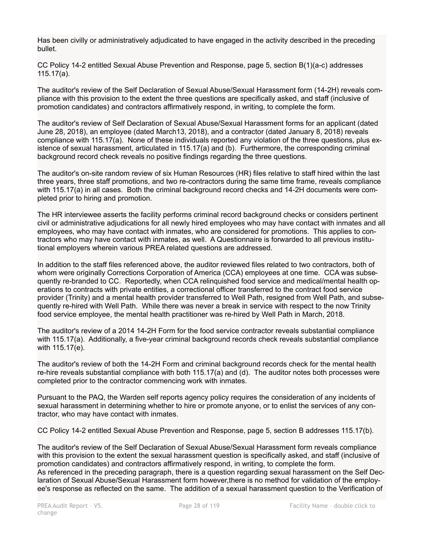Has been civilly or administratively adjudicated to have engaged in the activity described in the preceding bullet.

CC Policy 14-2 entitled Sexual Abuse Prevention and Response, page 5, section B(1)(a-c) addresses 115.17(a).

The auditor's review of the Self Declaration of Sexual Abuse/Sexual Harassment form (14-2H) reveals compliance with this provision to the extent the three questions are specifically asked, and staff (inclusive of promotion candidates) and contractors affirmatively respond, in writing, to complete the form.

The auditor's review of Self Declaration of Sexual Abuse/Sexual Harassment forms for an applicant (dated June 28, 2018), an employee (dated March13, 2018), and a contractor (dated January 8, 2018) reveals compliance with 115.17(a). None of these individuals reported any violation of the three questions, plus existence of sexual harassment, articulated in 115.17(a) and (b). Furthermore, the corresponding criminal background record check reveals no positive findings regarding the three questions.

The auditor's on-site random review of six Human Resources (HR) files relative to staff hired within the last three years, three staff promotions, and two re-contractors during the same time frame, reveals compliance with 115.17(a) in all cases. Both the criminal background record checks and 14-2H documents were completed prior to hiring and promotion.

The HR interviewee asserts the facility performs criminal record background checks or considers pertinent civil or administrative adjudications for all newly hired employees who may have contact with inmates and all employees, who may have contact with inmates, who are considered for promotions. This applies to contractors who may have contact with inmates, as well. A Questionnaire is forwarded to all previous institutional employers wherein various PREA related questions are addressed.

In addition to the staff files referenced above, the auditor reviewed files related to two contractors, both of whom were originally Corrections Corporation of America (CCA) employees at one time. CCA was subsequently re-branded to CC. Reportedly, when CCA relinquished food service and medical/mental health operations to contracts with private entities, a correctional officer transferred to the contract food service provider (Trinity) and a mental health provider transferred to Well Path, resigned from Well Path, and subsequently re-hired with Well Path. While there was never a break in service with respect to the now Trinity food service employee, the mental health practitioner was re-hired by Well Path in March, 2018.

The auditor's review of a 2014 14-2H Form for the food service contractor reveals substantial compliance with 115.17(a). Additionally, a five-year criminal background records check reveals substantial compliance with 115.17(e).

The auditor's review of both the 14-2H Form and criminal background records check for the mental health re-hire reveals substantial compliance with both 115.17(a) and (d). The auditor notes both processes were completed prior to the contractor commencing work with inmates.

Pursuant to the PAQ, the Warden self reports agency policy requires the consideration of any incidents of sexual harassment in determining whether to hire or promote anyone, or to enlist the services of any contractor, who may have contact with inmates.

CC Policy 14-2 entitled Sexual Abuse Prevention and Response, page 5, section B addresses 115.17(b).

The auditor's review of the Self Declaration of Sexual Abuse/Sexual Harassment form reveals compliance with this provision to the extent the sexual harassment question is specifically asked, and staff (inclusive of promotion candidates) and contractors affirmatively respond, in writing, to complete the form. As referenced in the preceding paragraph, there is a question regarding sexual harassment on the Self Declaration of Sexual Abuse/Sexual Harassment form however,there is no method for validation of the employ-

ee's response as reflected on the same. The addition of a sexual harassment question to the Verification of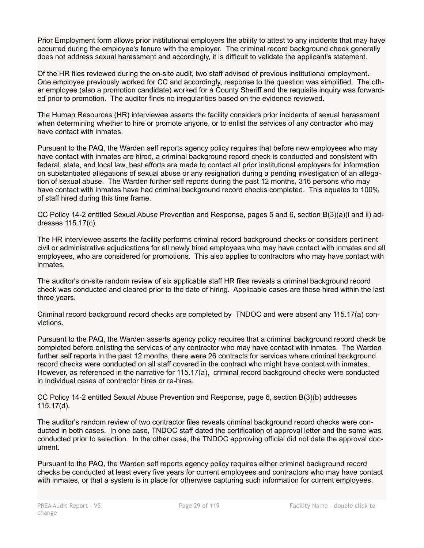Prior Employment form allows prior institutional employers the ability to attest to any incidents that may have occurred during the employee's tenure with the employer. The criminal record background check generally does not address sexual harassment and accordingly, it is difficult to validate the applicant's statement.

Of the HR files reviewed during the on-site audit, two staff advised of previous institutional employment. One employee previously worked for CC and accordingly, response to the question was simplified. The other employee (also a promotion candidate) worked for a County Sheriff and the requisite inquiry was forwarded prior to promotion. The auditor finds no irregularities based on the evidence reviewed.

The Human Resources (HR) interviewee asserts the facility considers prior incidents of sexual harassment when determining whether to hire or promote anyone, or to enlist the services of any contractor who may have contact with inmates.

Pursuant to the PAQ, the Warden self reports agency policy requires that before new employees who may have contact with inmates are hired, a criminal background record check is conducted and consistent with federal, state, and local law, best efforts are made to contact all prior institutional employers for information on substantiated allegations of sexual abuse or any resignation during a pending investigation of an allegation of sexual abuse. The Warden further self reports during the past 12 months, 316 persons who may have contact with inmates have had criminal background record checks completed. This equates to 100% of staff hired during this time frame.

CC Policy 14-2 entitled Sexual Abuse Prevention and Response, pages 5 and 6, section B(3)(a)(i and ii) addresses 115.17(c).

The HR interviewee asserts the facility performs criminal record background checks or considers pertinent civil or administrative adjudications for all newly hired employees who may have contact with inmates and all employees, who are considered for promotions. This also applies to contractors who may have contact with inmates.

The auditor's on-site random review of six applicable staff HR files reveals a criminal background record check was conducted and cleared prior to the date of hiring. Applicable cases are those hired within the last three years.

Criminal record background record checks are completed by TNDOC and were absent any 115.17(a) convictions.

Pursuant to the PAQ, the Warden asserts agency policy requires that a criminal background record check be completed before enlisting the services of any contractor who may have contact with inmates. The Warden further self reports in the past 12 months, there were 26 contracts for services where criminal background record checks were conducted on all staff covered in the contract who might have contact with inmates. However, as referenced in the narrative for 115.17(a), criminal record background checks were conducted in individual cases of contractor hires or re-hires.

CC Policy 14-2 entitled Sexual Abuse Prevention and Response, page 6, section B(3)(b) addresses 115.17(d).

The auditor's random review of two contractor files reveals criminal background record checks were conducted in both cases. In one case, TNDOC staff dated the certification of approval letter and the same was conducted prior to selection. In the other case, the TNDOC approving official did not date the approval document.

Pursuant to the PAQ, the Warden self reports agency policy requires either criminal background record checks be conducted at least every five years for current employees and contractors who may have contact with inmates, or that a system is in place for otherwise capturing such information for current employees.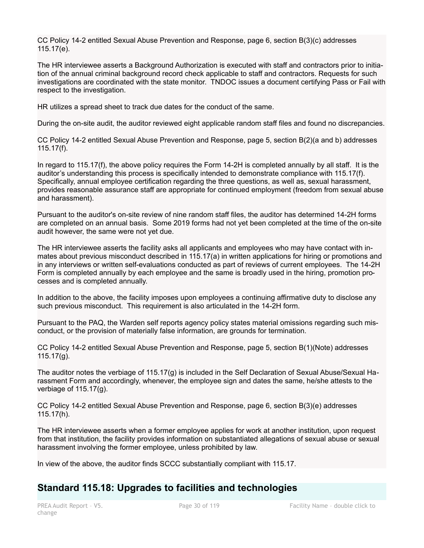CC Policy 14-2 entitled Sexual Abuse Prevention and Response, page 6, section B(3)(c) addresses 115.17(e).

The HR interviewee asserts a Background Authorization is executed with staff and contractors prior to initiation of the annual criminal background record check applicable to staff and contractors. Requests for such investigations are coordinated with the state monitor. TNDOC issues a document certifying Pass or Fail with respect to the investigation.

HR utilizes a spread sheet to track due dates for the conduct of the same.

During the on-site audit, the auditor reviewed eight applicable random staff files and found no discrepancies.

CC Policy 14-2 entitled Sexual Abuse Prevention and Response, page 5, section B(2)(a and b) addresses 115.17(f).

In regard to 115.17(f), the above policy requires the Form 14-2H is completed annually by all staff. It is the auditor's understanding this process is specifically intended to demonstrate compliance with 115.17(f). Specifically, annual employee certification regarding the three questions, as well as, sexual harassment, provides reasonable assurance staff are appropriate for continued employment (freedom from sexual abuse and harassment).

Pursuant to the auditor's on-site review of nine random staff files, the auditor has determined 14-2H forms are completed on an annual basis. Some 2019 forms had not yet been completed at the time of the on-site audit however, the same were not yet due.

The HR interviewee asserts the facility asks all applicants and employees who may have contact with inmates about previous misconduct described in 115.17(a) in written applications for hiring or promotions and in any interviews or written self-evaluations conducted as part of reviews of current employees. The 14-2H Form is completed annually by each employee and the same is broadly used in the hiring, promotion processes and is completed annually.

In addition to the above, the facility imposes upon employees a continuing affirmative duty to disclose any such previous misconduct. This requirement is also articulated in the 14-2H form.

Pursuant to the PAQ, the Warden self reports agency policy states material omissions regarding such misconduct, or the provision of materially false information, are grounds for termination.

CC Policy 14-2 entitled Sexual Abuse Prevention and Response, page 5, section B(1)(Note) addresses  $115.17(g)$ .

The auditor notes the verbiage of 115.17(g) is included in the Self Declaration of Sexual Abuse/Sexual Harassment Form and accordingly, whenever, the employee sign and dates the same, he/she attests to the verbiage of 115.17(g).

CC Policy 14-2 entitled Sexual Abuse Prevention and Response, page 6, section B(3)(e) addresses 115.17(h).

The HR interviewee asserts when a former employee applies for work at another institution, upon request from that institution, the facility provides information on substantiated allegations of sexual abuse or sexual harassment involving the former employee, unless prohibited by law.

In view of the above, the auditor finds SCCC substantially compliant with 115.17.

## **Standard 115.18: Upgrades to facilities and technologies**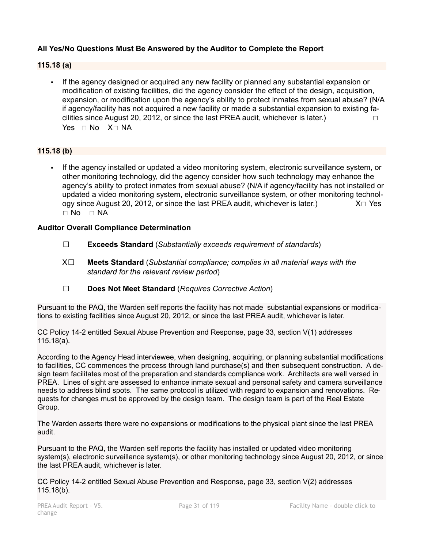## **All Yes/No Questions Must Be Answered by the Auditor to Complete the Report**

#### **115.18 (a)**

If the agency designed or acquired any new facility or planned any substantial expansion or modification of existing facilities, did the agency consider the effect of the design, acquisition, expansion, or modification upon the agency's ability to protect inmates from sexual abuse? (N/A if agency/facility has not acquired a new facility or made a substantial expansion to existing facilities since August 20, 2012, or since the last PREA audit, whichever is later.)  $\Box$ Yes □ No X□ NA

#### **115.18 (b)**

If the agency installed or updated a video monitoring system, electronic surveillance system, or other monitoring technology, did the agency consider how such technology may enhance the agency's ability to protect inmates from sexual abuse? (N/A if agency/facility has not installed or updated a video monitoring system, electronic surveillance system, or other monitoring technology since August 20, 2012, or since the last PREA audit, whichever is later.)  $X \Box Y$ es ☐ No ☐ NA

#### **Auditor Overall Compliance Determination**

- ☐ **Exceeds Standard** (*Substantially exceeds requirement of standards*)
- X☐ **Meets Standard** (*Substantial compliance; complies in all material ways with the standard for the relevant review period*)
- ☐ **Does Not Meet Standard** (*Requires Corrective Action*)

Pursuant to the PAQ, the Warden self reports the facility has not made substantial expansions or modifications to existing facilities since August 20, 2012, or since the last PREA audit, whichever is later.

CC Policy 14-2 entitled Sexual Abuse Prevention and Response, page 33, section V(1) addresses 115.18(a).

According to the Agency Head interviewee, when designing, acquiring, or planning substantial modifications to facilities, CC commences the process through land purchase(s) and then subsequent construction. A design team facilitates most of the preparation and standards compliance work. Architects are well versed in PREA. Lines of sight are assessed to enhance inmate sexual and personal safety and camera surveillance needs to address blind spots. The same protocol is utilized with regard to expansion and renovations. Requests for changes must be approved by the design team. The design team is part of the Real Estate Group.

The Warden asserts there were no expansions or modifications to the physical plant since the last PREA audit.

Pursuant to the PAQ, the Warden self reports the facility has installed or updated video monitoring system(s), electronic surveillance system(s), or other monitoring technology since August 20, 2012, or since the last PREA audit, whichever is later.

CC Policy 14-2 entitled Sexual Abuse Prevention and Response, page 33, section V(2) addresses 115.18(b).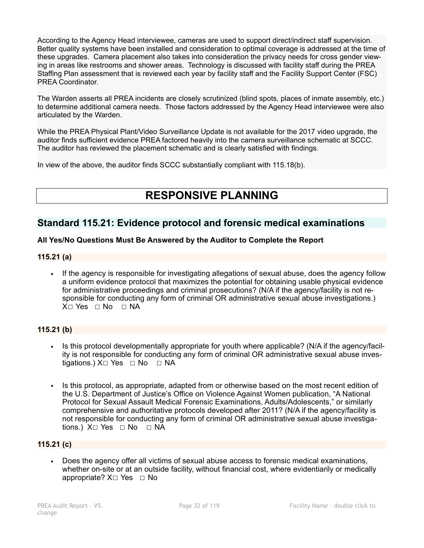According to the Agency Head interviewee, cameras are used to support direct/indirect staff supervision. Better quality systems have been installed and consideration to optimal coverage is addressed at the time of these upgrades. Camera placement also takes into consideration the privacy needs for cross gender viewing in areas like restrooms and shower areas. Technology is discussed with facility staff during the PREA Staffing Plan assessment that is reviewed each year by facility staff and the Facility Support Center (FSC) PREA Coordinator.

The Warden asserts all PREA incidents are closely scrutinized (blind spots, places of inmate assembly, etc.) to determine additional camera needs. Those factors addressed by the Agency Head interviewee were also articulated by the Warden.

While the PREA Physical Plant/Video Surveillance Update is not available for the 2017 video upgrade, the auditor finds sufficient evidence PREA factored heavily into the camera surveillance schematic at SCCC. The auditor has reviewed the placement schematic and is clearly satisfied with findings.

In view of the above, the auditor finds SCCC substantially compliant with 115.18(b).

# **RESPONSIVE PLANNING**

## **Standard 115.21: Evidence protocol and forensic medical examinations**

#### **All Yes/No Questions Must Be Answered by the Auditor to Complete the Report**

#### **115.21 (a)**

▪ If the agency is responsible for investigating allegations of sexual abuse, does the agency follow a uniform evidence protocol that maximizes the potential for obtaining usable physical evidence for administrative proceedings and criminal prosecutions? (N/A if the agency/facility is not responsible for conducting any form of criminal OR administrative sexual abuse investigations.) X□ Yes □ No □ NA

## **115.21 (b)**

- Is this protocol developmentally appropriate for youth where applicable? (N/A if the agency/facility is not responsible for conducting any form of criminal OR administrative sexual abuse investigations.) X□ Yes □ No □ NA
- Is this protocol, as appropriate, adapted from or otherwise based on the most recent edition of the U.S. Department of Justice's Office on Violence Against Women publication, "A National Protocol for Sexual Assault Medical Forensic Examinations, Adults/Adolescents," or similarly comprehensive and authoritative protocols developed after 2011? (N/A if the agency/facility is not responsible for conducting any form of criminal OR administrative sexual abuse investigations.) X□ Yes □ No □ NA

#### **115.21 (c)**

▪ Does the agency offer all victims of sexual abuse access to forensic medical examinations, whether on-site or at an outside facility, without financial cost, where evidentiarily or medically appropriate?  $X□$  Yes  $□$  No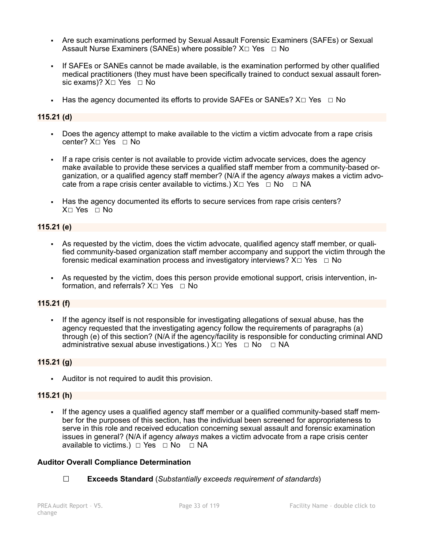- Are such examinations performed by Sexual Assault Forensic Examiners (SAFEs) or Sexual Assault Nurse Examiners (SANEs) where possible?  $X \Box Y$ es  $\Box$  No
- If SAFEs or SANEs cannot be made available, is the examination performed by other qualified medical practitioners (they must have been specifically trained to conduct sexual assault forensic exams)?  $X \square$  Yes  $\square$  No
- **•** Has the agency documented its efforts to provide SAFEs or SANEs?  $X \square Ye$ s  $\Box$  No

#### **115.21 (d)**

- Does the agency attempt to make available to the victim a victim advocate from a rape crisis center? X☐ Yes ☐ No
- If a rape crisis center is not available to provide victim advocate services, does the agency make available to provide these services a qualified staff member from a community-based organization, or a qualified agency staff member? (N/A if the agency *always* makes a victim advocate from a rape crisis center available to victims.)  $X \Box Y$ es  $\Box \text{No } \Box \text{NA}$
- Has the agency documented its efforts to secure services from rape crisis centers? X□ Yes □ No

#### **115.21 (e)**

- As requested by the victim, does the victim advocate, qualified agency staff member, or qualified community-based organization staff member accompany and support the victim through the forensic medical examination process and investigatory interviews?  $X \Box Y$ es  $\Box$  No
- As requested by the victim, does this person provide emotional support, crisis intervention, information, and referrals?  $X \square$  Yes  $\square$  No

#### **115.21 (f)**

▪ If the agency itself is not responsible for investigating allegations of sexual abuse, has the agency requested that the investigating agency follow the requirements of paragraphs (a) through (e) of this section? (N/A if the agency/facility is responsible for conducting criminal AND administrative sexual abuse investigations.)  $X \Box Y$ es  $\Box \text{No } \Box \text{NA}$ 

#### **115.21 (g)**

▪ Auditor is not required to audit this provision.

#### **115.21 (h)**

If the agency uses a qualified agency staff member or a qualified community-based staff member for the purposes of this section, has the individual been screened for appropriateness to serve in this role and received education concerning sexual assault and forensic examination issues in general? (N/A if agency *always* makes a victim advocate from a rape crisis center available to victims.)  $\Box$  Yes  $\Box$  No  $\Box$  NA

#### **Auditor Overall Compliance Determination**

☐ **Exceeds Standard** (*Substantially exceeds requirement of standards*)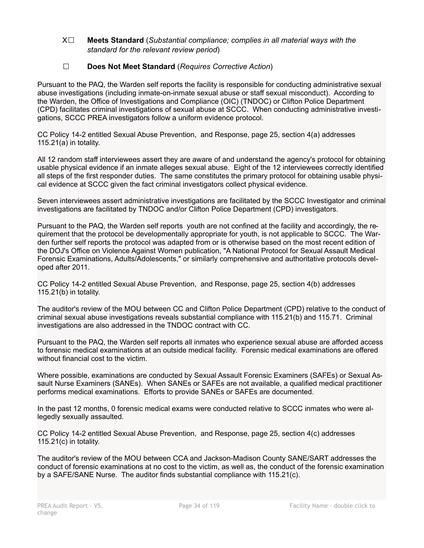#### X☐ **Meets Standard** (*Substantial compliance; complies in all material ways with the standard for the relevant review period*)

## ☐ **Does Not Meet Standard** (*Requires Corrective Action*)

Pursuant to the PAQ, the Warden self reports the facility is responsible for conducting administrative sexual abuse investigations (including inmate-on-inmate sexual abuse or staff sexual misconduct). According to the Warden, the Office of Investigations and Compliance (OIC) (TNDOC) or Clifton Police Department (CPD) facilitates criminal investigations of sexual abuse at SCCC. When conducting administrative investigations, SCCC PREA investigators follow a uniform evidence protocol.

CC Policy 14-2 entitled Sexual Abuse Prevention, and Response, page 25, section 4(a) addresses 115.21(a) in totality.

All 12 random staff interviewees assert they are aware of and understand the agency's protocol for obtaining usable physical evidence if an inmate alleges sexual abuse. Eight of the 12 interviewees correctly identified all steps of the first responder duties. The same constitutes the primary protocol for obtaining usable physical evidence at SCCC given the fact criminal investigators collect physical evidence.

Seven interviewees assert administrative investigations are facilitated by the SCCC Investigator and criminal investigations are facilitated by TNDOC and/or Clifton Police Department (CPD) investigators.

Pursuant to the PAQ, the Warden self reports youth are not confined at the facility and accordingly, the requirement that the protocol be developmentally appropriate for youth, is not applicable to SCCC. The Warden further self reports the protocol was adapted from or is otherwise based on the most recent edition of the DOJ's Office on Violence Against Women publication, "A National Protocol for Sexual Assault Medical Forensic Examinations, Adults/Adolescents," or similarly comprehensive and authoritative protocols developed after 2011.

CC Policy 14-2 entitled Sexual Abuse Prevention, and Response, page 25, section 4(b) addresses 115.21(b) in totality.

The auditor's review of the MOU between CC and Clifton Police Department (CPD) relative to the conduct of criminal sexual abuse investigations reveals substantial compliance with 115.21(b) and 115.71. Criminal investigations are also addressed in the TNDOC contract with CC.

Pursuant to the PAQ, the Warden self reports all inmates who experience sexual abuse are afforded access to forensic medical examinations at an outside medical facility. Forensic medical examinations are offered without financial cost to the victim.

Where possible, examinations are conducted by Sexual Assault Forensic Examiners (SAFEs) or Sexual Assault Nurse Examiners (SANEs). When SANEs or SAFEs are not available, a qualified medical practitioner performs medical examinations. Efforts to provide SANEs or SAFEs are documented.

In the past 12 months, 0 forensic medical exams were conducted relative to SCCC inmates who were allegedly sexually assaulted.

CC Policy 14-2 entitled Sexual Abuse Prevention, and Response, page 25, section 4(c) addresses 115.21(c) in totality.

The auditor's review of the MOU between CCA and Jackson-Madison County SANE/SART addresses the conduct of forensic examinations at no cost to the victim, as well as, the conduct of the forensic examination by a SAFE/SANE Nurse. The auditor finds substantial compliance with 115.21(c).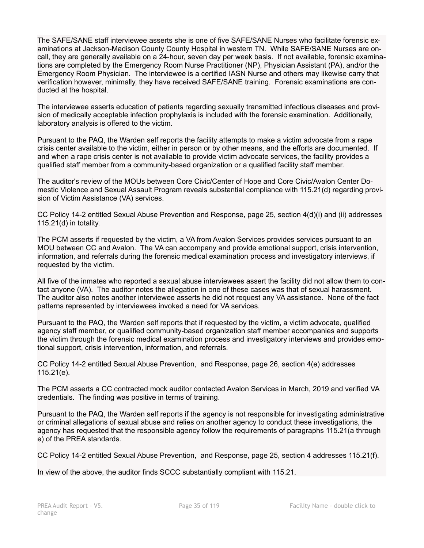The SAFE/SANE staff interviewee asserts she is one of five SAFE/SANE Nurses who facilitate forensic examinations at Jackson-Madison County County Hospital in western TN. While SAFE/SANE Nurses are oncall, they are generally available on a 24-hour, seven day per week basis. If not available, forensic examinations are completed by the Emergency Room Nurse Practitioner (NP), Physician Assistant (PA), and/or the Emergency Room Physician. The interviewee is a certified IASN Nurse and others may likewise carry that verification however, minimally, they have received SAFE/SANE training. Forensic examinations are conducted at the hospital.

The interviewee asserts education of patients regarding sexually transmitted infectious diseases and provision of medically acceptable infection prophylaxis is included with the forensic examination. Additionally, laboratory analysis is offered to the victim.

Pursuant to the PAQ, the Warden self reports the facility attempts to make a victim advocate from a rape crisis center available to the victim, either in person or by other means, and the efforts are documented. If and when a rape crisis center is not available to provide victim advocate services, the facility provides a qualified staff member from a community-based organization or a qualified facility staff member.

The auditor's review of the MOUs between Core Civic/Center of Hope and Core Civic/Avalon Center Domestic Violence and Sexual Assault Program reveals substantial compliance with 115.21(d) regarding provision of Victim Assistance (VA) services.

CC Policy 14-2 entitled Sexual Abuse Prevention and Response, page 25, section 4(d)(i) and (ii) addresses 115.21(d) in totality.

The PCM asserts if requested by the victim, a VA from Avalon Services provides services pursuant to an MOU between CC and Avalon. The VA can accompany and provide emotional support, crisis intervention, information, and referrals during the forensic medical examination process and investigatory interviews, if requested by the victim.

All five of the inmates who reported a sexual abuse interviewees assert the facility did not allow them to contact anyone (VA). The auditor notes the allegation in one of these cases was that of sexual harassment. The auditor also notes another interviewee asserts he did not request any VA assistance. None of the fact patterns represented by interviewees invoked a need for VA services.

Pursuant to the PAQ, the Warden self reports that if requested by the victim, a victim advocate, qualified agency staff member, or qualified community-based organization staff member accompanies and supports the victim through the forensic medical examination process and investigatory interviews and provides emotional support, crisis intervention, information, and referrals.

CC Policy 14-2 entitled Sexual Abuse Prevention, and Response, page 26, section 4(e) addresses 115.21(e).

The PCM asserts a CC contracted mock auditor contacted Avalon Services in March, 2019 and verified VA credentials. The finding was positive in terms of training.

Pursuant to the PAQ, the Warden self reports if the agency is not responsible for investigating administrative or criminal allegations of sexual abuse and relies on another agency to conduct these investigations, the agency has requested that the responsible agency follow the requirements of paragraphs 115.21(a through e) of the PREA standards.

CC Policy 14-2 entitled Sexual Abuse Prevention, and Response, page 25, section 4 addresses 115.21(f).

In view of the above, the auditor finds SCCC substantially compliant with 115.21.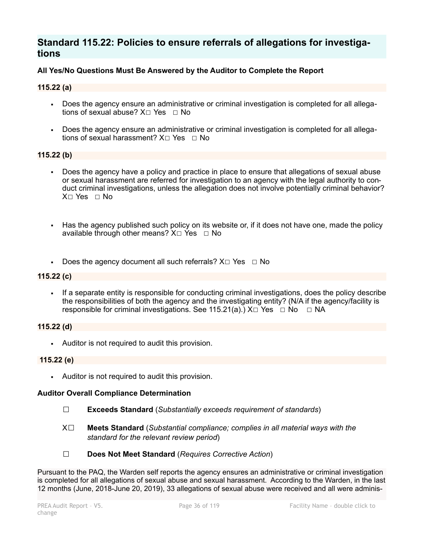## **Standard 115.22: Policies to ensure referrals of allegations for investigations**

### **All Yes/No Questions Must Be Answered by the Auditor to Complete the Report**

#### **115.22 (a)**

- Does the agency ensure an administrative or criminal investigation is completed for all allegations of sexual abuse? X☐ Yes ☐ No
- Does the agency ensure an administrative or criminal investigation is completed for all allegations of sexual harassment? X□ Yes □ No

#### **115.22 (b)**

- Does the agency have a policy and practice in place to ensure that allegations of sexual abuse or sexual harassment are referred for investigation to an agency with the legal authority to conduct criminal investigations, unless the allegation does not involve potentially criminal behavior? X☐ Yes ☐ No
- Has the agency published such policy on its website or, if it does not have one, made the policy available through other means?  $X \Box Y$ es  $\Box$  No
- Does the agency document all such referrals?  $X \Box Y$ es  $\Box$  No

#### **115.22 (c)**

**•** If a separate entity is responsible for conducting criminal investigations, does the policy describe the responsibilities of both the agency and the investigating entity? (N/A if the agency/facility is responsible for criminal investigations. See 115.21(a).)  $X\square$  Yes  $\square$  No  $\square$  NA

#### **115.22 (d)**

▪ Auditor is not required to audit this provision.

#### **115.22 (e)**

▪ Auditor is not required to audit this provision.

#### **Auditor Overall Compliance Determination**

- ☐ **Exceeds Standard** (*Substantially exceeds requirement of standards*)
- X☐ **Meets Standard** (*Substantial compliance; complies in all material ways with the standard for the relevant review period*)
- ☐ **Does Not Meet Standard** (*Requires Corrective Action*)

Pursuant to the PAQ, the Warden self reports the agency ensures an administrative or criminal investigation is completed for all allegations of sexual abuse and sexual harassment. According to the Warden, in the last 12 months (June, 2018-June 20, 2019), 33 allegations of sexual abuse were received and all were adminis-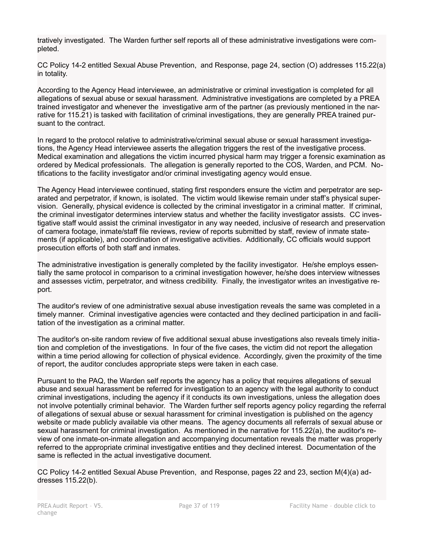tratively investigated. The Warden further self reports all of these administrative investigations were completed.

CC Policy 14-2 entitled Sexual Abuse Prevention, and Response, page 24, section (O) addresses 115.22(a) in totality.

According to the Agency Head interviewee, an administrative or criminal investigation is completed for all allegations of sexual abuse or sexual harassment. Administrative investigations are completed by a PREA trained investigator and whenever the investigative arm of the partner (as previously mentioned in the narrative for 115.21) is tasked with facilitation of criminal investigations, they are generally PREA trained pursuant to the contract.

In regard to the protocol relative to administrative/criminal sexual abuse or sexual harassment investigations, the Agency Head interviewee asserts the allegation triggers the rest of the investigative process. Medical examination and allegations the victim incurred physical harm may trigger a forensic examination as ordered by Medical professionals. The allegation is generally reported to the COS, Warden, and PCM. Notifications to the facility investigator and/or criminal investigating agency would ensue.

The Agency Head interviewee continued, stating first responders ensure the victim and perpetrator are separated and perpetrator, if known, is isolated. The victim would likewise remain under staff's physical supervision. Generally, physical evidence is collected by the criminal investigator in a criminal matter. If criminal, the criminal investigator determines interview status and whether the facility investigator assists. CC investigative staff would assist the criminal investigator in any way needed, inclusive of research and preservation of camera footage, inmate/staff file reviews, review of reports submitted by staff, review of inmate statements (if applicable), and coordination of investigative activities. Additionally, CC officials would support prosecution efforts of both staff and inmates.

The administrative investigation is generally completed by the facility investigator. He/she employs essentially the same protocol in comparison to a criminal investigation however, he/she does interview witnesses and assesses victim, perpetrator, and witness credibility. Finally, the investigator writes an investigative report.

The auditor's review of one administrative sexual abuse investigation reveals the same was completed in a timely manner. Criminal investigative agencies were contacted and they declined participation in and facilitation of the investigation as a criminal matter.

The auditor's on-site random review of five additional sexual abuse investigations also reveals timely initiation and completion of the investigations. In four of the five cases, the victim did not report the allegation within a time period allowing for collection of physical evidence. Accordingly, given the proximity of the time of report, the auditor concludes appropriate steps were taken in each case.

Pursuant to the PAQ, the Warden self reports the agency has a policy that requires allegations of sexual abuse and sexual harassment be referred for investigation to an agency with the legal authority to conduct criminal investigations, including the agency if it conducts its own investigations, unless the allegation does not involve potentially criminal behavior. The Warden further self reports agency policy regarding the referral of allegations of sexual abuse or sexual harassment for criminal investigation is published on the agency website or made publicly available via other means. The agency documents all referrals of sexual abuse or sexual harassment for criminal investigation. As mentioned in the narrative for 115.22(a), the auditor's review of one inmate-on-inmate allegation and accompanying documentation reveals the matter was properly referred to the appropriate criminal investigative entities and they declined interest. Documentation of the same is reflected in the actual investigative document.

CC Policy 14-2 entitled Sexual Abuse Prevention, and Response, pages 22 and 23, section M(4)(a) addresses 115.22(b).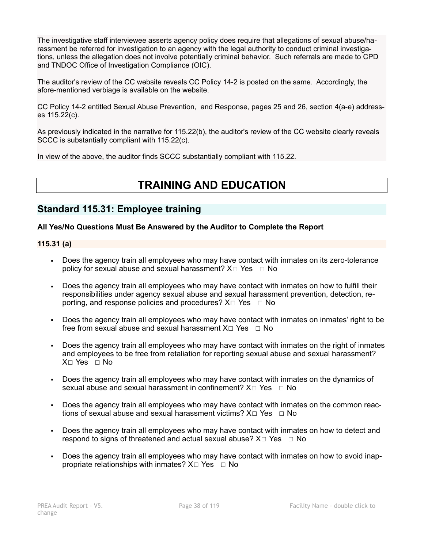The investigative staff interviewee asserts agency policy does require that allegations of sexual abuse/harassment be referred for investigation to an agency with the legal authority to conduct criminal investigations, unless the allegation does not involve potentially criminal behavior. Such referrals are made to CPD and TNDOC Office of Investigation Compliance (OIC).

The auditor's review of the CC website reveals CC Policy 14-2 is posted on the same. Accordingly, the afore-mentioned verbiage is available on the website.

CC Policy 14-2 entitled Sexual Abuse Prevention, and Response, pages 25 and 26, section 4(a-e) addresses 115.22(c).

As previously indicated in the narrative for 115.22(b), the auditor's review of the CC website clearly reveals SCCC is substantially compliant with 115.22(c).

In view of the above, the auditor finds SCCC substantially compliant with 115.22.

# **TRAINING AND EDUCATION**

## **Standard 115.31: Employee training**

## **All Yes/No Questions Must Be Answered by the Auditor to Complete the Report**

## **115.31 (a)**

- Does the agency train all employees who may have contact with inmates on its zero-tolerance policy for sexual abuse and sexual harassment?  $X \Box Y$ es  $\Box$  No
- Does the agency train all employees who may have contact with inmates on how to fulfill their responsibilities under agency sexual abuse and sexual harassment prevention, detection, reporting, and response policies and procedures?  $X \Box Y$ es  $\Box$  No
- Does the agency train all employees who may have contact with inmates on inmates' right to be free from sexual abuse and sexual harassment  $X \Box Y$ es  $\Box$  No
- Does the agency train all employees who may have contact with inmates on the right of inmates and employees to be free from retaliation for reporting sexual abuse and sexual harassment? X☐ Yes ☐ No
- Does the agency train all employees who may have contact with inmates on the dynamics of sexual abuse and sexual harassment in confinement? X□ Yes □ No
- Does the agency train all employees who may have contact with inmates on the common reactions of sexual abuse and sexual harassment victims?  $X \Box Y$ es  $\Box$  No
- Does the agency train all employees who may have contact with inmates on how to detect and respond to signs of threatened and actual sexual abuse?  $X \Box Y$ es  $\Box$  No
- Does the agency train all employees who may have contact with inmates on how to avoid inappropriate relationships with inmates?  $X \Box Y$ es  $\Box$  No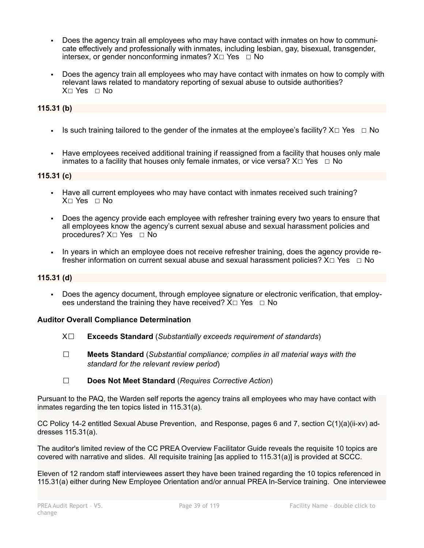- Does the agency train all employees who may have contact with inmates on how to communicate effectively and professionally with inmates, including lesbian, gay, bisexual, transgender, intersex, or gender nonconforming inmates?  $X \square Y$ es  $\square N$ o
- Does the agency train all employees who may have contact with inmates on how to comply with relevant laws related to mandatory reporting of sexual abuse to outside authorities? X☐ Yes ☐ No

## **115.31 (b)**

- **•** Is such training tailored to the gender of the inmates at the employee's facility?  $X \Box Y$ es  $\Box$  No
- Have employees received additional training if reassigned from a facility that houses only male inmates to a facility that houses only female inmates, or vice versa?  $X \square Ye$ s  $\square$  No

### **115.31 (c)**

- Have all current employees who may have contact with inmates received such training?  $X \cap Yes \cap No$
- Does the agency provide each employee with refresher training every two years to ensure that all employees know the agency's current sexual abuse and sexual harassment policies and procedures?  $X□$  Yes  $□$  No
- In years in which an employee does not receive refresher training, does the agency provide refresher information on current sexual abuse and sexual harassment policies?  $X \Box Y$ es  $\Box N$ o

### **115.31 (d)**

Does the agency document, through employee signature or electronic verification, that employees understand the training they have received?  $X \Box Y$ es  $\Box$  No

### **Auditor Overall Compliance Determination**

- X☐ **Exceeds Standard** (*Substantially exceeds requirement of standards*)
- ☐ **Meets Standard** (*Substantial compliance; complies in all material ways with the standard for the relevant review period*)
- ☐ **Does Not Meet Standard** (*Requires Corrective Action*)

Pursuant to the PAQ, the Warden self reports the agency trains all employees who may have contact with inmates regarding the ten topics listed in 115.31(a).

CC Policy 14-2 entitled Sexual Abuse Prevention, and Response, pages 6 and 7, section C(1)(a)(ii-xv) addresses 115.31(a).

The auditor's limited review of the CC PREA Overview Facilitator Guide reveals the requisite 10 topics are covered with narrative and slides. All requisite training [as applied to 115.31(a)] is provided at SCCC.

Eleven of 12 random staff interviewees assert they have been trained regarding the 10 topics referenced in 115.31(a) either during New Employee Orientation and/or annual PREA In-Service training. One interviewee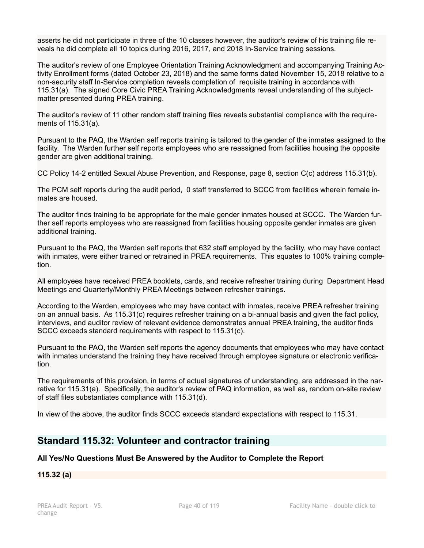asserts he did not participate in three of the 10 classes however, the auditor's review of his training file reveals he did complete all 10 topics during 2016, 2017, and 2018 In-Service training sessions.

The auditor's review of one Employee Orientation Training Acknowledgment and accompanying Training Activity Enrollment forms (dated October 23, 2018) and the same forms dated November 15, 2018 relative to a non-security staff In-Service completion reveals completion of requisite training in accordance with 115.31(a). The signed Core Civic PREA Training Acknowledgments reveal understanding of the subjectmatter presented during PREA training.

The auditor's review of 11 other random staff training files reveals substantial compliance with the requirements of 115.31(a).

Pursuant to the PAQ, the Warden self reports training is tailored to the gender of the inmates assigned to the facility. The Warden further self reports employees who are reassigned from facilities housing the opposite gender are given additional training.

CC Policy 14-2 entitled Sexual Abuse Prevention, and Response, page 8, section C(c) address 115.31(b).

The PCM self reports during the audit period, 0 staff transferred to SCCC from facilities wherein female inmates are housed.

The auditor finds training to be appropriate for the male gender inmates housed at SCCC. The Warden further self reports employees who are reassigned from facilities housing opposite gender inmates are given additional training.

Pursuant to the PAQ, the Warden self reports that 632 staff employed by the facility, who may have contact with inmates, were either trained or retrained in PREA requirements. This equates to 100% training completion.

All employees have received PREA booklets, cards, and receive refresher training during Department Head Meetings and Quarterly/Monthly PREA Meetings between refresher trainings.

According to the Warden, employees who may have contact with inmates, receive PREA refresher training on an annual basis. As 115.31(c) requires refresher training on a bi-annual basis and given the fact policy, interviews, and auditor review of relevant evidence demonstrates annual PREA training, the auditor finds SCCC exceeds standard requirements with respect to 115.31(c).

Pursuant to the PAQ, the Warden self reports the agency documents that employees who may have contact with inmates understand the training they have received through employee signature or electronic verification.

The requirements of this provision, in terms of actual signatures of understanding, are addressed in the narrative for 115.31(a). Specifically, the auditor's review of PAQ information, as well as, random on-site review of staff files substantiates compliance with 115.31(d).

In view of the above, the auditor finds SCCC exceeds standard expectations with respect to 115.31.

## **Standard 115.32: Volunteer and contractor training**

## **All Yes/No Questions Must Be Answered by the Auditor to Complete the Report**

**115.32 (a)**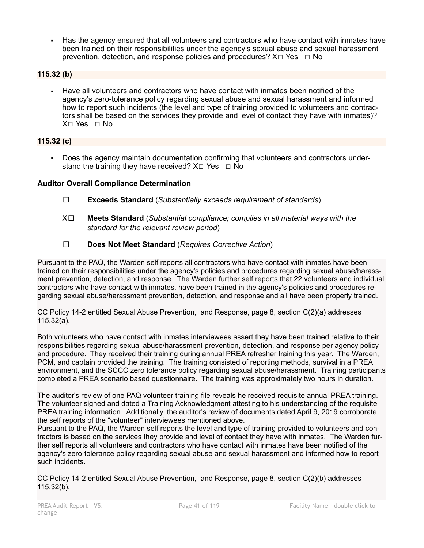▪ Has the agency ensured that all volunteers and contractors who have contact with inmates have been trained on their responsibilities under the agency's sexual abuse and sexual harassment prevention, detection, and response policies and procedures?  $X \Box Y$ es  $\Box N$ o

## **115.32 (b)**

▪ Have all volunteers and contractors who have contact with inmates been notified of the agency's zero-tolerance policy regarding sexual abuse and sexual harassment and informed how to report such incidents (the level and type of training provided to volunteers and contractors shall be based on the services they provide and level of contact they have with inmates)? X☐ Yes ☐ No

## **115.32 (c)**

▪ Does the agency maintain documentation confirming that volunteers and contractors understand the training they have received?  $X \Box Y$ es  $\Box$  No

### **Auditor Overall Compliance Determination**

- ☐ **Exceeds Standard** (*Substantially exceeds requirement of standards*)
- X☐ **Meets Standard** (*Substantial compliance; complies in all material ways with the standard for the relevant review period*)
- ☐ **Does Not Meet Standard** (*Requires Corrective Action*)

Pursuant to the PAQ, the Warden self reports all contractors who have contact with inmates have been trained on their responsibilities under the agency's policies and procedures regarding sexual abuse/harassment prevention, detection, and response. The Warden further self reports that 22 volunteers and individual contractors who have contact with inmates, have been trained in the agency's policies and procedures regarding sexual abuse/harassment prevention, detection, and response and all have been properly trained.

CC Policy 14-2 entitled Sexual Abuse Prevention, and Response, page 8, section C(2)(a) addresses 115.32(a).

Both volunteers who have contact with inmates interviewees assert they have been trained relative to their responsibilities regarding sexual abuse/harassment prevention, detection, and response per agency policy and procedure. They received their training during annual PREA refresher training this year. The Warden, PCM, and captain provided the training. The training consisted of reporting methods, survival in a PREA environment, and the SCCC zero tolerance policy regarding sexual abuse/harassment. Training participants completed a PREA scenario based questionnaire. The training was approximately two hours in duration.

The auditor's review of one PAQ volunteer training file reveals he received requisite annual PREA training. The volunteer signed and dated a Training Acknowledgment attesting to his understanding of the requisite PREA training information. Additionally, the auditor's review of documents dated April 9, 2019 corroborate the self reports of the "volunteer" interviewees mentioned above.

Pursuant to the PAQ, the Warden self reports the level and type of training provided to volunteers and contractors is based on the services they provide and level of contact they have with inmates. The Warden further self reports all volunteers and contractors who have contact with inmates have been notified of the agency's zero-tolerance policy regarding sexual abuse and sexual harassment and informed how to report such incidents.

CC Policy 14-2 entitled Sexual Abuse Prevention, and Response, page 8, section C(2)(b) addresses 115.32(b).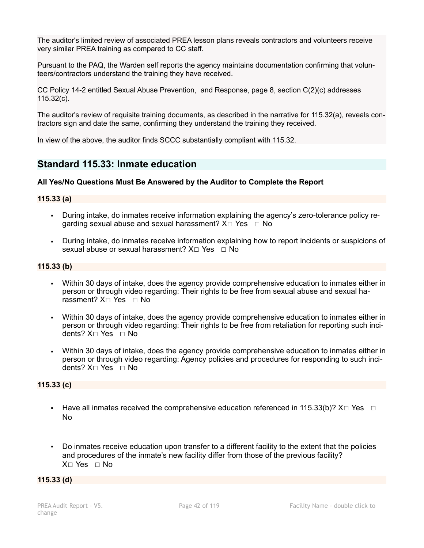The auditor's limited review of associated PREA lesson plans reveals contractors and volunteers receive very similar PREA training as compared to CC staff.

Pursuant to the PAQ, the Warden self reports the agency maintains documentation confirming that volunteers/contractors understand the training they have received.

CC Policy 14-2 entitled Sexual Abuse Prevention, and Response, page 8, section C(2)(c) addresses 115.32(c).

The auditor's review of requisite training documents, as described in the narrative for 115.32(a), reveals contractors sign and date the same, confirming they understand the training they received.

In view of the above, the auditor finds SCCC substantially compliant with 115.32.

## **Standard 115.33: Inmate education**

### **All Yes/No Questions Must Be Answered by the Auditor to Complete the Report**

### **115.33 (a)**

- During intake, do inmates receive information explaining the agency's zero-tolerance policy regarding sexual abuse and sexual harassment?  $X \Box Y$ es  $\Box$  No
- During intake, do inmates receive information explaining how to report incidents or suspicions of sexual abuse or sexual harassment?  $X \cap Yes \cap No$

### **115.33 (b)**

- Within 30 days of intake, does the agency provide comprehensive education to inmates either in person or through video regarding: Their rights to be free from sexual abuse and sexual harassment? X□ Yes □ No
- Within 30 days of intake, does the agency provide comprehensive education to inmates either in person or through video regarding: Their rights to be free from retaliation for reporting such incidents? X☐ Yes ☐ No
- Within 30 days of intake, does the agency provide comprehensive education to inmates either in person or through video regarding: Agency policies and procedures for responding to such incidents? X☐ Yes ☐ No

#### **115.33 (c)**

- **EXECT** Have all inmates received the comprehensive education referenced in 115.33(b)?  $X \Box Y$ es  $\Box$ No
- Do inmates receive education upon transfer to a different facility to the extent that the policies and procedures of the inmate's new facility differ from those of the previous facility? X□ Yes □ No

### **115.33 (d)**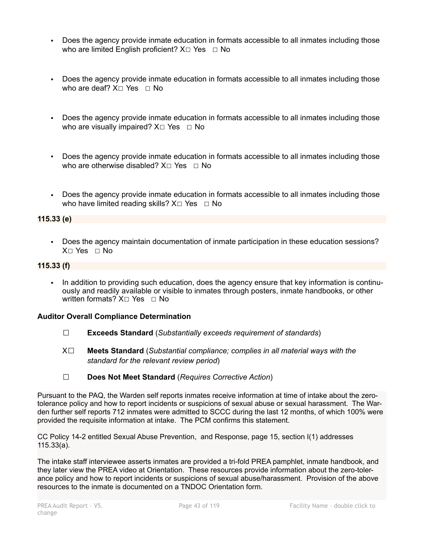- Does the agency provide inmate education in formats accessible to all inmates including those who are limited English proficient?  $X \Box Y$ es  $\Box$  No
- Does the agency provide inmate education in formats accessible to all inmates including those who are deaf?  $X \square Y$ es  $\square N$ o
- Does the agency provide inmate education in formats accessible to all inmates including those who are visually impaired?  $X \Box Y$ es  $\Box$  No
- Does the agency provide inmate education in formats accessible to all inmates including those who are otherwise disabled? X□ Yes □ No
- Does the agency provide inmate education in formats accessible to all inmates including those who have limited reading skills?  $X□$  Yes □ No

### **115.33 (e)**

▪ Does the agency maintain documentation of inmate participation in these education sessions? X□ Yes □ No

### **115.33 (f)**

▪ In addition to providing such education, does the agency ensure that key information is continuously and readily available or visible to inmates through posters, inmate handbooks, or other written formats? X□ Yes □ No

## **Auditor Overall Compliance Determination**

- ☐ **Exceeds Standard** (*Substantially exceeds requirement of standards*)
- X☐ **Meets Standard** (*Substantial compliance; complies in all material ways with the standard for the relevant review period*)
- ☐ **Does Not Meet Standard** (*Requires Corrective Action*)

Pursuant to the PAQ, the Warden self reports inmates receive information at time of intake about the zerotolerance policy and how to report incidents or suspicions of sexual abuse or sexual harassment. The Warden further self reports 712 inmates were admitted to SCCC during the last 12 months, of which 100% were provided the requisite information at intake. The PCM confirms this statement.

CC Policy 14-2 entitled Sexual Abuse Prevention, and Response, page 15, section I(1) addresses 115.33(a).

The intake staff interviewee asserts inmates are provided a tri-fold PREA pamphlet, inmate handbook, and they later view the PREA video at Orientation. These resources provide information about the zero-tolerance policy and how to report incidents or suspicions of sexual abuse/harassment. Provision of the above resources to the inmate is documented on a TNDOC Orientation form.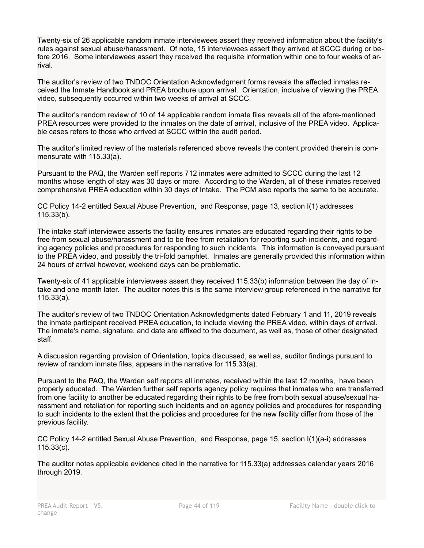Twenty-six of 26 applicable random inmate interviewees assert they received information about the facility's rules against sexual abuse/harassment. Of note, 15 interviewees assert they arrived at SCCC during or before 2016. Some interviewees assert they received the requisite information within one to four weeks of arrival.

The auditor's review of two TNDOC Orientation Acknowledgment forms reveals the affected inmates received the Inmate Handbook and PREA brochure upon arrival. Orientation, inclusive of viewing the PREA video, subsequently occurred within two weeks of arrival at SCCC.

The auditor's random review of 10 of 14 applicable random inmate files reveals all of the afore-mentioned PREA resources were provided to the inmates on the date of arrival, inclusive of the PREA video. Applicable cases refers to those who arrived at SCCC within the audit period.

The auditor's limited review of the materials referenced above reveals the content provided therein is commensurate with 115.33(a).

Pursuant to the PAQ, the Warden self reports 712 inmates were admitted to SCCC during the last 12 months whose length of stay was 30 days or more. According to the Warden, all of these inmates received comprehensive PREA education within 30 days of Intake. The PCM also reports the same to be accurate.

CC Policy 14-2 entitled Sexual Abuse Prevention, and Response, page 13, section I(1) addresses 115.33(b).

The intake staff interviewee asserts the facility ensures inmates are educated regarding their rights to be free from sexual abuse/harassment and to be free from retaliation for reporting such incidents, and regarding agency policies and procedures for responding to such incidents. This information is conveyed pursuant to the PREA video, and possibly the tri-fold pamphlet. Inmates are generally provided this information within 24 hours of arrival however, weekend days can be problematic.

Twenty-six of 41 applicable interviewees assert they received 115.33(b) information between the day of intake and one month later. The auditor notes this is the same interview group referenced in the narrative for 115.33(a).

The auditor's review of two TNDOC Orientation Acknowledgments dated February 1 and 11, 2019 reveals the inmate participant received PREA education, to include viewing the PREA video, within days of arrival. The inmate's name, signature, and date are affixed to the document, as well as, those of other designated staff.

A discussion regarding provision of Orientation, topics discussed, as well as, auditor findings pursuant to review of random inmate files, appears in the narrative for 115.33(a).

Pursuant to the PAQ, the Warden self reports all inmates, received within the last 12 months, have been properly educated. The Warden further self reports agency policy requires that inmates who are transferred from one facility to another be educated regarding their rights to be free from both sexual abuse/sexual harassment and retaliation for reporting such incidents and on agency policies and procedures for responding to such incidents to the extent that the policies and procedures for the new facility differ from those of the previous facility.

CC Policy 14-2 entitled Sexual Abuse Prevention, and Response, page 15, section I(1)(a-i) addresses 115.33(c).

The auditor notes applicable evidence cited in the narrative for 115.33(a) addresses calendar years 2016 through 2019.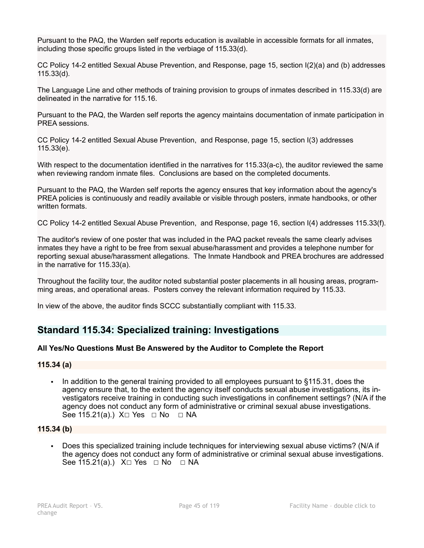Pursuant to the PAQ, the Warden self reports education is available in accessible formats for all inmates, including those specific groups listed in the verbiage of 115.33(d).

CC Policy 14-2 entitled Sexual Abuse Prevention, and Response, page 15, section I(2)(a) and (b) addresses 115.33(d).

The Language Line and other methods of training provision to groups of inmates described in 115.33(d) are delineated in the narrative for 115.16.

Pursuant to the PAQ, the Warden self reports the agency maintains documentation of inmate participation in PREA sessions.

CC Policy 14-2 entitled Sexual Abuse Prevention, and Response, page 15, section I(3) addresses 115.33(e).

With respect to the documentation identified in the narratives for 115.33(a-c), the auditor reviewed the same when reviewing random inmate files. Conclusions are based on the completed documents.

Pursuant to the PAQ, the Warden self reports the agency ensures that key information about the agency's PREA policies is continuously and readily available or visible through posters, inmate handbooks, or other written formats.

CC Policy 14-2 entitled Sexual Abuse Prevention, and Response, page 16, section I(4) addresses 115.33(f).

The auditor's review of one poster that was included in the PAQ packet reveals the same clearly advises inmates they have a right to be free from sexual abuse/harassment and provides a telephone number for reporting sexual abuse/harassment allegations. The Inmate Handbook and PREA brochures are addressed in the narrative for 115.33(a).

Throughout the facility tour, the auditor noted substantial poster placements in all housing areas, programming areas, and operational areas. Posters convey the relevant information required by 115.33.

In view of the above, the auditor finds SCCC substantially compliant with 115.33.

## **Standard 115.34: Specialized training: Investigations**

## **All Yes/No Questions Must Be Answered by the Auditor to Complete the Report**

### **115.34 (a)**

▪ In addition to the general training provided to all employees pursuant to §115.31, does the agency ensure that, to the extent the agency itself conducts sexual abuse investigations, its investigators receive training in conducting such investigations in confinement settings? (N/A if the agency does not conduct any form of administrative or criminal sexual abuse investigations. See 115.21(a).) X□ Yes □ No □ NA

### **115.34 (b)**

▪ Does this specialized training include techniques for interviewing sexual abuse victims? (N/A if the agency does not conduct any form of administrative or criminal sexual abuse investigations. See 115.21(a).) X□ Yes □ No □ NA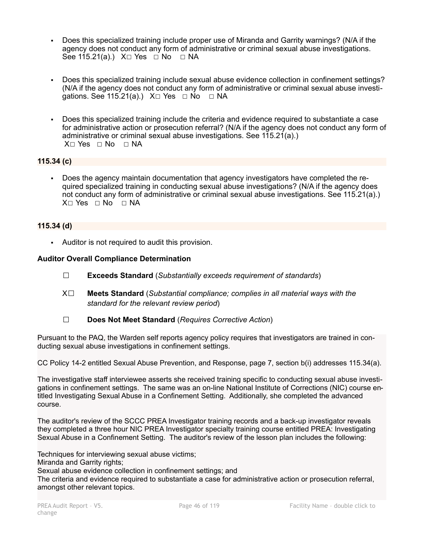- Does this specialized training include proper use of Miranda and Garrity warnings? (N/A if the agency does not conduct any form of administrative or criminal sexual abuse investigations. See 115.21(a).) X□ Yes □ No □ NA
- Does this specialized training include sexual abuse evidence collection in confinement settings? (N/A if the agency does not conduct any form of administrative or criminal sexual abuse investigations. See 115.21(a).)  $X\square$  Yes  $\square$  No  $\square$  NA
- Does this specialized training include the criteria and evidence required to substantiate a case for administrative action or prosecution referral? (N/A if the agency does not conduct any form of administrative or criminal sexual abuse investigations. See 115.21(a).) X□ Yes □ No □ NA

## **115.34 (c)**

▪ Does the agency maintain documentation that agency investigators have completed the required specialized training in conducting sexual abuse investigations? (N/A if the agency does not conduct any form of administrative or criminal sexual abuse investigations. See 115.21(a).) X□ Yes □ No □ NA

### **115.34 (d)**

▪ Auditor is not required to audit this provision.

### **Auditor Overall Compliance Determination**

- ☐ **Exceeds Standard** (*Substantially exceeds requirement of standards*)
- X☐ **Meets Standard** (*Substantial compliance; complies in all material ways with the standard for the relevant review period*)
- ☐ **Does Not Meet Standard** (*Requires Corrective Action*)

Pursuant to the PAQ, the Warden self reports agency policy requires that investigators are trained in conducting sexual abuse investigations in confinement settings.

CC Policy 14-2 entitled Sexual Abuse Prevention, and Response, page 7, section b(i) addresses 115.34(a).

The investigative staff interviewee asserts she received training specific to conducting sexual abuse investigations in confinement settings. The same was an on-line National Institute of Corrections (NIC) course entitled Investigating Sexual Abuse in a Confinement Setting. Additionally, she completed the advanced course.

The auditor's review of the SCCC PREA Investigator training records and a back-up investigator reveals they completed a three hour NIC PREA Investigator specialty training course entitled PREA: Investigating Sexual Abuse in a Confinement Setting. The auditor's review of the lesson plan includes the following:

Techniques for interviewing sexual abuse victims; Miranda and Garrity rights; Sexual abuse evidence collection in confinement settings; and The criteria and evidence required to substantiate a case for administrative action or prosecution referral, amongst other relevant topics.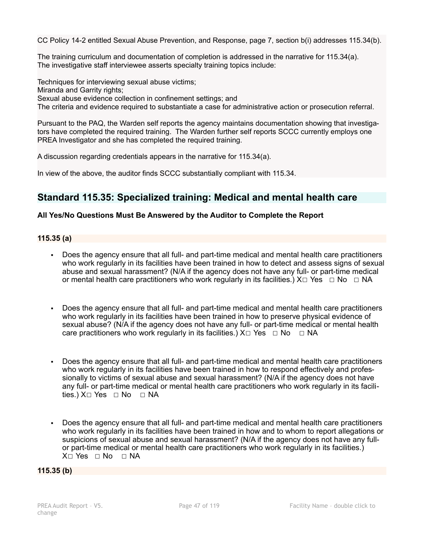CC Policy 14-2 entitled Sexual Abuse Prevention, and Response, page 7, section b(i) addresses 115.34(b).

The training curriculum and documentation of completion is addressed in the narrative for 115.34(a). The investigative staff interviewee asserts specialty training topics include:

Techniques for interviewing sexual abuse victims; Miranda and Garrity rights; Sexual abuse evidence collection in confinement settings; and The criteria and evidence required to substantiate a case for administrative action or prosecution referral.

Pursuant to the PAQ, the Warden self reports the agency maintains documentation showing that investigators have completed the required training. The Warden further self reports SCCC currently employs one PREA Investigator and she has completed the required training.

A discussion regarding credentials appears in the narrative for 115.34(a).

In view of the above, the auditor finds SCCC substantially compliant with 115.34.

## **Standard 115.35: Specialized training: Medical and mental health care**

## **All Yes/No Questions Must Be Answered by the Auditor to Complete the Report**

## **115.35 (a)**

- Does the agency ensure that all full- and part-time medical and mental health care practitioners who work regularly in its facilities have been trained in how to detect and assess signs of sexual abuse and sexual harassment? (N/A if the agency does not have any full- or part-time medical or mental health care practitioners who work regularly in its facilities.)  $X \Box Y$ es  $\Box$  No  $\Box$  NA
- Does the agency ensure that all full- and part-time medical and mental health care practitioners who work regularly in its facilities have been trained in how to preserve physical evidence of sexual abuse? (N/A if the agency does not have any full- or part-time medical or mental health care practitioners who work regularly in its facilities.)  $X \Box Y$ es  $\Box \text{No } \Box \text{NA}$
- Does the agency ensure that all full- and part-time medical and mental health care practitioners who work regularly in its facilities have been trained in how to respond effectively and professionally to victims of sexual abuse and sexual harassment? (N/A if the agency does not have any full- or part-time medical or mental health care practitioners who work regularly in its facilities.) X□ Yes □ No □ NA
- Does the agency ensure that all full- and part-time medical and mental health care practitioners who work regularly in its facilities have been trained in how and to whom to report allegations or suspicions of sexual abuse and sexual harassment? (N/A if the agency does not have any fullor part-time medical or mental health care practitioners who work regularly in its facilities.) X□ Yes □ No □ NA

**115.35 (b)**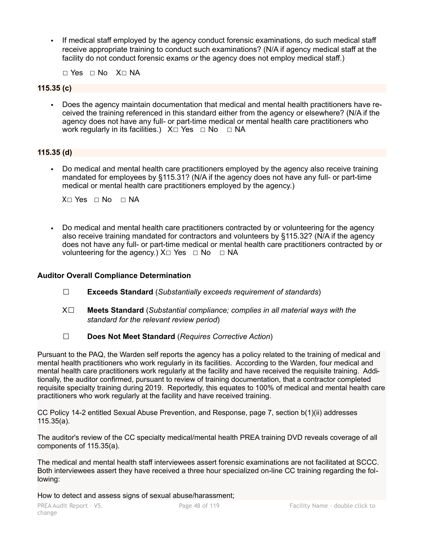▪ If medical staff employed by the agency conduct forensic examinations, do such medical staff receive appropriate training to conduct such examinations? (N/A if agency medical staff at the facility do not conduct forensic exams *or* the agency does not employ medical staff.)

☐ Yes ☐ No X☐ NA

### **115.35 (c)**

▪ Does the agency maintain documentation that medical and mental health practitioners have received the training referenced in this standard either from the agency or elsewhere? (N/A if the agency does not have any full- or part-time medical or mental health care practitioners who work regularly in its facilities.)  $X \square Y$ es  $\square$  No  $\square$  NA

## **115.35 (d)**

Do medical and mental health care practitioners employed by the agency also receive training mandated for employees by §115.31? (N/A if the agency does not have any full- or part-time medical or mental health care practitioners employed by the agency.)

X⊓ Yes ⊓ No ⊓ NA

▪ Do medical and mental health care practitioners contracted by or volunteering for the agency also receive training mandated for contractors and volunteers by §115.32? (N/A if the agency does not have any full- or part-time medical or mental health care practitioners contracted by or volunteering for the agency.) X $□$  Yes  $□$  No  $□$  NA

### **Auditor Overall Compliance Determination**

- ☐ **Exceeds Standard** (*Substantially exceeds requirement of standards*)
- X☐ **Meets Standard** (*Substantial compliance; complies in all material ways with the standard for the relevant review period*)
- ☐ **Does Not Meet Standard** (*Requires Corrective Action*)

Pursuant to the PAQ, the Warden self reports the agency has a policy related to the training of medical and mental health practitioners who work regularly in its facilities. According to the Warden, four medical and mental health care practitioners work regularly at the facility and have received the requisite training. Additionally, the auditor confirmed, pursuant to review of training documentation, that a contractor completed requisite specialty training during 2019. Reportedly, this equates to 100% of medical and mental health care practitioners who work regularly at the facility and have received training.

CC Policy 14-2 entitled Sexual Abuse Prevention, and Response, page 7, section b(1)(ii) addresses 115.35(a).

The auditor's review of the CC specialty medical/mental health PREA training DVD reveals coverage of all components of 115.35(a).

The medical and mental health staff interviewees assert forensic examinations are not facilitated at SCCC. Both interviewees assert they have received a three hour specialized on-line CC training regarding the following:

How to detect and assess signs of sexual abuse/harassment;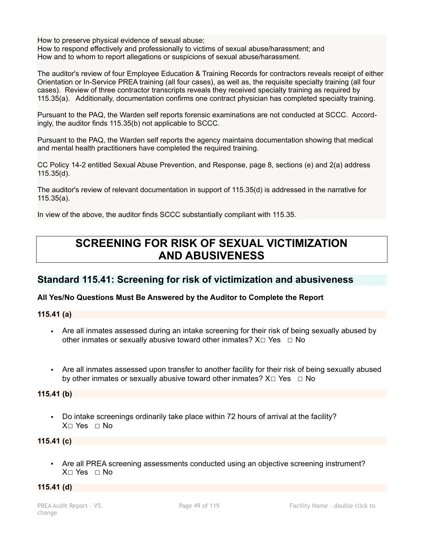How to preserve physical evidence of sexual abuse;

How to respond effectively and professionally to victims of sexual abuse/harassment; and How and to whom to report allegations or suspicions of sexual abuse/harassment.

The auditor's review of four Employee Education & Training Records for contractors reveals receipt of either Orientation or In-Service PREA training (all four cases), as well as, the requisite specialty training (all four cases). Review of three contractor transcripts reveals they received specialty training as required by 115.35(a). Additionally, documentation confirms one contract physician has completed specialty training.

Pursuant to the PAQ, the Warden self reports forensic examinations are not conducted at SCCC. Accordingly, the auditor finds 115.35(b) not applicable to SCCC.

Pursuant to the PAQ, the Warden self reports the agency maintains documentation showing that medical and mental health practitioners have completed the required training.

CC Policy 14-2 entitled Sexual Abuse Prevention, and Response, page 8, sections (e) and 2(a) address 115.35(d).

The auditor's review of relevant documentation in support of 115.35(d) is addressed in the narrative for 115.35(a).

In view of the above, the auditor finds SCCC substantially compliant with 115.35.

# **SCREENING FOR RISK OF SEXUAL VICTIMIZATION AND ABUSIVENESS**

## **Standard 115.41: Screening for risk of victimization and abusiveness**

## **All Yes/No Questions Must Be Answered by the Auditor to Complete the Report**

**115.41 (a)**

- Are all inmates assessed during an intake screening for their risk of being sexually abused by other inmates or sexually abusive toward other inmates?  $X \Box Y$ es  $\Box$  No
- Are all inmates assessed upon transfer to another facility for their risk of being sexually abused by other inmates or sexually abusive toward other inmates?  $X \Box Y$ es  $\Box$  No

## **115.41 (b)**

▪ Do intake screenings ordinarily take place within 72 hours of arrival at the facility? X☐ Yes ☐ No

## **115.41 (c)**

▪ Are all PREA screening assessments conducted using an objective screening instrument? X☐ Yes ☐ No

### **115.41 (d)**

change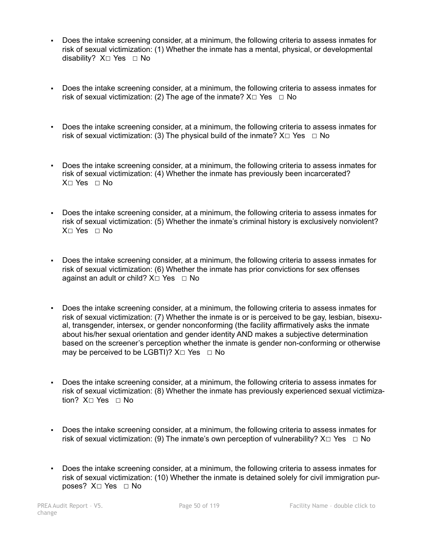- Does the intake screening consider, at a minimum, the following criteria to assess inmates for risk of sexual victimization: (1) Whether the inmate has a mental, physical, or developmental disability? X□ Yes □ No
- Does the intake screening consider, at a minimum, the following criteria to assess inmates for risk of sexual victimization: (2) The age of the inmate?  $X \Box Y$ es  $\Box$  No
- Does the intake screening consider, at a minimum, the following criteria to assess inmates for risk of sexual victimization: (3) The physical build of the inmate?  $X \Box Y$ es  $\Box$  No
- Does the intake screening consider, at a minimum, the following criteria to assess inmates for risk of sexual victimization: (4) Whether the inmate has previously been incarcerated? X☐ Yes ☐ No
- **Does the intake screening consider, at a minimum, the following criteria to assess inmates for** risk of sexual victimization: (5) Whether the inmate's criminal history is exclusively nonviolent?  $X \cap Yes \cap No$
- Does the intake screening consider, at a minimum, the following criteria to assess inmates for risk of sexual victimization: (6) Whether the inmate has prior convictions for sex offenses against an adult or child?  $X \square Y$ es  $\square$  No
- Does the intake screening consider, at a minimum, the following criteria to assess inmates for risk of sexual victimization: (7) Whether the inmate is or is perceived to be gay, lesbian, bisexual, transgender, intersex, or gender nonconforming (the facility affirmatively asks the inmate about his/her sexual orientation and gender identity AND makes a subjective determination based on the screener's perception whether the inmate is gender non-conforming or otherwise may be perceived to be LGBTI)?  $X \square Y$ es  $\square N$ o
- Does the intake screening consider, at a minimum, the following criteria to assess inmates for risk of sexual victimization: (8) Whether the inmate has previously experienced sexual victimization? X☐ Yes ☐ No
- Does the intake screening consider, at a minimum, the following criteria to assess inmates for risk of sexual victimization: (9) The inmate's own perception of vulnerability?  $X \Box Y$ es  $\Box$  No
- Does the intake screening consider, at a minimum, the following criteria to assess inmates for risk of sexual victimization: (10) Whether the inmate is detained solely for civil immigration purposes? X☐ Yes ☐ No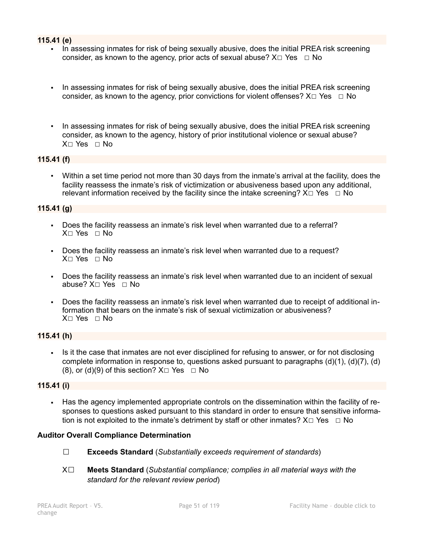### **115.41 (e)**

- In assessing inmates for risk of being sexually abusive, does the initial PREA risk screening consider, as known to the agency, prior acts of sexual abuse?  $X \Box Y$ es  $\Box$  No
- In assessing inmates for risk of being sexually abusive, does the initial PREA risk screening consider, as known to the agency, prior convictions for violent offenses?  $X \Box Y$ es  $\Box$  No
- In assessing inmates for risk of being sexually abusive, does the initial PREA risk screening consider, as known to the agency, history of prior institutional violence or sexual abuse? X☐ Yes ☐ No

### **115.41 (f)**

▪ Within a set time period not more than 30 days from the inmate's arrival at the facility, does the facility reassess the inmate's risk of victimization or abusiveness based upon any additional, relevant information received by the facility since the intake screening?  $X \Box Y$ es  $\Box$  No

### **115.41 (g)**

- Does the facility reassess an inmate's risk level when warranted due to a referral? X☐ Yes ☐ No
- Does the facility reassess an inmate's risk level when warranted due to a request? X☐ Yes ☐ No
- **•** Does the facility reassess an inmate's risk level when warranted due to an incident of sexual abuse? X☐ Yes ☐ No
- Does the facility reassess an inmate's risk level when warranted due to receipt of additional information that bears on the inmate's risk of sexual victimization or abusiveness? X☐ Yes ☐ No

## **115.41 (h)**

**•** Is it the case that inmates are not ever disciplined for refusing to answer, or for not disclosing complete information in response to, questions asked pursuant to paragraphs (d)(1), (d)(7), (d) (8), or (d)(9) of this section?  $X \square$  Yes  $\square$  No

### **115.41 (i)**

▪ Has the agency implemented appropriate controls on the dissemination within the facility of responses to questions asked pursuant to this standard in order to ensure that sensitive information is not exploited to the inmate's detriment by staff or other inmates?  $X \Box Y$ es  $\Box$  No

### **Auditor Overall Compliance Determination**

- ☐ **Exceeds Standard** (*Substantially exceeds requirement of standards*)
- X☐ **Meets Standard** (*Substantial compliance; complies in all material ways with the standard for the relevant review period*)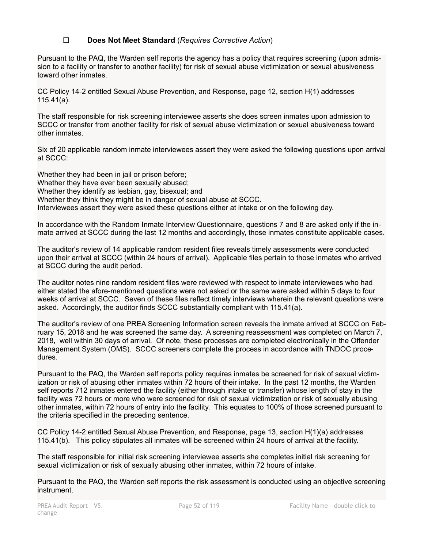## ☐ **Does Not Meet Standard** (*Requires Corrective Action*)

Pursuant to the PAQ, the Warden self reports the agency has a policy that requires screening (upon admission to a facility or transfer to another facility) for risk of sexual abuse victimization or sexual abusiveness toward other inmates.

CC Policy 14-2 entitled Sexual Abuse Prevention, and Response, page 12, section H(1) addresses 115.41(a).

The staff responsible for risk screening interviewee asserts she does screen inmates upon admission to SCCC or transfer from another facility for risk of sexual abuse victimization or sexual abusiveness toward other inmates.

Six of 20 applicable random inmate interviewees assert they were asked the following questions upon arrival at SCCC:

Whether they had been in jail or prison before; Whether they have ever been sexually abused; Whether they identify as lesbian, gay, bisexual; and Whether they think they might be in danger of sexual abuse at SCCC. Interviewees assert they were asked these questions either at intake or on the following day.

In accordance with the Random Inmate Interview Questionnaire, questions 7 and 8 are asked only if the inmate arrived at SCCC during the last 12 months and accordingly, those inmates constitute applicable cases.

The auditor's review of 14 applicable random resident files reveals timely assessments were conducted upon their arrival at SCCC (within 24 hours of arrival). Applicable files pertain to those inmates who arrived at SCCC during the audit period.

The auditor notes nine random resident files were reviewed with respect to inmate interviewees who had either stated the afore-mentioned questions were not asked or the same were asked within 5 days to four weeks of arrival at SCCC. Seven of these files reflect timely interviews wherein the relevant questions were asked. Accordingly, the auditor finds SCCC substantially compliant with 115.41(a).

The auditor's review of one PREA Screening Information screen reveals the inmate arrived at SCCC on February 15, 2018 and he was screened the same day. A screening reassessment was completed on March 7, 2018, well within 30 days of arrival. Of note, these processes are completed electronically in the Offender Management System (OMS). SCCC screeners complete the process in accordance with TNDOC procedures.

Pursuant to the PAQ, the Warden self reports policy requires inmates be screened for risk of sexual victimization or risk of abusing other inmates within 72 hours of their intake. In the past 12 months, the Warden self reports 712 inmates entered the facility (either through intake or transfer) whose length of stay in the facility was 72 hours or more who were screened for risk of sexual victimization or risk of sexually abusing other inmates, within 72 hours of entry into the facility. This equates to 100% of those screened pursuant to the criteria specified in the preceding sentence.

CC Policy 14-2 entitled Sexual Abuse Prevention, and Response, page 13, section H(1)(a) addresses 115.41(b). This policy stipulates all inmates will be screened within 24 hours of arrival at the facility.

The staff responsible for initial risk screening interviewee asserts she completes initial risk screening for sexual victimization or risk of sexually abusing other inmates, within 72 hours of intake.

Pursuant to the PAQ, the Warden self reports the risk assessment is conducted using an objective screening instrument.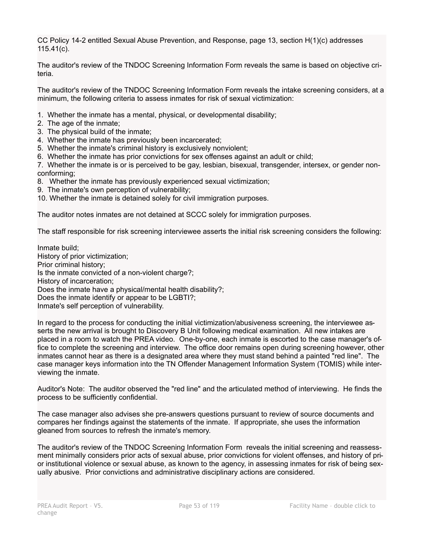CC Policy 14-2 entitled Sexual Abuse Prevention, and Response, page 13, section H(1)(c) addresses 115.41(c).

The auditor's review of the TNDOC Screening Information Form reveals the same is based on objective criteria.

The auditor's review of the TNDOC Screening Information Form reveals the intake screening considers, at a minimum, the following criteria to assess inmates for risk of sexual victimization:

- 1. Whether the inmate has a mental, physical, or developmental disability;
- 2. The age of the inmate;
- 3. The physical build of the inmate;
- 4. Whether the inmate has previously been incarcerated;
- 5. Whether the inmate's criminal history is exclusively nonviolent;
- 6. Whether the inmate has prior convictions for sex offenses against an adult or child;

7. Whether the inmate is or is perceived to be gay, lesbian, bisexual, transgender, intersex, or gender nonconforming;

- 8. Whether the inmate has previously experienced sexual victimization;
- 9. The inmate's own perception of vulnerability;
- 10. Whether the inmate is detained solely for civil immigration purposes.

The auditor notes inmates are not detained at SCCC solely for immigration purposes.

The staff responsible for risk screening interviewee asserts the initial risk screening considers the following:

Inmate build; History of prior victimization; Prior criminal history; Is the inmate convicted of a non-violent charge?; History of incarceration; Does the inmate have a physical/mental health disability?; Does the inmate identify or appear to be LGBTI?; Inmate's self perception of vulnerability.

In regard to the process for conducting the initial victimization/abusiveness screening, the interviewee asserts the new arrival is brought to Discovery B Unit following medical examination. All new intakes are placed in a room to watch the PREA video. One-by-one, each inmate is escorted to the case manager's office to complete the screening and interview. The office door remains open during screening however, other inmates cannot hear as there is a designated area where they must stand behind a painted "red line". The case manager keys information into the TN Offender Management Information System (TOMIS) while interviewing the inmate.

Auditor's Note: The auditor observed the "red line" and the articulated method of interviewing. He finds the process to be sufficiently confidential.

The case manager also advises she pre-answers questions pursuant to review of source documents and compares her findings against the statements of the inmate. If appropriate, she uses the information gleaned from sources to refresh the inmate's memory.

The auditor's review of the TNDOC Screening Information Form reveals the initial screening and reassessment minimally considers prior acts of sexual abuse, prior convictions for violent offenses, and history of prior institutional violence or sexual abuse, as known to the agency, in assessing inmates for risk of being sexually abusive. Prior convictions and administrative disciplinary actions are considered.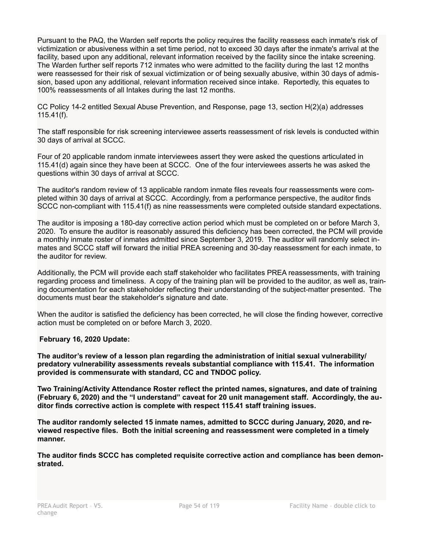Pursuant to the PAQ, the Warden self reports the policy requires the facility reassess each inmate's risk of victimization or abusiveness within a set time period, not to exceed 30 days after the inmate's arrival at the facility, based upon any additional, relevant information received by the facility since the intake screening. The Warden further self reports 712 inmates who were admitted to the facility during the last 12 months were reassessed for their risk of sexual victimization or of being sexually abusive, within 30 days of admission, based upon any additional, relevant information received since intake. Reportedly, this equates to 100% reassessments of all Intakes during the last 12 months.

CC Policy 14-2 entitled Sexual Abuse Prevention, and Response, page 13, section H(2)(a) addresses 115.41(f).

The staff responsible for risk screening interviewee asserts reassessment of risk levels is conducted within 30 days of arrival at SCCC.

Four of 20 applicable random inmate interviewees assert they were asked the questions articulated in 115.41(d) again since they have been at SCCC. One of the four interviewees asserts he was asked the questions within 30 days of arrival at SCCC.

The auditor's random review of 13 applicable random inmate files reveals four reassessments were completed within 30 days of arrival at SCCC. Accordingly, from a performance perspective, the auditor finds SCCC non-compliant with 115.41(f) as nine reassessments were completed outside standard expectations.

The auditor is imposing a 180-day corrective action period which must be completed on or before March 3, 2020. To ensure the auditor is reasonably assured this deficiency has been corrected, the PCM will provide a monthly inmate roster of inmates admitted since September 3, 2019. The auditor will randomly select inmates and SCCC staff will forward the initial PREA screening and 30-day reassessment for each inmate, to the auditor for review.

Additionally, the PCM will provide each staff stakeholder who facilitates PREA reassessments, with training regarding process and timeliness. A copy of the training plan will be provided to the auditor, as well as, training documentation for each stakeholder reflecting their understanding of the subject-matter presented. The documents must bear the stakeholder's signature and date.

When the auditor is satisfied the deficiency has been corrected, he will close the finding however, corrective action must be completed on or before March 3, 2020.

### **February 16, 2020 Update:**

**The auditor's review of a lesson plan regarding the administration of initial sexual vulnerability/ predatory vulnerability assessments reveals substantial compliance with 115.41. The information provided is commensurate with standard, CC and TNDOC policy.** 

**Two Training/Activity Attendance Roster reflect the printed names, signatures, and date of training (February 6, 2020) and the "I understand" caveat for 20 unit management staff. Accordingly, the auditor finds corrective action is complete with respect 115.41 staff training issues.** 

**The auditor randomly selected 15 inmate names, admitted to SCCC during January, 2020, and reviewed respective files. Both the initial screening and reassessment were completed in a timely manner.** 

**The auditor finds SCCC has completed requisite corrective action and compliance has been demonstrated.**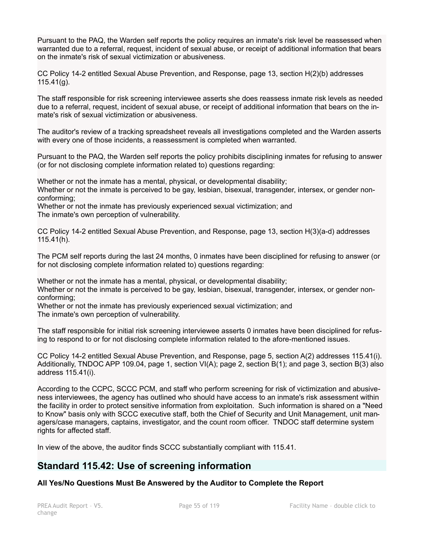Pursuant to the PAQ, the Warden self reports the policy requires an inmate's risk level be reassessed when warranted due to a referral, request, incident of sexual abuse, or receipt of additional information that bears on the inmate's risk of sexual victimization or abusiveness.

CC Policy 14-2 entitled Sexual Abuse Prevention, and Response, page 13, section H(2)(b) addresses  $115.41(g)$ .

The staff responsible for risk screening interviewee asserts she does reassess inmate risk levels as needed due to a referral, request, incident of sexual abuse, or receipt of additional information that bears on the inmate's risk of sexual victimization or abusiveness.

The auditor's review of a tracking spreadsheet reveals all investigations completed and the Warden asserts with every one of those incidents, a reassessment is completed when warranted.

Pursuant to the PAQ, the Warden self reports the policy prohibits disciplining inmates for refusing to answer (or for not disclosing complete information related to) questions regarding:

Whether or not the inmate has a mental, physical, or developmental disability; Whether or not the inmate is perceived to be gay, lesbian, bisexual, transgender, intersex, or gender nonconforming;

Whether or not the inmate has previously experienced sexual victimization; and The inmate's own perception of vulnerability.

CC Policy 14-2 entitled Sexual Abuse Prevention, and Response, page 13, section H(3)(a-d) addresses 115.41(h).

The PCM self reports during the last 24 months, 0 inmates have been disciplined for refusing to answer (or for not disclosing complete information related to) questions regarding:

Whether or not the inmate has a mental, physical, or developmental disability; Whether or not the inmate is perceived to be gay, lesbian, bisexual, transgender, intersex, or gender nonconforming;

Whether or not the inmate has previously experienced sexual victimization; and The inmate's own perception of vulnerability.

The staff responsible for initial risk screening interviewee asserts 0 inmates have been disciplined for refusing to respond to or for not disclosing complete information related to the afore-mentioned issues.

CC Policy 14-2 entitled Sexual Abuse Prevention, and Response, page 5, section A(2) addresses 115.41(i). Additionally, TNDOC APP 109.04, page 1, section VI(A); page 2, section B(1); and page 3, section B(3) also address 115.41(i).

According to the CCPC, SCCC PCM, and staff who perform screening for risk of victimization and abusiveness interviewees, the agency has outlined who should have access to an inmate's risk assessment within the facility in order to protect sensitive information from exploitation. Such information is shared on a "Need to Know" basis only with SCCC executive staff, both the Chief of Security and Unit Management, unit managers/case managers, captains, investigator, and the count room officer. TNDOC staff determine system rights for affected staff.

In view of the above, the auditor finds SCCC substantially compliant with 115.41.

## **Standard 115.42: Use of screening information**

## **All Yes/No Questions Must Be Answered by the Auditor to Complete the Report**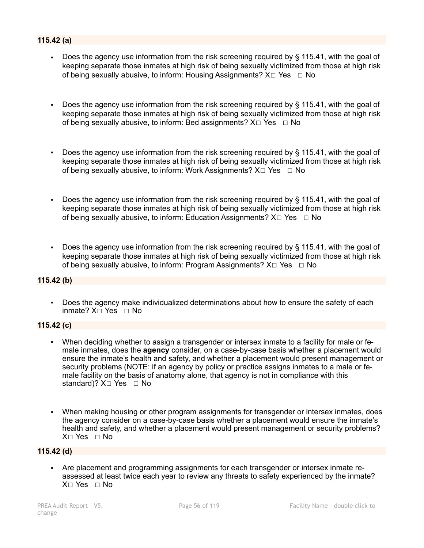## **115.42 (a)**

- Does the agency use information from the risk screening required by § 115.41, with the goal of keeping separate those inmates at high risk of being sexually victimized from those at high risk of being sexually abusive, to inform: Housing Assignments? X□ Yes □ No
- Does the agency use information from the risk screening required by § 115.41, with the goal of keeping separate those inmates at high risk of being sexually victimized from those at high risk of being sexually abusive, to inform: Bed assignments?  $X \Box Y$ es  $\Box$  No
- Does the agency use information from the risk screening required by § 115.41, with the goal of keeping separate those inmates at high risk of being sexually victimized from those at high risk of being sexually abusive, to inform: Work Assignments?  $X \Box Y$ es  $\Box$  No
- Does the agency use information from the risk screening required by  $\S$  115.41, with the goal of keeping separate those inmates at high risk of being sexually victimized from those at high risk of being sexually abusive, to inform: Education Assignments? X□ Yes □ No
- Does the agency use information from the risk screening required by § 115.41, with the goal of keeping separate those inmates at high risk of being sexually victimized from those at high risk of being sexually abusive, to inform: Program Assignments?  $X \Box Y$ es  $\Box$  No

## **115.42 (b)**

▪ Does the agency make individualized determinations about how to ensure the safety of each inmate? X☐ Yes ☐ No

### **115.42 (c)**

- When deciding whether to assign a transgender or intersex inmate to a facility for male or female inmates, does the **agency** consider, on a case-by-case basis whether a placement would ensure the inmate's health and safety, and whether a placement would present management or security problems (NOTE: if an agency by policy or practice assigns inmates to a male or female facility on the basis of anatomy alone, that agency is not in compliance with this standard)? X□ Yes □ No
- When making housing or other program assignments for transgender or intersex inmates, does the agency consider on a case-by-case basis whether a placement would ensure the inmate's health and safety, and whether a placement would present management or security problems? X☐ Yes ☐ No

### **115.42 (d)**

▪ Are placement and programming assignments for each transgender or intersex inmate reassessed at least twice each year to review any threats to safety experienced by the inmate? X☐ Yes ☐ No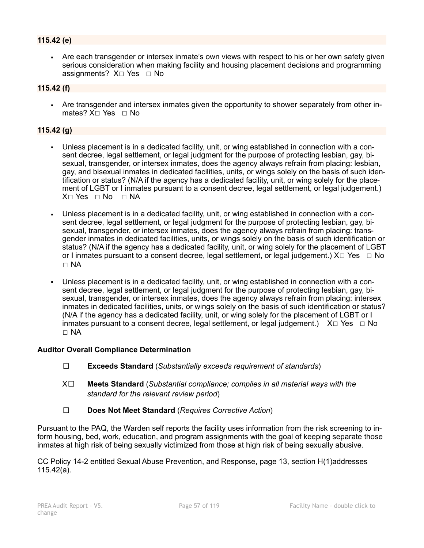## **115.42 (e)**

Are each transgender or intersex inmate's own views with respect to his or her own safety given serious consideration when making facility and housing placement decisions and programming assignments? X□ Yes □ No

#### **115.42 (f)**

▪ Are transgender and intersex inmates given the opportunity to shower separately from other inmates? X□ Yes □ No

### **115.42 (g)**

- Unless placement is in a dedicated facility, unit, or wing established in connection with a consent decree, legal settlement, or legal judgment for the purpose of protecting lesbian, gay, bisexual, transgender, or intersex inmates, does the agency always refrain from placing: lesbian, gay, and bisexual inmates in dedicated facilities, units, or wings solely on the basis of such identification or status? (N/A if the agency has a dedicated facility, unit, or wing solely for the placement of LGBT or I inmates pursuant to a consent decree, legal settlement, or legal judgement.) X□ Yes □ No □ NA
- Unless placement is in a dedicated facility, unit, or wing established in connection with a consent decree, legal settlement, or legal judgment for the purpose of protecting lesbian, gay, bisexual, transgender, or intersex inmates, does the agency always refrain from placing: transgender inmates in dedicated facilities, units, or wings solely on the basis of such identification or status? (N/A if the agency has a dedicated facility, unit, or wing solely for the placement of LGBT or I inmates pursuant to a consent decree, legal settlement, or legal judgement.) X□ Yes □ No ☐ NA
- Unless placement is in a dedicated facility, unit, or wing established in connection with a consent decree, legal settlement, or legal judgment for the purpose of protecting lesbian, gay, bisexual, transgender, or intersex inmates, does the agency always refrain from placing: intersex inmates in dedicated facilities, units, or wings solely on the basis of such identification or status? (N/A if the agency has a dedicated facility, unit, or wing solely for the placement of LGBT or I inmates pursuant to a consent decree, legal settlement, or legal judgement.)  $X \Box Y$ es  $\Box$  No ☐ NA

### **Auditor Overall Compliance Determination**

- ☐ **Exceeds Standard** (*Substantially exceeds requirement of standards*)
- X☐ **Meets Standard** (*Substantial compliance; complies in all material ways with the standard for the relevant review period*)
- ☐ **Does Not Meet Standard** (*Requires Corrective Action*)

Pursuant to the PAQ, the Warden self reports the facility uses information from the risk screening to inform housing, bed, work, education, and program assignments with the goal of keeping separate those inmates at high risk of being sexually victimized from those at high risk of being sexually abusive.

CC Policy 14-2 entitled Sexual Abuse Prevention, and Response, page 13, section H(1)addresses 115.42(a).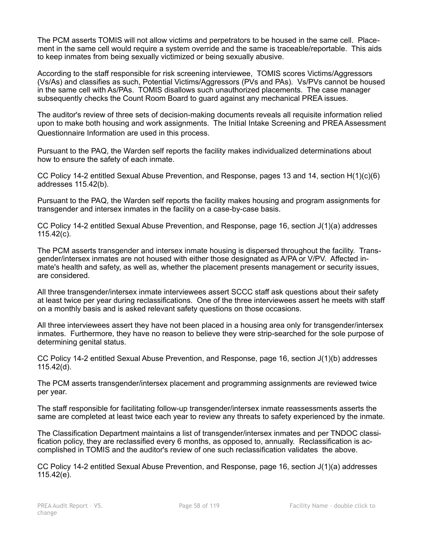The PCM asserts TOMIS will not allow victims and perpetrators to be housed in the same cell. Placement in the same cell would require a system override and the same is traceable/reportable. This aids to keep inmates from being sexually victimized or being sexually abusive.

According to the staff responsible for risk screening interviewee, TOMIS scores Victims/Aggressors (Vs/As) and classifies as such, Potential Victims/Aggressors (PVs and PAs). Vs/PVs cannot be housed in the same cell with As/PAs. TOMIS disallows such unauthorized placements. The case manager subsequently checks the Count Room Board to guard against any mechanical PREA issues.

The auditor's review of three sets of decision-making documents reveals all requisite information relied upon to make both housing and work assignments. The Initial Intake Screening and PREA Assessment Questionnaire Information are used in this process.

Pursuant to the PAQ, the Warden self reports the facility makes individualized determinations about how to ensure the safety of each inmate.

CC Policy 14-2 entitled Sexual Abuse Prevention, and Response, pages 13 and 14, section H(1)(c)(6) addresses 115.42(b).

Pursuant to the PAQ, the Warden self reports the facility makes housing and program assignments for transgender and intersex inmates in the facility on a case-by-case basis.

CC Policy 14-2 entitled Sexual Abuse Prevention, and Response, page 16, section J(1)(a) addresses 115.42(c).

The PCM asserts transgender and intersex inmate housing is dispersed throughout the facility. Transgender/intersex inmates are not housed with either those designated as A/PA or V/PV. Affected inmate's health and safety, as well as, whether the placement presents management or security issues, are considered.

All three transgender/intersex inmate interviewees assert SCCC staff ask questions about their safety at least twice per year during reclassifications. One of the three interviewees assert he meets with staff on a monthly basis and is asked relevant safety questions on those occasions.

All three interviewees assert they have not been placed in a housing area only for transgender/intersex inmates. Furthermore, they have no reason to believe they were strip-searched for the sole purpose of determining genital status.

CC Policy 14-2 entitled Sexual Abuse Prevention, and Response, page 16, section J(1)(b) addresses 115.42(d).

The PCM asserts transgender/intersex placement and programming assignments are reviewed twice per year.

The staff responsible for facilitating follow-up transgender/intersex inmate reassessments asserts the same are completed at least twice each year to review any threats to safety experienced by the inmate.

The Classification Department maintains a list of transgender/intersex inmates and per TNDOC classification policy, they are reclassified every 6 months, as opposed to, annually. Reclassification is accomplished in TOMIS and the auditor's review of one such reclassification validates the above.

CC Policy 14-2 entitled Sexual Abuse Prevention, and Response, page 16, section J(1)(a) addresses 115.42(e).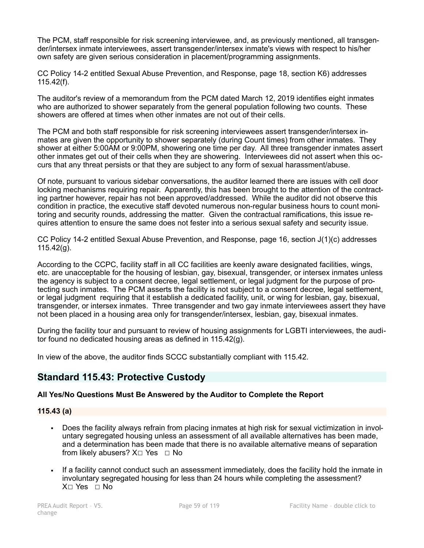The PCM, staff responsible for risk screening interviewee, and, as previously mentioned, all transgender/intersex inmate interviewees, assert transgender/intersex inmate's views with respect to his/her own safety are given serious consideration in placement/programming assignments.

CC Policy 14-2 entitled Sexual Abuse Prevention, and Response, page 18, section K6) addresses 115.42(f).

The auditor's review of a memorandum from the PCM dated March 12, 2019 identifies eight inmates who are authorized to shower separately from the general population following two counts. These showers are offered at times when other inmates are not out of their cells.

The PCM and both staff responsible for risk screening interviewees assert transgender/intersex inmates are given the opportunity to shower separately (during Count times) from other inmates. They shower at either 5:00AM or 9:00PM, showering one time per day. All three transgender inmates assert other inmates get out of their cells when they are showering. Interviewees did not assert when this occurs that any threat persists or that they are subject to any form of sexual harassment/abuse.

Of note, pursuant to various sidebar conversations, the auditor learned there are issues with cell door locking mechanisms requiring repair. Apparently, this has been brought to the attention of the contracting partner however, repair has not been approved/addressed. While the auditor did not observe this condition in practice, the executive staff devoted numerous non-regular business hours to count monitoring and security rounds, addressing the matter. Given the contractual ramifications, this issue requires attention to ensure the same does not fester into a serious sexual safety and security issue.

CC Policy 14-2 entitled Sexual Abuse Prevention, and Response, page 16, section J(1)(c) addresses 115.42(g).

According to the CCPC, facility staff in all CC facilities are keenly aware designated facilities, wings, etc. are unacceptable for the housing of lesbian, gay, bisexual, transgender, or intersex inmates unless the agency is subject to a consent decree, legal settlement, or legal judgment for the purpose of protecting such inmates. The PCM asserts the facility is not subject to a consent decree, legal settlement, or legal judgment requiring that it establish a dedicated facility, unit, or wing for lesbian, gay, bisexual, transgender, or intersex inmates. Three transgender and two gay inmate interviewees assert they have not been placed in a housing area only for transgender/intersex, lesbian, gay, bisexual inmates.

During the facility tour and pursuant to review of housing assignments for LGBTI interviewees, the auditor found no dedicated housing areas as defined in 115.42(g).

In view of the above, the auditor finds SCCC substantially compliant with 115.42.

## **Standard 115.43: Protective Custody**

## **All Yes/No Questions Must Be Answered by the Auditor to Complete the Report**

## **115.43 (a)**

- Does the facility always refrain from placing inmates at high risk for sexual victimization in involuntary segregated housing unless an assessment of all available alternatives has been made, and a determination has been made that there is no available alternative means of separation from likely abusers?  $X□$  Yes  $□$  No
- If a facility cannot conduct such an assessment immediately, does the facility hold the inmate in involuntary segregated housing for less than 24 hours while completing the assessment? X☐ Yes ☐ No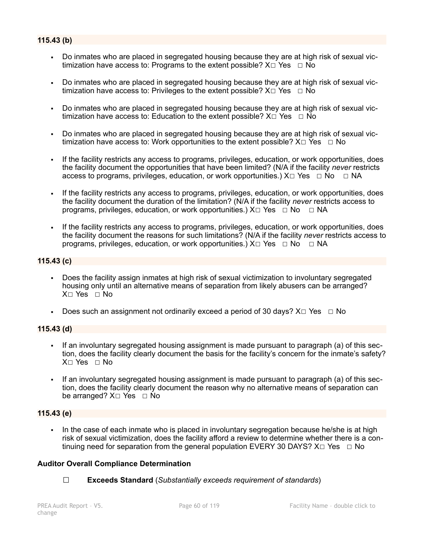## **115.43 (b)**

- Do inmates who are placed in segregated housing because they are at high risk of sexual victimization have access to: Programs to the extent possible?  $X \Box Y$ es  $\Box N$ o
- Do inmates who are placed in segregated housing because they are at high risk of sexual victimization have access to: Privileges to the extent possible?  $X \Box Y$ es  $\Box N$ o
- Do inmates who are placed in segregated housing because they are at high risk of sexual victimization have access to: Education to the extent possible?  $X \Box Y$ es  $\Box N$ o
- Do inmates who are placed in segregated housing because they are at high risk of sexual victimization have access to: Work opportunities to the extent possible?  $X \Box Y$ es  $\Box$  No
- If the facility restricts any access to programs, privileges, education, or work opportunities, does the facility document the opportunities that have been limited? (N/A if the facility *never* restricts access to programs, privileges, education, or work opportunities.)  $X \Box Y$ es  $\Box \overline{N}$ o  $\Box \overline{N}$ A
- If the facility restricts any access to programs, privileges, education, or work opportunities, does the facility document the duration of the limitation? (N/A if the facility *never* restricts access to programs, privileges, education, or work opportunities.)  $X \Box Y$ es  $\Box \text{No } \Box \text{NA}$
- If the facility restricts any access to programs, privileges, education, or work opportunities, does the facility document the reasons for such limitations? (N/A if the facility *never* restricts access to programs, privileges, education, or work opportunities.)  $X \Box Y$ es  $\Box \text{No } \Box \text{NA}$

### **115.43 (c)**

- Does the facility assign inmates at high risk of sexual victimization to involuntary segregated housing only until an alternative means of separation from likely abusers can be arranged? X☐ Yes ☐ No
- **•** Does such an assignment not ordinarily exceed a period of 30 days?  $X \square Y$ es  $\Box$  No

### **115.43 (d)**

- If an involuntary segregated housing assignment is made pursuant to paragraph (a) of this section, does the facility clearly document the basis for the facility's concern for the inmate's safety? X☐ Yes ☐ No
- If an involuntary segregated housing assignment is made pursuant to paragraph (a) of this section, does the facility clearly document the reason why no alternative means of separation can be arranged? X□ Yes □ No

### **115.43 (e)**

In the case of each inmate who is placed in involuntary segregation because he/she is at high risk of sexual victimization, does the facility afford a review to determine whether there is a continuing need for separation from the general population EVERY 30 DAYS?  $X \Box Y$ es  $\Box$  No

### **Auditor Overall Compliance Determination**

☐ **Exceeds Standard** (*Substantially exceeds requirement of standards*)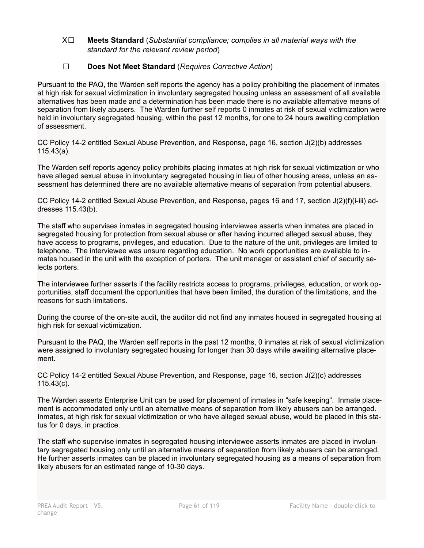### X☐ **Meets Standard** (*Substantial compliance; complies in all material ways with the standard for the relevant review period*)

## ☐ **Does Not Meet Standard** (*Requires Corrective Action*)

Pursuant to the PAQ, the Warden self reports the agency has a policy prohibiting the placement of inmates at high risk for sexual victimization in involuntary segregated housing unless an assessment of all available alternatives has been made and a determination has been made there is no available alternative means of separation from likely abusers. The Warden further self reports 0 inmates at risk of sexual victimization were held in involuntary segregated housing, within the past 12 months, for one to 24 hours awaiting completion of assessment.

CC Policy 14-2 entitled Sexual Abuse Prevention, and Response, page 16, section J(2)(b) addresses 115.43(a).

The Warden self reports agency policy prohibits placing inmates at high risk for sexual victimization or who have alleged sexual abuse in involuntary segregated housing in lieu of other housing areas, unless an assessment has determined there are no available alternative means of separation from potential abusers.

CC Policy 14-2 entitled Sexual Abuse Prevention, and Response, pages 16 and 17, section J(2)(f)(i-iii) addresses 115.43(b).

The staff who supervises inmates in segregated housing interviewee asserts when inmates are placed in segregated housing for protection from sexual abuse or after having incurred alleged sexual abuse, they have access to programs, privileges, and education. Due to the nature of the unit, privileges are limited to telephone. The interviewee was unsure regarding education. No work opportunities are available to inmates housed in the unit with the exception of porters. The unit manager or assistant chief of security selects porters.

The interviewee further asserts if the facility restricts access to programs, privileges, education, or work opportunities, staff document the opportunities that have been limited, the duration of the limitations, and the reasons for such limitations.

During the course of the on-site audit, the auditor did not find any inmates housed in segregated housing at high risk for sexual victimization.

Pursuant to the PAQ, the Warden self reports in the past 12 months, 0 inmates at risk of sexual victimization were assigned to involuntary segregated housing for longer than 30 days while awaiting alternative placement.

CC Policy 14-2 entitled Sexual Abuse Prevention, and Response, page 16, section J(2)(c) addresses 115.43(c).

The Warden asserts Enterprise Unit can be used for placement of inmates in "safe keeping". Inmate placement is accommodated only until an alternative means of separation from likely abusers can be arranged. Inmates, at high risk for sexual victimization or who have alleged sexual abuse, would be placed in this status for 0 days, in practice.

The staff who supervise inmates in segregated housing interviewee asserts inmates are placed in involuntary segregated housing only until an alternative means of separation from likely abusers can be arranged. He further asserts inmates can be placed in involuntary segregated housing as a means of separation from likely abusers for an estimated range of 10-30 days.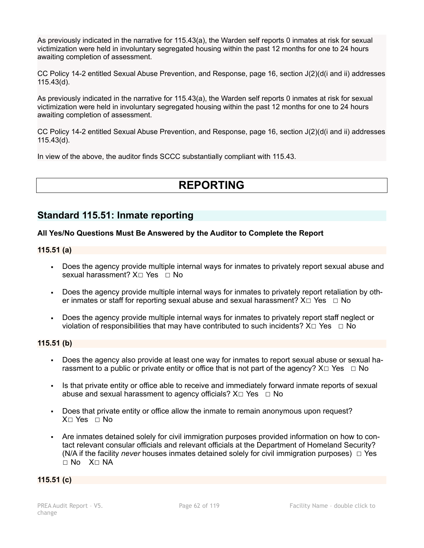As previously indicated in the narrative for 115.43(a), the Warden self reports 0 inmates at risk for sexual victimization were held in involuntary segregated housing within the past 12 months for one to 24 hours awaiting completion of assessment.

CC Policy 14-2 entitled Sexual Abuse Prevention, and Response, page 16, section J(2)(d(i and ii) addresses 115.43(d).

As previously indicated in the narrative for 115.43(a), the Warden self reports 0 inmates at risk for sexual victimization were held in involuntary segregated housing within the past 12 months for one to 24 hours awaiting completion of assessment.

CC Policy 14-2 entitled Sexual Abuse Prevention, and Response, page 16, section J(2)(d(i and ii) addresses 115.43(d).

In view of the above, the auditor finds SCCC substantially compliant with 115.43.

# **REPORTING**

## **Standard 115.51: Inmate reporting**

## **All Yes/No Questions Must Be Answered by the Auditor to Complete the Report**

### **115.51 (a)**

- Does the agency provide multiple internal ways for inmates to privately report sexual abuse and sexual harassment? X□ Yes □ No
- Does the agency provide multiple internal ways for inmates to privately report retaliation by other inmates or staff for reporting sexual abuse and sexual harassment?  $X \Box Y$ es  $\Box$  No
- Does the agency provide multiple internal ways for inmates to privately report staff neglect or violation of responsibilities that may have contributed to such incidents?  $X \Box Y$ es  $\Box \text{No}$

## **115.51 (b)**

- Does the agency also provide at least one way for inmates to report sexual abuse or sexual harassment to a public or private entity or office that is not part of the agency?  $X \Box Y$ es  $\Box$  No
- Is that private entity or office able to receive and immediately forward inmate reports of sexual abuse and sexual harassment to agency officials?  $X \Box Y$ es  $\Box$  No
- Does that private entity or office allow the inmate to remain anonymous upon request?  $X \cap Yes \cap No$
- Are inmates detained solely for civil immigration purposes provided information on how to contact relevant consular officials and relevant officials at the Department of Homeland Security? (N/A if the facility *never* houses inmates detained solely for civil immigration purposes) ☐ Yes ☐ No X☐ NA

## **115.51 (c)**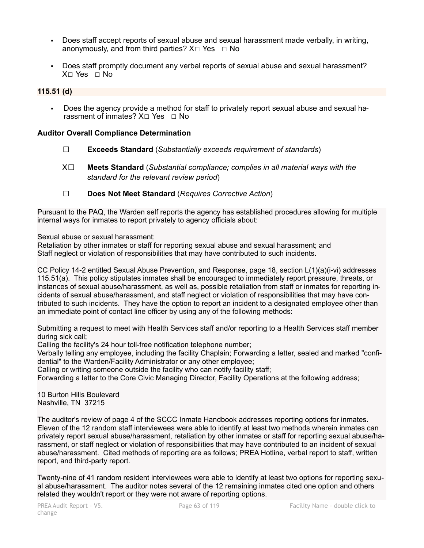- Does staff accept reports of sexual abuse and sexual harassment made verbally, in writing, anonymously, and from third parties?  $X \Box Y$ es  $\Box$  No
- Does staff promptly document any verbal reports of sexual abuse and sexual harassment? X☐ Yes ☐ No

## **115.51 (d)**

Does the agency provide a method for staff to privately report sexual abuse and sexual harassment of inmates?  $X□$  Yes □ No

### **Auditor Overall Compliance Determination**

- ☐ **Exceeds Standard** (*Substantially exceeds requirement of standards*)
- X☐ **Meets Standard** (*Substantial compliance; complies in all material ways with the standard for the relevant review period*)
- ☐ **Does Not Meet Standard** (*Requires Corrective Action*)

Pursuant to the PAQ, the Warden self reports the agency has established procedures allowing for multiple internal ways for inmates to report privately to agency officials about:

Sexual abuse or sexual harassment;

Retaliation by other inmates or staff for reporting sexual abuse and sexual harassment; and Staff neglect or violation of responsibilities that may have contributed to such incidents.

CC Policy 14-2 entitled Sexual Abuse Prevention, and Response, page 18, section L(1)(a)(i-vi) addresses 115.51(a). This policy stipulates inmates shall be encouraged to immediately report pressure, threats, or instances of sexual abuse/harassment, as well as, possible retaliation from staff or inmates for reporting incidents of sexual abuse/harassment, and staff neglect or violation of responsibilities that may have contributed to such incidents. They have the option to report an incident to a designated employee other than an immediate point of contact line officer by using any of the following methods:

Submitting a request to meet with Health Services staff and/or reporting to a Health Services staff member during sick call;

Calling the facility's 24 hour toll-free notification telephone number;

Verbally telling any employee, including the facility Chaplain; Forwarding a letter, sealed and marked "confidential" to the Warden/Facility Administrator or any other employee;

Calling or writing someone outside the facility who can notify facility staff;

Forwarding a letter to the Core Civic Managing Director, Facility Operations at the following address;

10 Burton Hills Boulevard Nashville, TN 37215

The auditor's review of page 4 of the SCCC Inmate Handbook addresses reporting options for inmates. Eleven of the 12 random staff interviewees were able to identify at least two methods wherein inmates can privately report sexual abuse/harassment, retaliation by other inmates or staff for reporting sexual abuse/harassment, or staff neglect or violation of responsibilities that may have contributed to an incident of sexual abuse/harassment. Cited methods of reporting are as follows; PREA Hotline, verbal report to staff, written report, and third-party report.

Twenty-nine of 41 random resident interviewees were able to identify at least two options for reporting sexual abuse/harassment. The auditor notes several of the 12 remaining inmates cited one option and others related they wouldn't report or they were not aware of reporting options.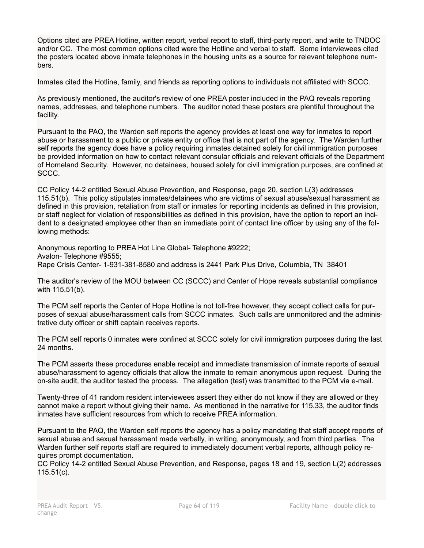Options cited are PREA Hotline, written report, verbal report to staff, third-party report, and write to TNDOC and/or CC. The most common options cited were the Hotline and verbal to staff. Some interviewees cited the posters located above inmate telephones in the housing units as a source for relevant telephone numbers.

Inmates cited the Hotline, family, and friends as reporting options to individuals not affiliated with SCCC.

As previously mentioned, the auditor's review of one PREA poster included in the PAQ reveals reporting names, addresses, and telephone numbers. The auditor noted these posters are plentiful throughout the facility.

Pursuant to the PAQ, the Warden self reports the agency provides at least one way for inmates to report abuse or harassment to a public or private entity or office that is not part of the agency. The Warden further self reports the agency does have a policy requiring inmates detained solely for civil immigration purposes be provided information on how to contact relevant consular officials and relevant officials of the Department of Homeland Security. However, no detainees, housed solely for civil immigration purposes, are confined at SCCC.

CC Policy 14-2 entitled Sexual Abuse Prevention, and Response, page 20, section L(3) addresses 115.51(b). This policy stipulates inmates/detainees who are victims of sexual abuse/sexual harassment as defined in this provision, retaliation from staff or inmates for reporting incidents as defined in this provision, or staff neglect for violation of responsibilities as defined in this provision, have the option to report an incident to a designated employee other than an immediate point of contact line officer by using any of the following methods:

Anonymous reporting to PREA Hot Line Global- Telephone #9222; Avalon- Telephone #9555; Rape Crisis Center- 1-931-381-8580 and address is 2441 Park Plus Drive, Columbia, TN 38401

The auditor's review of the MOU between CC (SCCC) and Center of Hope reveals substantial compliance with 115.51(b).

The PCM self reports the Center of Hope Hotline is not toll-free however, they accept collect calls for purposes of sexual abuse/harassment calls from SCCC inmates. Such calls are unmonitored and the administrative duty officer or shift captain receives reports.

The PCM self reports 0 inmates were confined at SCCC solely for civil immigration purposes during the last 24 months.

The PCM asserts these procedures enable receipt and immediate transmission of inmate reports of sexual abuse/harassment to agency officials that allow the inmate to remain anonymous upon request. During the on-site audit, the auditor tested the process. The allegation (test) was transmitted to the PCM via e-mail.

Twenty-three of 41 random resident interviewees assert they either do not know if they are allowed or they cannot make a report without giving their name. As mentioned in the narrative for 115.33, the auditor finds inmates have sufficient resources from which to receive PREA information.

Pursuant to the PAQ, the Warden self reports the agency has a policy mandating that staff accept reports of sexual abuse and sexual harassment made verbally, in writing, anonymously, and from third parties. The Warden further self reports staff are required to immediately document verbal reports, although policy requires prompt documentation.

CC Policy 14-2 entitled Sexual Abuse Prevention, and Response, pages 18 and 19, section L(2) addresses 115.51(c).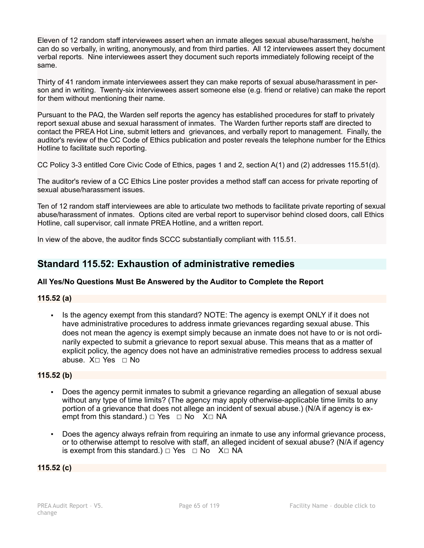Eleven of 12 random staff interviewees assert when an inmate alleges sexual abuse/harassment, he/she can do so verbally, in writing, anonymously, and from third parties. All 12 interviewees assert they document verbal reports. Nine interviewees assert they document such reports immediately following receipt of the same.

Thirty of 41 random inmate interviewees assert they can make reports of sexual abuse/harassment in person and in writing. Twenty-six interviewees assert someone else (e.g. friend or relative) can make the report for them without mentioning their name.

Pursuant to the PAQ, the Warden self reports the agency has established procedures for staff to privately report sexual abuse and sexual harassment of inmates. The Warden further reports staff are directed to contact the PREA Hot Line, submit letters and grievances, and verbally report to management. Finally, the auditor's review of the CC Code of Ethics publication and poster reveals the telephone number for the Ethics Hotline to facilitate such reporting.

CC Policy 3-3 entitled Core Civic Code of Ethics, pages 1 and 2, section A(1) and (2) addresses 115.51(d).

The auditor's review of a CC Ethics Line poster provides a method staff can access for private reporting of sexual abuse/harassment issues.

Ten of 12 random staff interviewees are able to articulate two methods to facilitate private reporting of sexual abuse/harassment of inmates. Options cited are verbal report to supervisor behind closed doors, call Ethics Hotline, call supervisor, call inmate PREA Hotline, and a written report.

In view of the above, the auditor finds SCCC substantially compliant with 115.51.

## **Standard 115.52: Exhaustion of administrative remedies**

## **All Yes/No Questions Must Be Answered by the Auditor to Complete the Report**

## **115.52 (a)**

▪ Is the agency exempt from this standard? NOTE: The agency is exempt ONLY if it does not have administrative procedures to address inmate grievances regarding sexual abuse. This does not mean the agency is exempt simply because an inmate does not have to or is not ordinarily expected to submit a grievance to report sexual abuse. This means that as a matter of explicit policy, the agency does not have an administrative remedies process to address sexual abuse. X☐ Yes ☐ No

## **115.52 (b)**

- Does the agency permit inmates to submit a grievance regarding an allegation of sexual abuse without any type of time limits? (The agency may apply otherwise-applicable time limits to any portion of a grievance that does not allege an incident of sexual abuse.) (N/A if agency is exempt from this standard.)  $□$  Yes  $□$  No  $X□$  NA
- Does the agency always refrain from requiring an inmate to use any informal grievance process, or to otherwise attempt to resolve with staff, an alleged incident of sexual abuse? (N/A if agency is exempt from this standard.)  $\Box$  Yes  $\Box$  No X $\Box$  NA

### **115.52 (c)**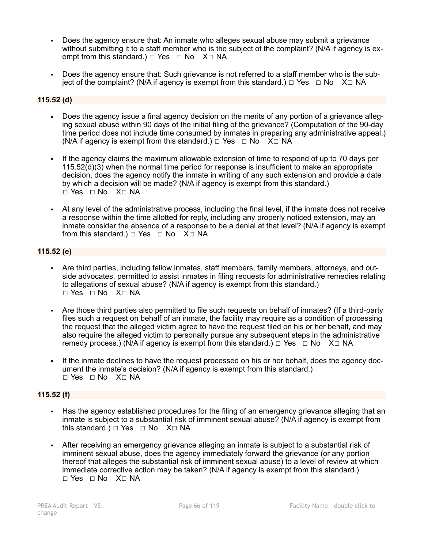- Does the agency ensure that: An inmate who alleges sexual abuse may submit a grievance without submitting it to a staff member who is the subject of the complaint? (N/A if agency is exempt from this standard.)  $\Box$  Yes  $\Box$  No X $\Box$  NA
- Does the agency ensure that: Such grievance is not referred to a staff member who is the subject of the complaint? (N/A if agency is exempt from this standard.)  $\Box$  Yes  $\Box$  No X $\Box$  NA

## **115.52 (d)**

- Does the agency issue a final agency decision on the merits of any portion of a grievance alleging sexual abuse within 90 days of the initial filing of the grievance? (Computation of the 90-day time period does not include time consumed by inmates in preparing any administrative appeal.) (N/A if agency is exempt from this standard.)  $\Box$  Yes  $\Box$  No X $\Box$  NA
- If the agency claims the maximum allowable extension of time to respond of up to 70 days per 115.52(d)(3) when the normal time period for response is insufficient to make an appropriate decision, does the agency notify the inmate in writing of any such extension and provide a date by which a decision will be made? (N/A if agency is exempt from this standard.) ☐ Yes ☐ No X☐ NA
- At any level of the administrative process, including the final level, if the inmate does not receive a response within the time allotted for reply, including any properly noticed extension, may an inmate consider the absence of a response to be a denial at that level? (N/A if agency is exempt from this standard.)  $\Box$  Yes  $\Box$  No X $\Box$  NA

## **115.52 (e)**

- Are third parties, including fellow inmates, staff members, family members, attorneys, and outside advocates, permitted to assist inmates in filing requests for administrative remedies relating to allegations of sexual abuse? (N/A if agency is exempt from this standard.) ☐ Yes ☐ No X☐ NA
- Are those third parties also permitted to file such requests on behalf of inmates? (If a third-party files such a request on behalf of an inmate, the facility may require as a condition of processing the request that the alleged victim agree to have the request filed on his or her behalf, and may also require the alleged victim to personally pursue any subsequent steps in the administrative remedy process.) (N/A if agency is exempt from this standard.)  $\Box$  Yes  $\Box$  No X $\Box$  NA
- If the inmate declines to have the request processed on his or her behalf, does the agency document the inmate's decision? (N/A if agency is exempt from this standard.) ☐ Yes ☐ No X☐ NA

## **115.52 (f)**

- Has the agency established procedures for the filing of an emergency grievance alleging that an inmate is subject to a substantial risk of imminent sexual abuse? (N/A if agency is exempt from this standard.)  $\Box$  Yes  $\Box$  No X $\Box$  NA
- After receiving an emergency grievance alleging an inmate is subject to a substantial risk of imminent sexual abuse, does the agency immediately forward the grievance (or any portion thereof that alleges the substantial risk of imminent sexual abuse) to a level of review at which immediate corrective action may be taken? (N/A if agency is exempt from this standard.). ☐ Yes ☐ No X☐ NA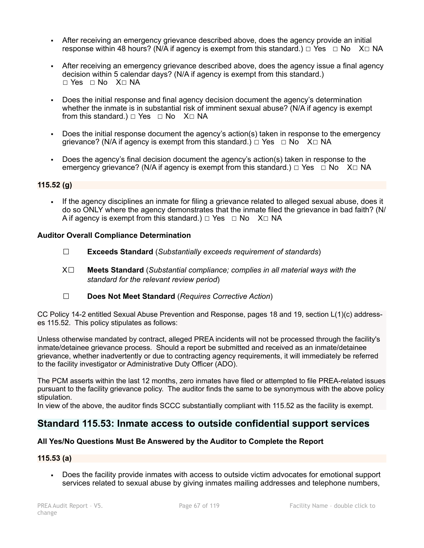- After receiving an emergency grievance described above, does the agency provide an initial response within 48 hours? (N/A if agency is exempt from this standard.)  $\Box$  Yes  $\Box$  No X $\Box$  NA
- After receiving an emergency grievance described above, does the agency issue a final agency decision within 5 calendar days? (N/A if agency is exempt from this standard.) ☐ Yes ☐ No X☐ NA
- Does the initial response and final agency decision document the agency's determination whether the inmate is in substantial risk of imminent sexual abuse? (N/A if agency is exempt from this standard.)  $\Box$  Yes  $\Box$  No X $\Box$  NA
- Does the initial response document the agency's action(s) taken in response to the emergency grievance? (N/A if agency is exempt from this standard.)  $\Box$  Yes  $\Box$  No X $\Box$  NA
- Does the agency's final decision document the agency's action(s) taken in response to the emergency grievance? (N/A if agency is exempt from this standard.)  $\Box$  Yes  $\Box$  No X $\Box$  NA

### **115.52 (g)**

▪ If the agency disciplines an inmate for filing a grievance related to alleged sexual abuse, does it do so ONLY where the agency demonstrates that the inmate filed the grievance in bad faith? (N/ A if agency is exempt from this standard.)  $\Box$  Yes  $\Box$  No X $\Box$  NA

### **Auditor Overall Compliance Determination**

- ☐ **Exceeds Standard** (*Substantially exceeds requirement of standards*)
- X☐ **Meets Standard** (*Substantial compliance; complies in all material ways with the standard for the relevant review period*)
- ☐ **Does Not Meet Standard** (*Requires Corrective Action*)

CC Policy 14-2 entitled Sexual Abuse Prevention and Response, pages 18 and 19, section L(1)(c) addresses 115.52. This policy stipulates as follows:

Unless otherwise mandated by contract, alleged PREA incidents will not be processed through the facility's inmate/detainee grievance process. Should a report be submitted and received as an inmate/detainee grievance, whether inadvertently or due to contracting agency requirements, it will immediately be referred to the facility investigator or Administrative Duty Officer (ADO).

The PCM asserts within the last 12 months, zero inmates have filed or attempted to file PREA-related issues pursuant to the facility grievance policy. The auditor finds the same to be synonymous with the above policy stipulation.

In view of the above, the auditor finds SCCC substantially compliant with 115.52 as the facility is exempt.

## **Standard 115.53: Inmate access to outside confidential support services**

## **All Yes/No Questions Must Be Answered by the Auditor to Complete the Report**

### **115.53 (a)**

▪ Does the facility provide inmates with access to outside victim advocates for emotional support services related to sexual abuse by giving inmates mailing addresses and telephone numbers,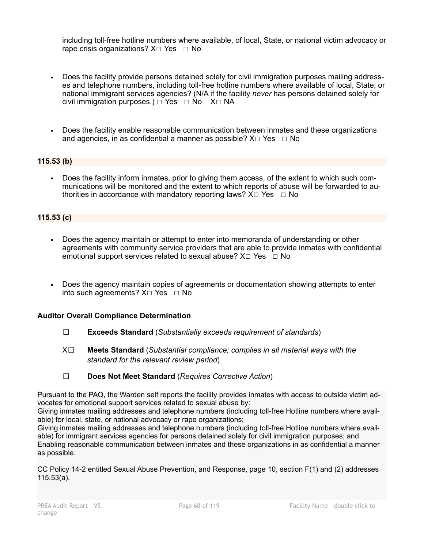including toll-free hotline numbers where available, of local, State, or national victim advocacy or rape crisis organizations?  $X \square Y$ es  $\square$  No

- Does the facility provide persons detained solely for civil immigration purposes mailing addresses and telephone numbers, including toll-free hotline numbers where available of local, State, or national immigrant services agencies? (N/A if the facility *never* has persons detained solely for civil immigration purposes.) □ Yes □ No X□ NA
- Does the facility enable reasonable communication between inmates and these organizations and agencies, in as confidential a manner as possible?  $X \Box Y$ es  $\Box$  No

## **115.53 (b)**

▪ Does the facility inform inmates, prior to giving them access, of the extent to which such communications will be monitored and the extent to which reports of abuse will be forwarded to authorities in accordance with mandatory reporting laws?  $X \Box Y$ es  $\Box$  No

### **115.53 (c)**

- Does the agency maintain or attempt to enter into memoranda of understanding or other agreements with community service providers that are able to provide inmates with confidential emotional support services related to sexual abuse?  $X \Box Y$ es  $\Box$  No
- Does the agency maintain copies of agreements or documentation showing attempts to enter into such agreements?  $X \Box Y$ es  $\Box N$ o

### **Auditor Overall Compliance Determination**

- ☐ **Exceeds Standard** (*Substantially exceeds requirement of standards*)
- X☐ **Meets Standard** (*Substantial compliance; complies in all material ways with the standard for the relevant review period*)
- ☐ **Does Not Meet Standard** (*Requires Corrective Action*)

Pursuant to the PAQ, the Warden self reports the facility provides inmates with access to outside victim advocates for emotional support services related to sexual abuse by:

Giving inmates mailing addresses and telephone numbers (including toll-free Hotline numbers where available) for local, state, or national advocacy or rape organizations;

Giving inmates mailing addresses and telephone numbers (including toll-free Hotline numbers where available) for immigrant services agencies for persons detained solely for civil immigration purposes; and Enabling reasonable communication between inmates and these organizations in as confidential a manner as possible.

CC Policy 14-2 entitled Sexual Abuse Prevention, and Response, page 10, section F(1) and (2) addresses 115.53(a).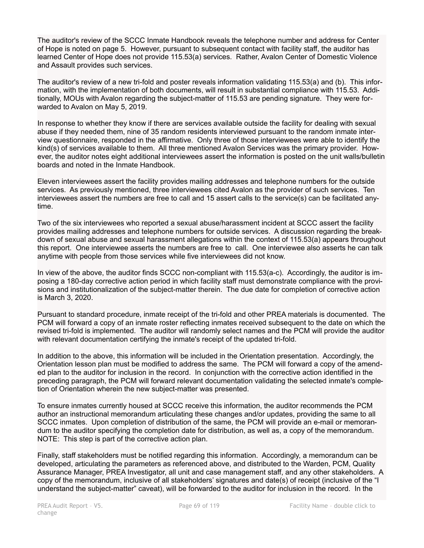The auditor's review of the SCCC Inmate Handbook reveals the telephone number and address for Center of Hope is noted on page 5. However, pursuant to subsequent contact with facility staff, the auditor has learned Center of Hope does not provide 115.53(a) services. Rather, Avalon Center of Domestic Violence and Assault provides such services.

The auditor's review of a new tri-fold and poster reveals information validating 115.53(a) and (b). This information, with the implementation of both documents, will result in substantial compliance with 115.53. Additionally, MOUs with Avalon regarding the subject-matter of 115.53 are pending signature. They were forwarded to Avalon on May 5, 2019.

In response to whether they know if there are services available outside the facility for dealing with sexual abuse if they needed them, nine of 35 random residents interviewed pursuant to the random inmate interview questionnaire, responded in the affirmative. Only three of those interviewees were able to identify the kind(s) of services available to them. All three mentioned Avalon Services was the primary provider. However, the auditor notes eight additional interviewees assert the information is posted on the unit walls/bulletin boards and noted in the Inmate Handbook.

Eleven interviewees assert the facility provides mailing addresses and telephone numbers for the outside services. As previously mentioned, three interviewees cited Avalon as the provider of such services. Ten interviewees assert the numbers are free to call and 15 assert calls to the service(s) can be facilitated anytime.

Two of the six interviewees who reported a sexual abuse/harassment incident at SCCC assert the facility provides mailing addresses and telephone numbers for outside services. A discussion regarding the breakdown of sexual abuse and sexual harassment allegations within the context of 115.53(a) appears throughout this report. One interviewee asserts the numbers are free to call. One interviewee also asserts he can talk anytime with people from those services while five interviewees did not know.

In view of the above, the auditor finds SCCC non-compliant with 115.53(a-c). Accordingly, the auditor is imposing a 180-day corrective action period in which facility staff must demonstrate compliance with the provisions and institutionalization of the subject-matter therein. The due date for completion of corrective action is March 3, 2020.

Pursuant to standard procedure, inmate receipt of the tri-fold and other PREA materials is documented. The PCM will forward a copy of an inmate roster reflecting inmates received subsequent to the date on which the revised tri-fold is implemented. The auditor will randomly select names and the PCM will provide the auditor with relevant documentation certifying the inmate's receipt of the updated tri-fold.

In addition to the above, this information will be included in the Orientation presentation. Accordingly, the Orientation lesson plan must be modified to address the same. The PCM will forward a copy of the amended plan to the auditor for inclusion in the record. In conjunction with the corrective action identified in the preceding paragraph, the PCM will forward relevant documentation validating the selected inmate's completion of Orientation wherein the new subject-matter was presented.

To ensure inmates currently housed at SCCC receive this information, the auditor recommends the PCM author an instructional memorandum articulating these changes and/or updates, providing the same to all SCCC inmates. Upon completion of distribution of the same, the PCM will provide an e-mail or memorandum to the auditor specifying the completion date for distribution, as well as, a copy of the memorandum. NOTE: This step is part of the corrective action plan.

Finally, staff stakeholders must be notified regarding this information. Accordingly, a memorandum can be developed, articulating the parameters as referenced above, and distributed to the Warden, PCM, Quality Assurance Manager, PREA Investigator, all unit and case management staff, and any other stakeholders. A copy of the memorandum, inclusive of all stakeholders' signatures and date(s) of receipt (inclusive of the "I understand the subject-matter" caveat), will be forwarded to the auditor for inclusion in the record. In the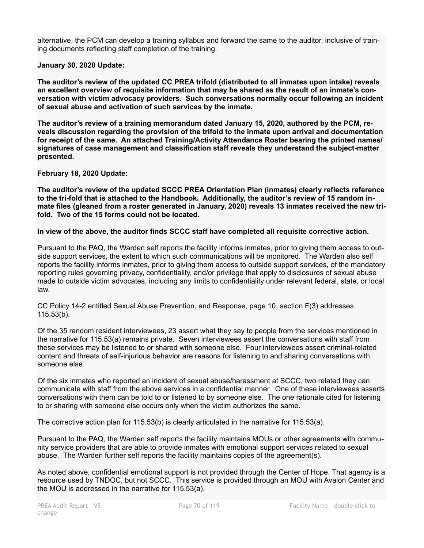alternative, the PCM can develop a training syllabus and forward the same to the auditor, inclusive of training documents reflecting staff completion of the training.

### **January 30, 2020 Update:**

**The auditor's review of the updated CC PREA trifold (distributed to all inmates upon intake) reveals an excellent overview of requisite information that may be shared as the result of an inmate's conversation with victim advocacy providers. Such conversations normally occur following an incident of sexual abuse and activation of such services by the inmate.**

**The auditor's review of a training memorandum dated January 15, 2020, authored by the PCM, reveals discussion regarding the provision of the trifold to the inmate upon arrival and documentation for receipt of the same. An attached Training/Activity Attendance Roster bearing the printed names/ signatures of case management and classification staff reveals they understand the subject-matter presented.** 

### **February 18, 2020 Update:**

**The auditor's review of the updated SCCC PREA Orientation Plan (inmates) clearly reflects reference to the tri-fold that is attached to the Handbook. Additionally, the auditor's review of 15 random inmate files (gleaned from a roster generated in January, 2020) reveals 13 inmates received the new trifold. Two of the 15 forms could not be located.** 

### **In view of the above, the auditor finds SCCC staff have completed all requisite corrective action.**

Pursuant to the PAQ, the Warden self reports the facility informs inmates, prior to giving them access to outside support services, the extent to which such communications will be monitored. The Warden also self reports the facility informs inmates, prior to giving them access to outside support services, of the mandatory reporting rules governing privacy, confidentiality, and/or privilege that apply to disclosures of sexual abuse made to outside victim advocates, including any limits to confidentiality under relevant federal, state, or local law.

CC Policy 14-2 entitled Sexual Abuse Prevention, and Response, page 10, section F(3) addresses 115.53(b).

Of the 35 random resident interviewees, 23 assert what they say to people from the services mentioned in the narrative for 115.53(a) remains private. Seven interviewees assert the conversations with staff from these services may be listened to or shared with someone else. Four interviewees assert criminal-related content and threats of self-injurious behavior are reasons for listening to and sharing conversations with someone else.

Of the six inmates who reported an incident of sexual abuse/harassment at SCCC, two related they can communicate with staff from the above services in a confidential manner. One of these interviewees asserts conversations with them can be told to or listened to by someone else. The one rationale cited for listening to or sharing with someone else occurs only when the victim authorizes the same.

The corrective action plan for 115.53(b) is clearly articulated in the narrative for 115.53(a).

Pursuant to the PAQ, the Warden self reports the facility maintains MOUs or other agreements with community service providers that are able to provide inmates with emotional support services related to sexual abuse. The Warden further self reports the facility maintains copies of the agreement(s).

As noted above, confidential emotional support is not provided through the Center of Hope. That agency is a resource used by TNDOC, but not SCCC. This service is provided through an MOU with Avalon Center and the MOU is addressed in the narrative for 115.53(a).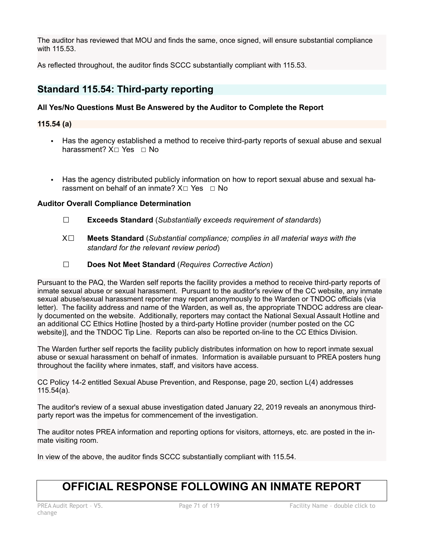The auditor has reviewed that MOU and finds the same, once signed, will ensure substantial compliance with 115.53.

As reflected throughout, the auditor finds SCCC substantially compliant with 115.53.

## **Standard 115.54: Third-party reporting**

## **All Yes/No Questions Must Be Answered by the Auditor to Complete the Report**

## **115.54 (a)**

- **EXTER 15 Has the agency established a method to receive third-party reports of sexual abuse and sexual** harassment? X□ Yes □ No
- **Example 2** Has the agency distributed publicly information on how to report sexual abuse and sexual harassment on behalf of an inmate?  $X \cap Yes \cap No$

## **Auditor Overall Compliance Determination**

- ☐ **Exceeds Standard** (*Substantially exceeds requirement of standards*)
- X☐ **Meets Standard** (*Substantial compliance; complies in all material ways with the standard for the relevant review period*)
- ☐ **Does Not Meet Standard** (*Requires Corrective Action*)

Pursuant to the PAQ, the Warden self reports the facility provides a method to receive third-party reports of inmate sexual abuse or sexual harassment. Pursuant to the auditor's review of the CC website, any inmate sexual abuse/sexual harassment reporter may report anonymously to the Warden or TNDOC officials (via letter). The facility address and name of the Warden, as well as, the appropriate TNDOC address are clearly documented on the website. Additionally, reporters may contact the National Sexual Assault Hotline and an additional CC Ethics Hotline [hosted by a third-party Hotline provider (number posted on the CC website)], and the TNDOC Tip Line. Reports can also be reported on-line to the CC Ethics Division.

The Warden further self reports the facility publicly distributes information on how to report inmate sexual abuse or sexual harassment on behalf of inmates. Information is available pursuant to PREA posters hung throughout the facility where inmates, staff, and visitors have access.

CC Policy 14-2 entitled Sexual Abuse Prevention, and Response, page 20, section L(4) addresses 115.54(a).

The auditor's review of a sexual abuse investigation dated January 22, 2019 reveals an anonymous thirdparty report was the impetus for commencement of the investigation.

The auditor notes PREA information and reporting options for visitors, attorneys, etc. are posted in the inmate visiting room.

In view of the above, the auditor finds SCCC substantially compliant with 115.54.

# **OFFICIAL RESPONSE FOLLOWING AN INMATE REPORT**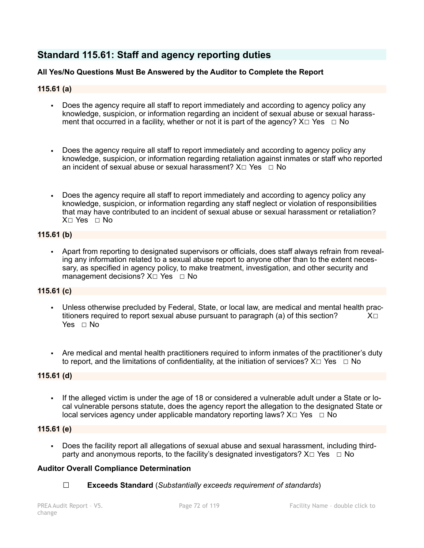## **Standard 115.61: Staff and agency reporting duties**

## **All Yes/No Questions Must Be Answered by the Auditor to Complete the Report**

## **115.61 (a)**

- Does the agency require all staff to report immediately and according to agency policy any knowledge, suspicion, or information regarding an incident of sexual abuse or sexual harassment that occurred in a facility, whether or not it is part of the agency?  $X \Box Y$ es  $\Box$  No
- Does the agency require all staff to report immediately and according to agency policy any knowledge, suspicion, or information regarding retaliation against inmates or staff who reported an incident of sexual abuse or sexual harassment?  $X \Box Y$ es  $\Box$  No
- Does the agency require all staff to report immediately and according to agency policy any knowledge, suspicion, or information regarding any staff neglect or violation of responsibilities that may have contributed to an incident of sexual abuse or sexual harassment or retaliation? X☐ Yes ☐ No

## **115.61 (b)**

▪ Apart from reporting to designated supervisors or officials, does staff always refrain from revealing any information related to a sexual abuse report to anyone other than to the extent necessary, as specified in agency policy, to make treatment, investigation, and other security and management decisions?  $X \square$  Yes  $\square$  No

## **115.61 (c)**

- Unless otherwise precluded by Federal, State, or local law, are medical and mental health prac-<br>titioners required to report sexual abuse pursuant to paragraph (a) of this section?  $X□$ titioners required to report sexual abuse pursuant to paragraph (a) of this section? Yes □ No
- Are medical and mental health practitioners required to inform inmates of the practitioner's duty to report, and the limitations of confidentiality, at the initiation of services?  $X□$  Yes □ No

## **115.61 (d)**

▪ If the alleged victim is under the age of 18 or considered a vulnerable adult under a State or local vulnerable persons statute, does the agency report the allegation to the designated State or local services agency under applicable mandatory reporting laws?  $X \Box Y$ es  $\Box$  No

## **115.61 (e)**

Does the facility report all allegations of sexual abuse and sexual harassment, including thirdparty and anonymous reports, to the facility's designated investigators?  $X \Box Y$ es  $\Box \text{No}$ 

## **Auditor Overall Compliance Determination**

☐ **Exceeds Standard** (*Substantially exceeds requirement of standards*)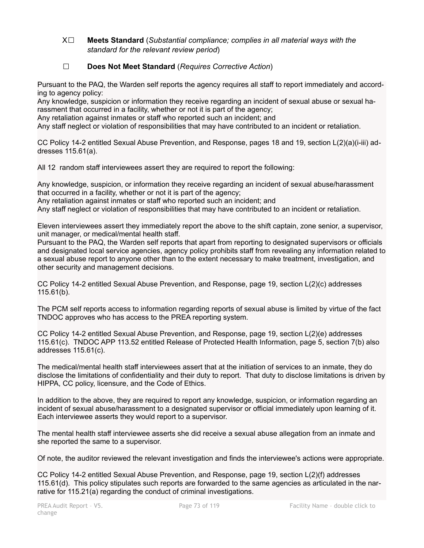X☐ **Meets Standard** (*Substantial compliance; complies in all material ways with the standard for the relevant review period*)

# ☐ **Does Not Meet Standard** (*Requires Corrective Action*)

Pursuant to the PAQ, the Warden self reports the agency requires all staff to report immediately and according to agency policy:

Any knowledge, suspicion or information they receive regarding an incident of sexual abuse or sexual harassment that occurred in a facility, whether or not it is part of the agency;

Any retaliation against inmates or staff who reported such an incident; and

Any staff neglect or violation of responsibilities that may have contributed to an incident or retaliation.

CC Policy 14-2 entitled Sexual Abuse Prevention, and Response, pages 18 and 19, section L(2)(a)(i-iii) addresses 115.61(a).

All 12 random staff interviewees assert they are required to report the following:

Any knowledge, suspicion, or information they receive regarding an incident of sexual abuse/harassment that occurred in a facility, whether or not it is part of the agency;

Any retaliation against inmates or staff who reported such an incident; and

Any staff neglect or violation of responsibilities that may have contributed to an incident or retaliation.

Eleven interviewees assert they immediately report the above to the shift captain, zone senior, a supervisor, unit manager, or medical/mental health staff.

Pursuant to the PAQ, the Warden self reports that apart from reporting to designated supervisors or officials and designated local service agencies, agency policy prohibits staff from revealing any information related to a sexual abuse report to anyone other than to the extent necessary to make treatment, investigation, and other security and management decisions.

CC Policy 14-2 entitled Sexual Abuse Prevention, and Response, page 19, section L(2)(c) addresses 115.61(b).

The PCM self reports access to information regarding reports of sexual abuse is limited by virtue of the fact TNDOC approves who has access to the PREA reporting system.

CC Policy 14-2 entitled Sexual Abuse Prevention, and Response, page 19, section L(2)(e) addresses 115.61(c). TNDOC APP 113.52 entitled Release of Protected Health Information, page 5, section 7(b) also addresses 115.61(c).

The medical/mental health staff interviewees assert that at the initiation of services to an inmate, they do disclose the limitations of confidentiality and their duty to report. That duty to disclose limitations is driven by HIPPA, CC policy, licensure, and the Code of Ethics.

In addition to the above, they are required to report any knowledge, suspicion, or information regarding an incident of sexual abuse/harassment to a designated supervisor or official immediately upon learning of it. Each interviewee asserts they would report to a supervisor.

The mental health staff interviewee asserts she did receive a sexual abuse allegation from an inmate and she reported the same to a supervisor.

Of note, the auditor reviewed the relevant investigation and finds the interviewee's actions were appropriate.

CC Policy 14-2 entitled Sexual Abuse Prevention, and Response, page 19, section L(2)(f) addresses 115.61(d). This policy stipulates such reports are forwarded to the same agencies as articulated in the narrative for 115.21(a) regarding the conduct of criminal investigations.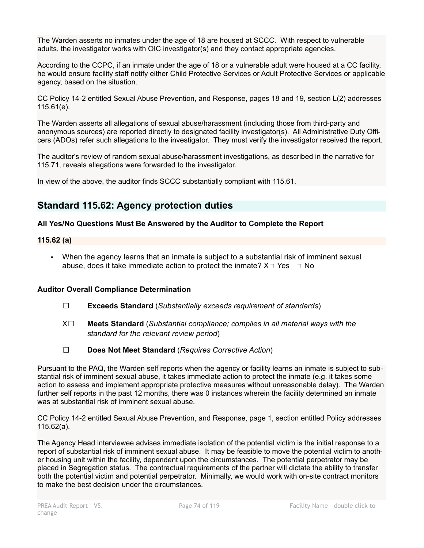The Warden asserts no inmates under the age of 18 are housed at SCCC. With respect to vulnerable adults, the investigator works with OIC investigator(s) and they contact appropriate agencies.

According to the CCPC, if an inmate under the age of 18 or a vulnerable adult were housed at a CC facility, he would ensure facility staff notify either Child Protective Services or Adult Protective Services or applicable agency, based on the situation.

CC Policy 14-2 entitled Sexual Abuse Prevention, and Response, pages 18 and 19, section L(2) addresses 115.61(e).

The Warden asserts all allegations of sexual abuse/harassment (including those from third-party and anonymous sources) are reported directly to designated facility investigator(s). All Administrative Duty Officers (ADOs) refer such allegations to the investigator. They must verify the investigator received the report.

The auditor's review of random sexual abuse/harassment investigations, as described in the narrative for 115.71, reveals allegations were forwarded to the investigator.

In view of the above, the auditor finds SCCC substantially compliant with 115.61.

# **Standard 115.62: Agency protection duties**

# **All Yes/No Questions Must Be Answered by the Auditor to Complete the Report**

# **115.62 (a)**

▪ When the agency learns that an inmate is subject to a substantial risk of imminent sexual abuse, does it take immediate action to protect the inmate?  $X \Box Y$ es  $\Box$  No

# **Auditor Overall Compliance Determination**

- ☐ **Exceeds Standard** (*Substantially exceeds requirement of standards*)
- X☐ **Meets Standard** (*Substantial compliance; complies in all material ways with the standard for the relevant review period*)
- ☐ **Does Not Meet Standard** (*Requires Corrective Action*)

Pursuant to the PAQ, the Warden self reports when the agency or facility learns an inmate is subject to substantial risk of imminent sexual abuse, it takes immediate action to protect the inmate (e.g. it takes some action to assess and implement appropriate protective measures without unreasonable delay). The Warden further self reports in the past 12 months, there was 0 instances wherein the facility determined an inmate was at substantial risk of imminent sexual abuse.

CC Policy 14-2 entitled Sexual Abuse Prevention, and Response, page 1, section entitled Policy addresses 115.62(a).

The Agency Head interviewee advises immediate isolation of the potential victim is the initial response to a report of substantial risk of imminent sexual abuse. It may be feasible to move the potential victim to another housing unit within the facility, dependent upon the circumstances. The potential perpetrator may be placed in Segregation status. The contractual requirements of the partner will dictate the ability to transfer both the potential victim and potential perpetrator. Minimally, we would work with on-site contract monitors to make the best decision under the circumstances.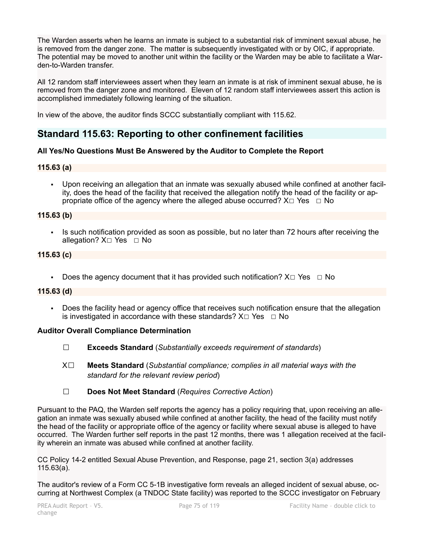The Warden asserts when he learns an inmate is subject to a substantial risk of imminent sexual abuse, he is removed from the danger zone. The matter is subsequently investigated with or by OIC, if appropriate. The potential may be moved to another unit within the facility or the Warden may be able to facilitate a Warden-to-Warden transfer.

All 12 random staff interviewees assert when they learn an inmate is at risk of imminent sexual abuse, he is removed from the danger zone and monitored. Eleven of 12 random staff interviewees assert this action is accomplished immediately following learning of the situation.

In view of the above, the auditor finds SCCC substantially compliant with 115.62.

# **Standard 115.63: Reporting to other confinement facilities**

# **All Yes/No Questions Must Be Answered by the Auditor to Complete the Report**

# **115.63 (a)**

▪ Upon receiving an allegation that an inmate was sexually abused while confined at another facility, does the head of the facility that received the allegation notify the head of the facility or appropriate office of the agency where the alleged abuse occurred?  $X \Box Y$ es  $\Box$  No

# **115.63 (b)**

**•** Is such notification provided as soon as possible, but no later than 72 hours after receiving the allegation? X□ Yes □ No

# **115.63 (c)**

**•** Does the agency document that it has provided such notification?  $X \Box Y$ es  $\Box$  No

# **115.63 (d)**

▪ Does the facility head or agency office that receives such notification ensure that the allegation is investigated in accordance with these standards?  $X \Box Y$ es  $\Box$  No

# **Auditor Overall Compliance Determination**

- ☐ **Exceeds Standard** (*Substantially exceeds requirement of standards*)
- X☐ **Meets Standard** (*Substantial compliance; complies in all material ways with the standard for the relevant review period*)
- ☐ **Does Not Meet Standard** (*Requires Corrective Action*)

Pursuant to the PAQ, the Warden self reports the agency has a policy requiring that, upon receiving an allegation an inmate was sexually abused while confined at another facility, the head of the facility must notify the head of the facility or appropriate office of the agency or facility where sexual abuse is alleged to have occurred. The Warden further self reports in the past 12 months, there was 1 allegation received at the facility wherein an inmate was abused while confined at another facility.

CC Policy 14-2 entitled Sexual Abuse Prevention, and Response, page 21, section 3(a) addresses 115.63(a).

The auditor's review of a Form CC 5-1B investigative form reveals an alleged incident of sexual abuse, occurring at Northwest Complex (a TNDOC State facility) was reported to the SCCC investigator on February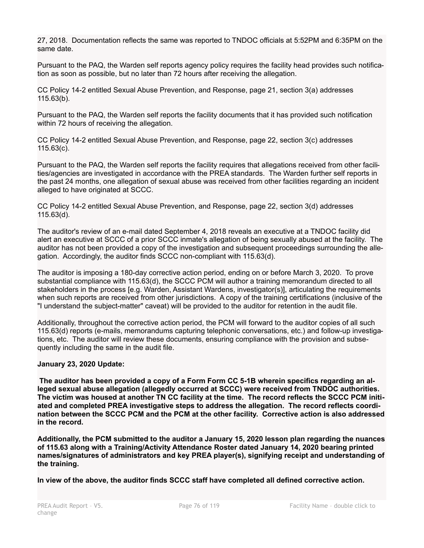27, 2018. Documentation reflects the same was reported to TNDOC officials at 5:52PM and 6:35PM on the same date.

Pursuant to the PAQ, the Warden self reports agency policy requires the facility head provides such notification as soon as possible, but no later than 72 hours after receiving the allegation.

CC Policy 14-2 entitled Sexual Abuse Prevention, and Response, page 21, section 3(a) addresses 115.63(b).

Pursuant to the PAQ, the Warden self reports the facility documents that it has provided such notification within 72 hours of receiving the allegation.

CC Policy 14-2 entitled Sexual Abuse Prevention, and Response, page 22, section 3(c) addresses 115.63(c).

Pursuant to the PAQ, the Warden self reports the facility requires that allegations received from other facilities/agencies are investigated in accordance with the PREA standards. The Warden further self reports in the past 24 months, one allegation of sexual abuse was received from other facilities regarding an incident alleged to have originated at SCCC.

CC Policy 14-2 entitled Sexual Abuse Prevention, and Response, page 22, section 3(d) addresses 115.63(d).

The auditor's review of an e-mail dated September 4, 2018 reveals an executive at a TNDOC facility did alert an executive at SCCC of a prior SCCC inmate's allegation of being sexually abused at the facility. The auditor has not been provided a copy of the investigation and subsequent proceedings surrounding the allegation. Accordingly, the auditor finds SCCC non-compliant with 115.63(d).

The auditor is imposing a 180-day corrective action period, ending on or before March 3, 2020. To prove substantial compliance with 115.63(d), the SCCC PCM will author a training memorandum directed to all stakeholders in the process [e.g. Warden, Assistant Wardens, investigator(s)], articulating the requirements when such reports are received from other jurisdictions. A copy of the training certifications (inclusive of the "I understand the subject-matter" caveat) will be provided to the auditor for retention in the audit file.

Additionally, throughout the corrective action period, the PCM will forward to the auditor copies of all such 115.63(d) reports (e-mails, memorandums capturing telephonic conversations, etc.) and follow-up investigations, etc. The auditor will review these documents, ensuring compliance with the provision and subsequently including the same in the audit file.

### **January 23, 2020 Update:**

**The auditor has been provided a copy of a Form Form CC 5-1B wherein specifics regarding an alleged sexual abuse allegation (allegedly occurred at SCCC) were received from TNDOC authorities. The victim was housed at another TN CC facility at the time. The record reflects the SCCC PCM initiated and completed PREA investigative steps to address the allegation. The record reflects coordination between the SCCC PCM and the PCM at the other facility. Corrective action is also addressed in the record.**

**Additionally, the PCM submitted to the auditor a January 15, 2020 lesson plan regarding the nuances of 115.63 along with a Training/Activity Attendance Roster dated January 14, 2020 bearing printed names/signatures of administrators and key PREA player(s), signifying receipt and understanding of the training.**

**In view of the above, the auditor finds SCCC staff have completed all defined corrective action.**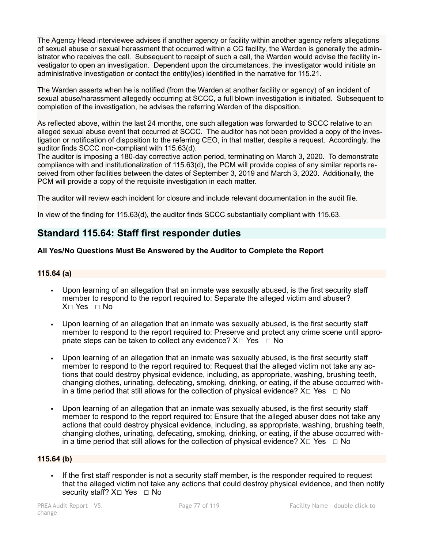The Agency Head interviewee advises if another agency or facility within another agency refers allegations of sexual abuse or sexual harassment that occurred within a CC facility, the Warden is generally the administrator who receives the call. Subsequent to receipt of such a call, the Warden would advise the facility investigator to open an investigation. Dependent upon the circumstances, the investigator would initiate an administrative investigation or contact the entity(ies) identified in the narrative for 115.21.

The Warden asserts when he is notified (from the Warden at another facility or agency) of an incident of sexual abuse/harassment allegedly occurring at SCCC, a full blown investigation is initiated. Subsequent to completion of the investigation, he advises the referring Warden of the disposition.

As reflected above, within the last 24 months, one such allegation was forwarded to SCCC relative to an alleged sexual abuse event that occurred at SCCC. The auditor has not been provided a copy of the investigation or notification of disposition to the referring CEO, in that matter, despite a request. Accordingly, the auditor finds SCCC non-compliant with 115.63(d).

The auditor is imposing a 180-day corrective action period, terminating on March 3, 2020. To demonstrate compliance with and institutionalization of 115.63(d), the PCM will provide copies of any similar reports received from other facilities between the dates of September 3, 2019 and March 3, 2020. Additionally, the PCM will provide a copy of the requisite investigation in each matter.

The auditor will review each incident for closure and include relevant documentation in the audit file.

In view of the finding for 115.63(d), the auditor finds SCCC substantially compliant with 115.63.

# **Standard 115.64: Staff first responder duties**

# **All Yes/No Questions Must Be Answered by the Auditor to Complete the Report**

### **115.64 (a)**

- Upon learning of an allegation that an inmate was sexually abused, is the first security staff member to respond to the report required to: Separate the alleged victim and abuser? X☐ Yes ☐ No
- Upon learning of an allegation that an inmate was sexually abused, is the first security staff member to respond to the report required to: Preserve and protect any crime scene until appropriate steps can be taken to collect any evidence?  $X \Box Y$ es  $\Box N$ o
- Upon learning of an allegation that an inmate was sexually abused, is the first security staff member to respond to the report required to: Request that the alleged victim not take any actions that could destroy physical evidence, including, as appropriate, washing, brushing teeth, changing clothes, urinating, defecating, smoking, drinking, or eating, if the abuse occurred within a time period that still allows for the collection of physical evidence?  $X \Box Y$ es  $\Box N$ o
- Upon learning of an allegation that an inmate was sexually abused, is the first security staff member to respond to the report required to: Ensure that the alleged abuser does not take any actions that could destroy physical evidence, including, as appropriate, washing, brushing teeth, changing clothes, urinating, defecating, smoking, drinking, or eating, if the abuse occurred within a time period that still allows for the collection of physical evidence?  $X \Box Y$ es  $\Box$  No

### **115.64 (b)**

▪ If the first staff responder is not a security staff member, is the responder required to request that the alleged victim not take any actions that could destroy physical evidence, and then notify security staff?  $X□$  Yes  $□$  No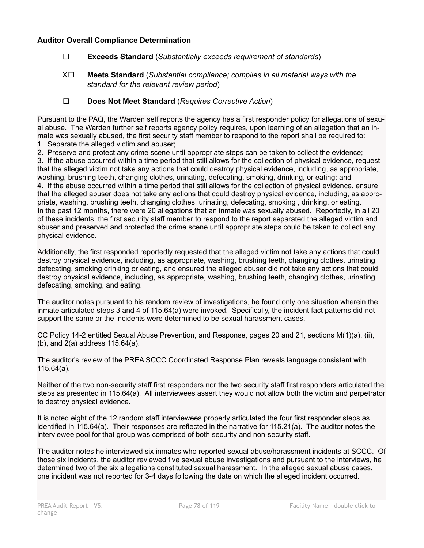# **Auditor Overall Compliance Determination**

- ☐ **Exceeds Standard** (*Substantially exceeds requirement of standards*)
- X☐ **Meets Standard** (*Substantial compliance; complies in all material ways with the standard for the relevant review period*)
- ☐ **Does Not Meet Standard** (*Requires Corrective Action*)

Pursuant to the PAQ, the Warden self reports the agency has a first responder policy for allegations of sexual abuse. The Warden further self reports agency policy requires, upon learning of an allegation that an inmate was sexually abused, the first security staff member to respond to the report shall be required to: 1. Separate the alleged victim and abuser;

2. Preserve and protect any crime scene until appropriate steps can be taken to collect the evidence;

3. If the abuse occurred within a time period that still allows for the collection of physical evidence, request that the alleged victim not take any actions that could destroy physical evidence, including, as appropriate, washing, brushing teeth, changing clothes, urinating, defecating, smoking, drinking, or eating; and 4. If the abuse occurred within a time period that still allows for the collection of physical evidence, ensure that the alleged abuser does not take any actions that could destroy physical evidence, including, as appropriate, washing, brushing teeth, changing clothes, urinating, defecating, smoking , drinking, or eating. In the past 12 months, there were 20 allegations that an inmate was sexually abused. Reportedly, in all 20 of these incidents, the first security staff member to respond to the report separated the alleged victim and abuser and preserved and protected the crime scene until appropriate steps could be taken to collect any physical evidence.

Additionally, the first responded reportedly requested that the alleged victim not take any actions that could destroy physical evidence, including, as appropriate, washing, brushing teeth, changing clothes, urinating, defecating, smoking drinking or eating, and ensured the alleged abuser did not take any actions that could destroy physical evidence, including, as appropriate, washing, brushing teeth, changing clothes, urinating, defecating, smoking, and eating.

The auditor notes pursuant to his random review of investigations, he found only one situation wherein the inmate articulated steps 3 and 4 of 115.64(a) were invoked. Specifically, the incident fact patterns did not support the same or the incidents were determined to be sexual harassment cases.

CC Policy 14-2 entitled Sexual Abuse Prevention, and Response, pages 20 and 21, sections M(1)(a), (ii), (b), and 2(a) address 115.64(a).

The auditor's review of the PREA SCCC Coordinated Response Plan reveals language consistent with 115.64(a).

Neither of the two non-security staff first responders nor the two security staff first responders articulated the steps as presented in 115.64(a). All interviewees assert they would not allow both the victim and perpetrator to destroy physical evidence.

It is noted eight of the 12 random staff interviewees properly articulated the four first responder steps as identified in 115.64(a). Their responses are reflected in the narrative for 115.21(a). The auditor notes the interviewee pool for that group was comprised of both security and non-security staff.

The auditor notes he interviewed six inmates who reported sexual abuse/harassment incidents at SCCC. Of those six incidents, the auditor reviewed five sexual abuse investigations and pursuant to the interviews, he determined two of the six allegations constituted sexual harassment. In the alleged sexual abuse cases, one incident was not reported for 3-4 days following the date on which the alleged incident occurred.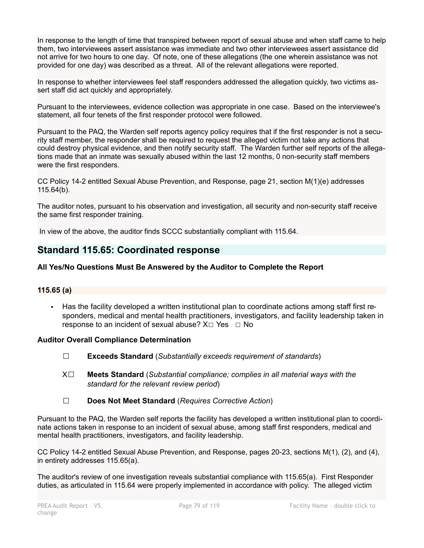In response to the length of time that transpired between report of sexual abuse and when staff came to help them, two interviewees assert assistance was immediate and two other interviewees assert assistance did not arrive for two hours to one day. Of note, one of these allegations (the one wherein assistance was not provided for one day) was described as a threat. All of the relevant allegations were reported.

In response to whether interviewees feel staff responders addressed the allegation quickly, two victims assert staff did act quickly and appropriately.

Pursuant to the interviewees, evidence collection was appropriate in one case. Based on the interviewee's statement, all four tenets of the first responder protocol were followed.

Pursuant to the PAQ, the Warden self reports agency policy requires that if the first responder is not a security staff member, the responder shall be required to request the alleged victim not take any actions that could destroy physical evidence, and then notify security staff. The Warden further self reports of the allegations made that an inmate was sexually abused within the last 12 months, 0 non-security staff members were the first responders.

CC Policy 14-2 entitled Sexual Abuse Prevention, and Response, page 21, section M(1)(e) addresses 115.64(b).

The auditor notes, pursuant to his observation and investigation, all security and non-security staff receive the same first responder training.

In view of the above, the auditor finds SCCC substantially compliant with 115.64.

# **Standard 115.65: Coordinated response**

# **All Yes/No Questions Must Be Answered by the Auditor to Complete the Report**

# **115.65 (a)**

▪ Has the facility developed a written institutional plan to coordinate actions among staff first responders, medical and mental health practitioners, investigators, and facility leadership taken in response to an incident of sexual abuse?  $X \Box Y$ es  $\Box$  No

# **Auditor Overall Compliance Determination**

- ☐ **Exceeds Standard** (*Substantially exceeds requirement of standards*)
- X☐ **Meets Standard** (*Substantial compliance; complies in all material ways with the standard for the relevant review period*)
- ☐ **Does Not Meet Standard** (*Requires Corrective Action*)

Pursuant to the PAQ, the Warden self reports the facility has developed a written institutional plan to coordinate actions taken in response to an incident of sexual abuse, among staff first responders, medical and mental health practitioners, investigators, and facility leadership.

CC Policy 14-2 entitled Sexual Abuse Prevention, and Response, pages 20-23, sections M(1), (2), and (4), in entirety addresses 115.65(a).

The auditor's review of one investigation reveals substantial compliance with 115.65(a). First Responder duties, as articulated in 115.64 were properly implemented in accordance with policy. The alleged victim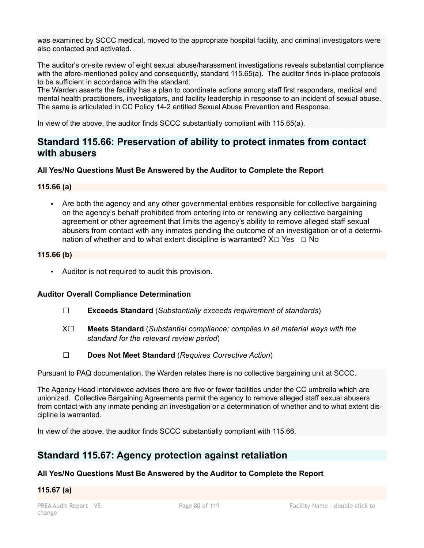was examined by SCCC medical, moved to the appropriate hospital facility, and criminal investigators were also contacted and activated.

The auditor's on-site review of eight sexual abuse/harassment investigations reveals substantial compliance with the afore-mentioned policy and consequently, standard 115.65(a). The auditor finds in-place protocols to be sufficient in accordance with the standard.

The Warden asserts the facility has a plan to coordinate actions among staff first responders, medical and mental health practitioners, investigators, and facility leadership in response to an incident of sexual abuse. The same is articulated in CC Policy 14-2 entitled Sexual Abuse Prevention and Response.

In view of the above, the auditor finds SCCC substantially compliant with 115.65(a).

# **Standard 115.66: Preservation of ability to protect inmates from contact with abusers**

# **All Yes/No Questions Must Be Answered by the Auditor to Complete the Report**

# **115.66 (a)**

▪ Are both the agency and any other governmental entities responsible for collective bargaining on the agency's behalf prohibited from entering into or renewing any collective bargaining agreement or other agreement that limits the agency's ability to remove alleged staff sexual abusers from contact with any inmates pending the outcome of an investigation or of a determination of whether and to what extent discipline is warranted?  $X \Box Y$ es  $\Box$  No

# **115.66 (b)**

▪ Auditor is not required to audit this provision.

# **Auditor Overall Compliance Determination**

- ☐ **Exceeds Standard** (*Substantially exceeds requirement of standards*)
- X☐ **Meets Standard** (*Substantial compliance; complies in all material ways with the standard for the relevant review period*)
- ☐ **Does Not Meet Standard** (*Requires Corrective Action*)

Pursuant to PAQ documentation, the Warden relates there is no collective bargaining unit at SCCC.

The Agency Head interviewee advises there are five or fewer facilities under the CC umbrella which are unionized. Collective Bargaining Agreements permit the agency to remove alleged staff sexual abusers from contact with any inmate pending an investigation or a determination of whether and to what extent discipline is warranted.

In view of the above, the auditor finds SCCC substantially compliant with 115.66.

# **Standard 115.67: Agency protection against retaliation**

# **All Yes/No Questions Must Be Answered by the Auditor to Complete the Report**

# **115.67 (a)**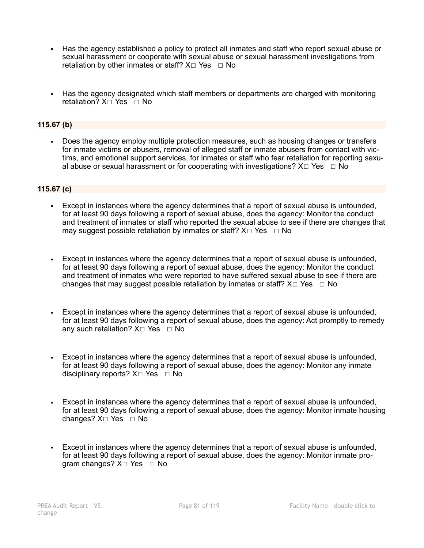- Has the agency established a policy to protect all inmates and staff who report sexual abuse or sexual harassment or cooperate with sexual abuse or sexual harassment investigations from retaliation by other inmates or staff?  $X \Box Y$ es  $\Box$  No
- Has the agency designated which staff members or departments are charged with monitoring retaliation? X □ Yes □ No

# **115.67 (b)**

▪ Does the agency employ multiple protection measures, such as housing changes or transfers for inmate victims or abusers, removal of alleged staff or inmate abusers from contact with victims, and emotional support services, for inmates or staff who fear retaliation for reporting sexual abuse or sexual harassment or for cooperating with investigations?  $X \Box Y$ es  $\Box$  No

### **115.67 (c)**

- **Except in instances where the agency determines that a report of sexual abuse is unfounded,** for at least 90 days following a report of sexual abuse, does the agency: Monitor the conduct and treatment of inmates or staff who reported the sexual abuse to see if there are changes that may suggest possible retaliation by inmates or staff?  $X \Box Y$ es  $\Box$  No
- Except in instances where the agency determines that a report of sexual abuse is unfounded, for at least 90 days following a report of sexual abuse, does the agency: Monitor the conduct and treatment of inmates who were reported to have suffered sexual abuse to see if there are changes that may suggest possible retaliation by inmates or staff?  $X \Box Y$ es  $\Box$  No
- Except in instances where the agency determines that a report of sexual abuse is unfounded, for at least 90 days following a report of sexual abuse, does the agency: Act promptly to remedy any such retaliation?  $X□$  Yes  $□$  No
- Except in instances where the agency determines that a report of sexual abuse is unfounded, for at least 90 days following a report of sexual abuse, does the agency: Monitor any inmate disciplinary reports? X□ Yes □ No
- Except in instances where the agency determines that a report of sexual abuse is unfounded, for at least 90 days following a report of sexual abuse, does the agency: Monitor inmate housing changes? X□ Yes □ No
- Except in instances where the agency determines that a report of sexual abuse is unfounded, for at least 90 days following a report of sexual abuse, does the agency: Monitor inmate program changes?  $X□$  Yes □ No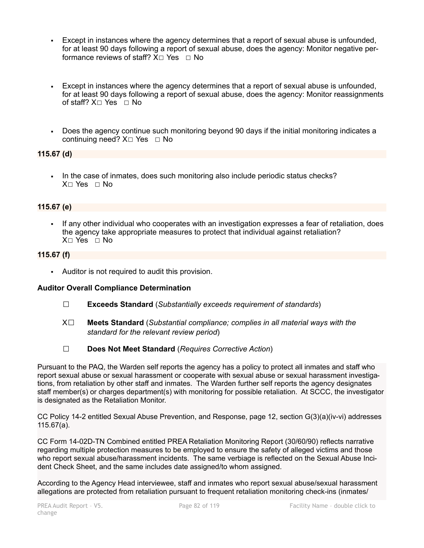- Except in instances where the agency determines that a report of sexual abuse is unfounded, for at least 90 days following a report of sexual abuse, does the agency: Monitor negative performance reviews of staff?  $X□$  Yes  $□$  No
- Except in instances where the agency determines that a report of sexual abuse is unfounded, for at least 90 days following a report of sexual abuse, does the agency: Monitor reassignments of staff?  $X□$  Yes □ No
- Does the agency continue such monitoring beyond 90 days if the initial monitoring indicates a continuing need?  $X□$  Yes □ No

# **115.67 (d)**

▪ In the case of inmates, does such monitoring also include periodic status checks? X□ Yes □ No

# **115.67 (e)**

▪ If any other individual who cooperates with an investigation expresses a fear of retaliation, does the agency take appropriate measures to protect that individual against retaliation? X☐ Yes ☐ No

# **115.67 (f)**

▪ Auditor is not required to audit this provision.

# **Auditor Overall Compliance Determination**

- ☐ **Exceeds Standard** (*Substantially exceeds requirement of standards*)
- X☐ **Meets Standard** (*Substantial compliance; complies in all material ways with the standard for the relevant review period*)
- ☐ **Does Not Meet Standard** (*Requires Corrective Action*)

Pursuant to the PAQ, the Warden self reports the agency has a policy to protect all inmates and staff who report sexual abuse or sexual harassment or cooperate with sexual abuse or sexual harassment investigations, from retaliation by other staff and inmates. The Warden further self reports the agency designates staff member(s) or charges department(s) with monitoring for possible retaliation. At SCCC, the investigator is designated as the Retaliation Monitor.

CC Policy 14-2 entitled Sexual Abuse Prevention, and Response, page 12, section G(3)(a)(iv-vi) addresses 115.67(a).

CC Form 14-02D-TN Combined entitled PREA Retaliation Monitoring Report (30/60/90) reflects narrative regarding multiple protection measures to be employed to ensure the safety of alleged victims and those who report sexual abuse/harassment incidents. The same verbiage is reflected on the Sexual Abuse Incident Check Sheet, and the same includes date assigned/to whom assigned.

According to the Agency Head interviewee, staff and inmates who report sexual abuse/sexual harassment allegations are protected from retaliation pursuant to frequent retaliation monitoring check-ins (inmates/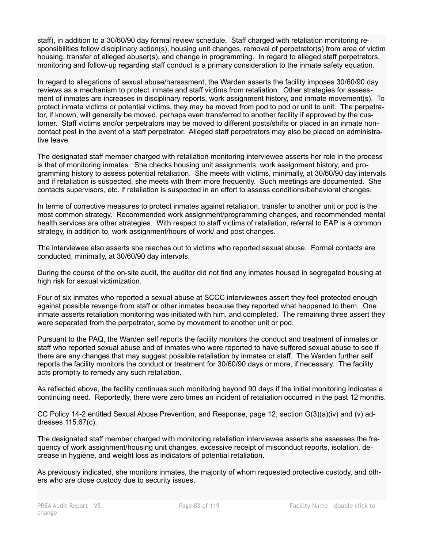staff), in addition to a 30/60/90 day formal review schedule. Staff charged with retaliation monitoring responsibilities follow disciplinary action(s), housing unit changes, removal of perpetrator(s) from area of victim housing, transfer of alleged abuser(s), and change in programming. In regard to alleged staff perpetrators, monitoring and follow-up regarding staff conduct is a primary consideration to the inmate safety equation.

In regard to allegations of sexual abuse/harassment, the Warden asserts the facility imposes 30/60/90 day reviews as a mechanism to protect inmate and staff victims from retaliation. Other strategies for assessment of inmates are increases in disciplinary reports, work assignment history, and inmate movement(s). To protect inmate victims or potential victims, they may be moved from pod to pod or unit to unit. The perpetrator, if known, will generally be moved, perhaps even transferred to another facility if approved by the customer. Staff victims and/or perpetrators may be moved to different posts/shifts or placed in an inmate noncontact post in the event of a staff perpetrator. Alleged staff perpetrators may also be placed on administrative leave.

The designated staff member charged with retaliation monitoring interviewee asserts her role in the process is that of monitoring inmates. She checks housing unit assignments, work assignment history, and programming history to assess potential retaliation. She meets with victims, minimally, at 30/60/90 day intervals and if retaliation is suspected, she meets with them more frequently. Such meetings are documented. She contacts supervisors, etc. if retaliation is suspected in an effort to assess conditions/behavioral changes.

In terms of corrective measures to protect inmates against retaliation, transfer to another unit or pod is the most common strategy. Recommended work assignment/programming changes, and recommended mental health services are other strategies. With respect to staff victims of retaliation, referral to EAP is a common strategy, in addition to, work assignment/hours of work/ and post changes.

The interviewee also asserts she reaches out to victims who reported sexual abuse. Formal contacts are conducted, minimally, at 30/60/90 day intervals.

During the course of the on-site audit, the auditor did not find any inmates housed in segregated housing at high risk for sexual victimization.

Four of six inmates who reported a sexual abuse at SCCC interviewees assert they feel protected enough against possible revenge from staff or other inmates because they reported what happened to them. One inmate asserts retaliation monitoring was initiated with him, and completed. The remaining three assert they were separated from the perpetrator, some by movement to another unit or pod.

Pursuant to the PAQ, the Warden self reports the facility monitors the conduct and treatment of inmates or staff who reported sexual abuse and of inmates who were reported to have suffered sexual abuse to see if there are any changes that may suggest possible retaliation by inmates or staff. The Warden further self reports the facility monitors the conduct or treatment for 30/60/90 days or more, if necessary. The facility acts promptly to remedy any such retaliation.

As reflected above, the facility continues such monitoring beyond 90 days if the initial monitoring indicates a continuing need. Reportedly, there were zero times an incident of retaliation occurred in the past 12 months.

CC Policy 14-2 entitled Sexual Abuse Prevention, and Response, page 12, section G(3)(a)(iv) and (v) addresses 115.67(c).

The designated staff member charged with monitoring retaliation interviewee asserts she assesses the frequency of work assignment/housing unit changes, excessive receipt of misconduct reports, isolation, decrease in hygiene, and weight loss as indicators of potential retaliation.

As previously indicated, she monitors inmates, the majority of whom requested protective custody, and others who are close custody due to security issues.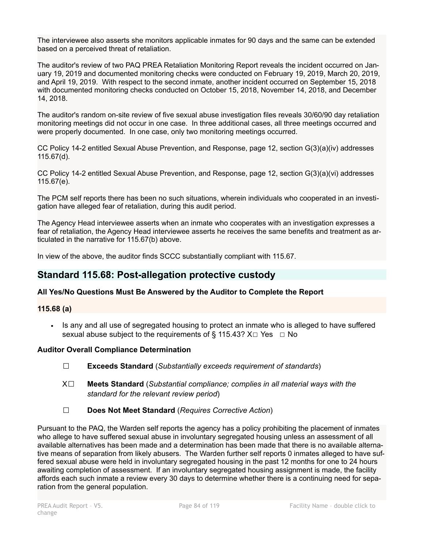The interviewee also asserts she monitors applicable inmates for 90 days and the same can be extended based on a perceived threat of retaliation.

The auditor's review of two PAQ PREA Retaliation Monitoring Report reveals the incident occurred on January 19, 2019 and documented monitoring checks were conducted on February 19, 2019, March 20, 2019, and April 19, 2019. With respect to the second inmate, another incident occurred on September 15, 2018 with documented monitoring checks conducted on October 15, 2018, November 14, 2018, and December 14, 2018.

The auditor's random on-site review of five sexual abuse investigation files reveals 30/60/90 day retaliation monitoring meetings did not occur in one case. In three additional cases, all three meetings occurred and were properly documented. In one case, only two monitoring meetings occurred.

CC Policy 14-2 entitled Sexual Abuse Prevention, and Response, page 12, section G(3)(a)(iv) addresses 115.67(d).

CC Policy 14-2 entitled Sexual Abuse Prevention, and Response, page 12, section G(3)(a)(vi) addresses 115.67(e).

The PCM self reports there has been no such situations, wherein individuals who cooperated in an investigation have alleged fear of retaliation, during this audit period.

The Agency Head interviewee asserts when an inmate who cooperates with an investigation expresses a fear of retaliation, the Agency Head interviewee asserts he receives the same benefits and treatment as articulated in the narrative for 115.67(b) above.

In view of the above, the auditor finds SCCC substantially compliant with 115.67.

# **Standard 115.68: Post-allegation protective custody**

# **All Yes/No Questions Must Be Answered by the Auditor to Complete the Report**

### **115.68 (a)**

▪ Is any and all use of segregated housing to protect an inmate who is alleged to have suffered sexual abuse subject to the requirements of § 115.43?  $X \Box Y$ es  $\Box$  No

# **Auditor Overall Compliance Determination**

- ☐ **Exceeds Standard** (*Substantially exceeds requirement of standards*)
- X☐ **Meets Standard** (*Substantial compliance; complies in all material ways with the standard for the relevant review period*)
- ☐ **Does Not Meet Standard** (*Requires Corrective Action*)

Pursuant to the PAQ, the Warden self reports the agency has a policy prohibiting the placement of inmates who allege to have suffered sexual abuse in involuntary segregated housing unless an assessment of all available alternatives has been made and a determination has been made that there is no available alternative means of separation from likely abusers. The Warden further self reports 0 inmates alleged to have suffered sexual abuse were held in involuntary segregated housing in the past 12 months for one to 24 hours awaiting completion of assessment. If an involuntary segregated housing assignment is made, the facility affords each such inmate a review every 30 days to determine whether there is a continuing need for separation from the general population.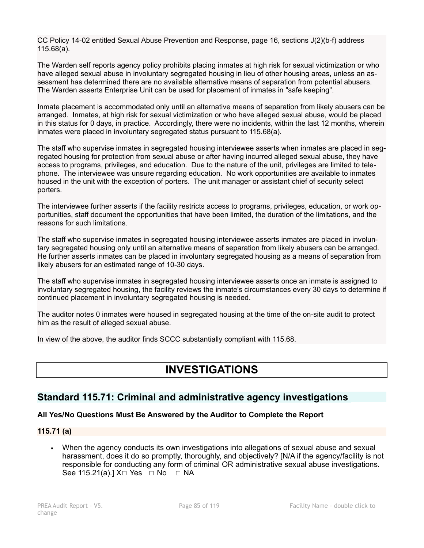CC Policy 14-02 entitled Sexual Abuse Prevention and Response, page 16, sections J(2)(b-f) address 115.68(a).

The Warden self reports agency policy prohibits placing inmates at high risk for sexual victimization or who have alleged sexual abuse in involuntary segregated housing in lieu of other housing areas, unless an assessment has determined there are no available alternative means of separation from potential abusers. The Warden asserts Enterprise Unit can be used for placement of inmates in "safe keeping".

Inmate placement is accommodated only until an alternative means of separation from likely abusers can be arranged. Inmates, at high risk for sexual victimization or who have alleged sexual abuse, would be placed in this status for 0 days, in practice. Accordingly, there were no incidents, within the last 12 months, wherein inmates were placed in involuntary segregated status pursuant to 115.68(a).

The staff who supervise inmates in segregated housing interviewee asserts when inmates are placed in segregated housing for protection from sexual abuse or after having incurred alleged sexual abuse, they have access to programs, privileges, and education. Due to the nature of the unit, privileges are limited to telephone. The interviewee was unsure regarding education. No work opportunities are available to inmates housed in the unit with the exception of porters. The unit manager or assistant chief of security select porters.

The interviewee further asserts if the facility restricts access to programs, privileges, education, or work opportunities, staff document the opportunities that have been limited, the duration of the limitations, and the reasons for such limitations.

The staff who supervise inmates in segregated housing interviewee asserts inmates are placed in involuntary segregated housing only until an alternative means of separation from likely abusers can be arranged. He further asserts inmates can be placed in involuntary segregated housing as a means of separation from likely abusers for an estimated range of 10-30 days.

The staff who supervise inmates in segregated housing interviewee asserts once an inmate is assigned to involuntary segregated housing, the facility reviews the inmate's circumstances every 30 days to determine if continued placement in involuntary segregated housing is needed.

The auditor notes 0 inmates were housed in segregated housing at the time of the on-site audit to protect him as the result of alleged sexual abuse.

In view of the above, the auditor finds SCCC substantially compliant with 115.68.

# **INVESTIGATIONS**

# **Standard 115.71: Criminal and administrative agency investigations**

# **All Yes/No Questions Must Be Answered by the Auditor to Complete the Report**

# **115.71 (a)**

▪ When the agency conducts its own investigations into allegations of sexual abuse and sexual harassment, does it do so promptly, thoroughly, and objectively? [N/A if the agency/facility is not responsible for conducting any form of criminal OR administrative sexual abuse investigations. See 115.21(a).] X□ Yes □ No □ NA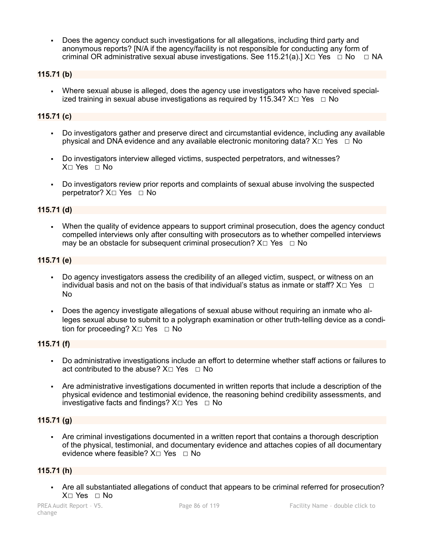▪ Does the agency conduct such investigations for all allegations, including third party and anonymous reports? [N/A if the agency/facility is not responsible for conducting any form of criminal OR administrative sexual abuse investigations. See 115.21(a).]  $X \Box Y$ es  $\Box$  No  $\Box$  NA

# **115.71 (b)**

Where sexual abuse is alleged, does the agency use investigators who have received specialized training in sexual abuse investigations as required by 115.34?  $X \Box Y$ es  $\Box$  No

### **115.71 (c)**

- Do investigators gather and preserve direct and circumstantial evidence, including any available physical and DNA evidence and any available electronic monitoring data?  $X \Box Y$ es  $\Box$  No
- Do investigators interview alleged victims, suspected perpetrators, and witnesses? X☐ Yes ☐ No
- Do investigators review prior reports and complaints of sexual abuse involving the suspected perpetrator? X□ Yes □ No

### **115.71 (d)**

When the quality of evidence appears to support criminal prosecution, does the agency conduct compelled interviews only after consulting with prosecutors as to whether compelled interviews may be an obstacle for subsequent criminal prosecution?  $X \Box Y$ es  $\Box$  No

### **115.71 (e)**

- Do agency investigators assess the credibility of an alleged victim, suspect, or witness on an individual basis and not on the basis of that individual's status as inmate or staff?  $X \Box Y$ es  $\Box$ No
- Does the agency investigate allegations of sexual abuse without requiring an inmate who alleges sexual abuse to submit to a polygraph examination or other truth-telling device as a condition for proceeding?  $X \square$  Yes  $\square$  No

# **115.71 (f)**

- Do administrative investigations include an effort to determine whether staff actions or failures to act contributed to the abuse?  $X \Box Y$ es  $\Box$  No
- Are administrative investigations documented in written reports that include a description of the physical evidence and testimonial evidence, the reasoning behind credibility assessments, and investigative facts and findings?  $X \square$  Yes  $\square$  No

# **115.71 (g)**

Are criminal investigations documented in a written report that contains a thorough description of the physical, testimonial, and documentary evidence and attaches copies of all documentary evidence where feasible?  $X \square Y$ es  $\square N$ o

### **115.71 (h)**

▪ Are all substantiated allegations of conduct that appears to be criminal referred for prosecution? X□ Yes □ No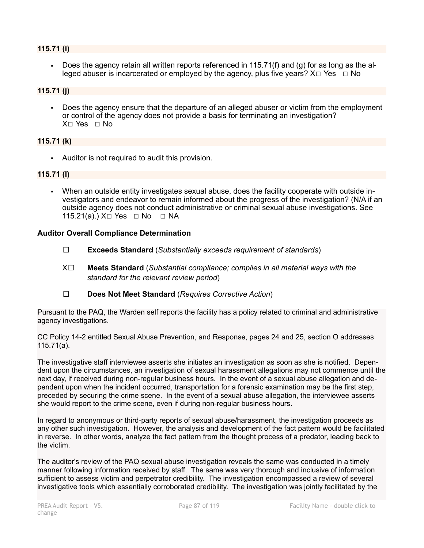### **115.71 (i)**

Does the agency retain all written reports referenced in  $115.71(f)$  and (g) for as long as the alleged abuser is incarcerated or employed by the agency, plus five years?  $X \Box Y$ es  $\Box$  No

### **115.71 (j)**

Does the agency ensure that the departure of an alleged abuser or victim from the employment or control of the agency does not provide a basis for terminating an investigation? X☐ Yes ☐ No

### **115.71 (k)**

▪ Auditor is not required to audit this provision.

### **115.71 (l)**

▪ When an outside entity investigates sexual abuse, does the facility cooperate with outside investigators and endeavor to remain informed about the progress of the investigation? (N/A if an outside agency does not conduct administrative or criminal sexual abuse investigations. See 115.21(a).) X□ Yes □ No □ NA

### **Auditor Overall Compliance Determination**

- ☐ **Exceeds Standard** (*Substantially exceeds requirement of standards*)
- X☐ **Meets Standard** (*Substantial compliance; complies in all material ways with the standard for the relevant review period*)
- ☐ **Does Not Meet Standard** (*Requires Corrective Action*)

Pursuant to the PAQ, the Warden self reports the facility has a policy related to criminal and administrative agency investigations.

CC Policy 14-2 entitled Sexual Abuse Prevention, and Response, pages 24 and 25, section O addresses 115.71(a).

The investigative staff interviewee asserts she initiates an investigation as soon as she is notified. Dependent upon the circumstances, an investigation of sexual harassment allegations may not commence until the next day, if received during non-regular business hours. In the event of a sexual abuse allegation and dependent upon when the incident occurred, transportation for a forensic examination may be the first step, preceded by securing the crime scene. In the event of a sexual abuse allegation, the interviewee asserts she would report to the crime scene, even if during non-regular business hours.

In regard to anonymous or third-party reports of sexual abuse/harassment, the investigation proceeds as any other such investigation. However, the analysis and development of the fact pattern would be facilitated in reverse. In other words, analyze the fact pattern from the thought process of a predator, leading back to the victim.

The auditor's review of the PAQ sexual abuse investigation reveals the same was conducted in a timely manner following information received by staff. The same was very thorough and inclusive of information sufficient to assess victim and perpetrator credibility. The investigation encompassed a review of several investigative tools which essentially corroborated credibility. The investigation was jointly facilitated by the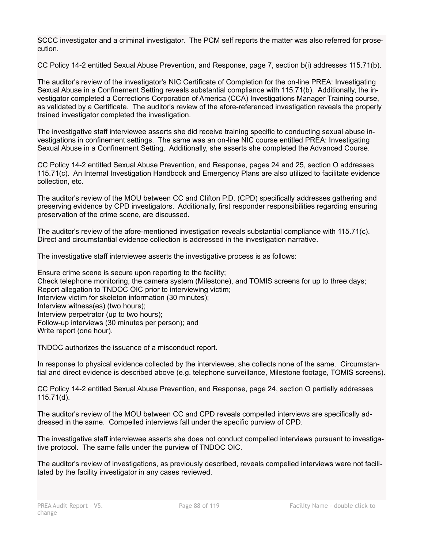SCCC investigator and a criminal investigator. The PCM self reports the matter was also referred for prosecution.

CC Policy 14-2 entitled Sexual Abuse Prevention, and Response, page 7, section b(i) addresses 115.71(b).

The auditor's review of the investigator's NIC Certificate of Completion for the on-line PREA: Investigating Sexual Abuse in a Confinement Setting reveals substantial compliance with 115.71(b). Additionally, the investigator completed a Corrections Corporation of America (CCA) Investigations Manager Training course, as validated by a Certificate. The auditor's review of the afore-referenced investigation reveals the properly trained investigator completed the investigation.

The investigative staff interviewee asserts she did receive training specific to conducting sexual abuse investigations in confinement settings. The same was an on-line NIC course entitled PREA: Investigating Sexual Abuse in a Confinement Setting. Additionally, she asserts she completed the Advanced Course.

CC Policy 14-2 entitled Sexual Abuse Prevention, and Response, pages 24 and 25, section O addresses 115.71(c). An Internal Investigation Handbook and Emergency Plans are also utilized to facilitate evidence collection, etc.

The auditor's review of the MOU between CC and Clifton P.D. (CPD) specifically addresses gathering and preserving evidence by CPD investigators. Additionally, first responder responsibilities regarding ensuring preservation of the crime scene, are discussed.

The auditor's review of the afore-mentioned investigation reveals substantial compliance with 115.71(c). Direct and circumstantial evidence collection is addressed in the investigation narrative.

The investigative staff interviewee asserts the investigative process is as follows:

Ensure crime scene is secure upon reporting to the facility; Check telephone monitoring, the camera system (Milestone), and TOMIS screens for up to three days; Report allegation to TNDOC OIC prior to interviewing victim; Interview victim for skeleton information (30 minutes); Interview witness(es) (two hours); Interview perpetrator (up to two hours); Follow-up interviews (30 minutes per person); and Write report (one hour).

TNDOC authorizes the issuance of a misconduct report.

In response to physical evidence collected by the interviewee, she collects none of the same. Circumstantial and direct evidence is described above (e.g. telephone surveillance, Milestone footage, TOMIS screens).

CC Policy 14-2 entitled Sexual Abuse Prevention, and Response, page 24, section O partially addresses 115.71(d).

The auditor's review of the MOU between CC and CPD reveals compelled interviews are specifically addressed in the same. Compelled interviews fall under the specific purview of CPD.

The investigative staff interviewee asserts she does not conduct compelled interviews pursuant to investigative protocol. The same falls under the purview of TNDOC OIC.

The auditor's review of investigations, as previously described, reveals compelled interviews were not facilitated by the facility investigator in any cases reviewed.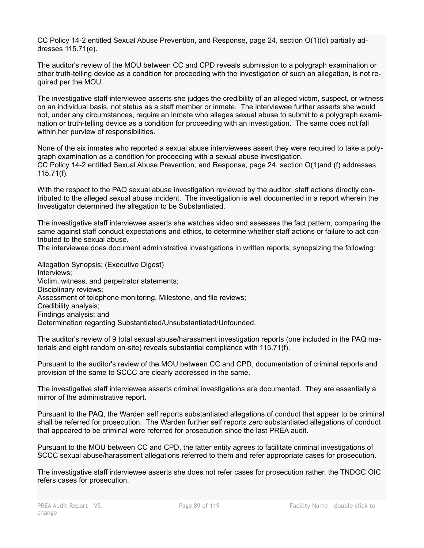CC Policy 14-2 entitled Sexual Abuse Prevention, and Response, page 24, section O(1)(d) partially addresses 115.71(e).

The auditor's review of the MOU between CC and CPD reveals submission to a polygraph examination or other truth-telling device as a condition for proceeding with the investigation of such an allegation, is not required per the MOU.

The investigative staff interviewee asserts she judges the credibility of an alleged victim, suspect, or witness on an individual basis, not status as a staff member or inmate. The interviewee further asserts she would not, under any circumstances, require an inmate who alleges sexual abuse to submit to a polygraph examination or truth-telling device as a condition for proceeding with an investigation. The same does not fall within her purview of responsibilities.

None of the six inmates who reported a sexual abuse interviewees assert they were required to take a polygraph examination as a condition for proceeding with a sexual abuse investigation. CC Policy 14-2 entitled Sexual Abuse Prevention, and Response, page 24, section O(1)and (f) addresses 115.71(f).

With the respect to the PAQ sexual abuse investigation reviewed by the auditor, staff actions directly contributed to the alleged sexual abuse incident. The investigation is well documented in a report wherein the Investigator determined the allegation to be Substantiated.

The investigative staff interviewee asserts she watches video and assesses the fact pattern, comparing the same against staff conduct expectations and ethics, to determine whether staff actions or failure to act contributed to the sexual abuse.

The interviewee does document administrative investigations in written reports, synopsizing the following:

Allegation Synopsis; (Executive Digest) Interviews; Victim, witness, and perpetrator statements; Disciplinary reviews; Assessment of telephone monitoring, Milestone, and file reviews; Credibility analysis; Findings analysis; and Determination regarding Substantiated/Unsubstantiated/Unfounded.

The auditor's review of 9 total sexual abuse/harassment investigation reports (one included in the PAQ materials and eight random on-site) reveals substantial compliance with 115.71(f).

Pursuant to the auditor's review of the MOU between CC and CPD, documentation of criminal reports and provision of the same to SCCC are clearly addressed in the same.

The investigative staff interviewee asserts criminal investigations are documented. They are essentially a mirror of the administrative report.

Pursuant to the PAQ, the Warden self reports substantiated allegations of conduct that appear to be criminal shall be referred for prosecution. The Warden further self reports zero substantiated allegations of conduct that appeared to be criminal were referred for prosecution since the last PREA audit.

Pursuant to the MOU between CC and CPD, the latter entity agrees to facilitate criminal investigations of SCCC sexual abuse/harassment allegations referred to them and refer appropriate cases for prosecution.

The investigative staff interviewee asserts she does not refer cases for prosecution rather, the TNDOC OIC refers cases for prosecution.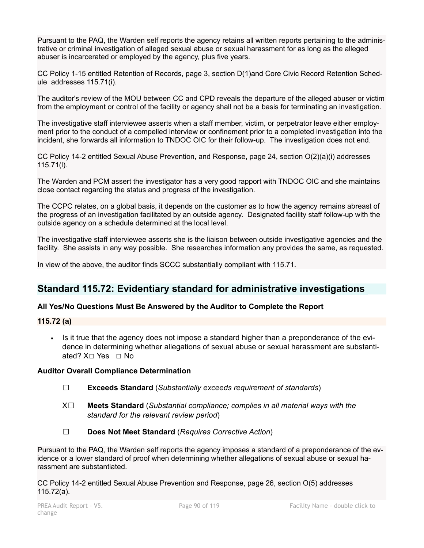Pursuant to the PAQ, the Warden self reports the agency retains all written reports pertaining to the administrative or criminal investigation of alleged sexual abuse or sexual harassment for as long as the alleged abuser is incarcerated or employed by the agency, plus five years.

CC Policy 1-15 entitled Retention of Records, page 3, section D(1)and Core Civic Record Retention Schedule addresses 115.71(i).

The auditor's review of the MOU between CC and CPD reveals the departure of the alleged abuser or victim from the employment or control of the facility or agency shall not be a basis for terminating an investigation.

The investigative staff interviewee asserts when a staff member, victim, or perpetrator leave either employment prior to the conduct of a compelled interview or confinement prior to a completed investigation into the incident, she forwards all information to TNDOC OIC for their follow-up. The investigation does not end.

CC Policy 14-2 entitled Sexual Abuse Prevention, and Response, page 24, section O(2)(a)(i) addresses 115.71(l).

The Warden and PCM assert the investigator has a very good rapport with TNDOC OIC and she maintains close contact regarding the status and progress of the investigation.

The CCPC relates, on a global basis, it depends on the customer as to how the agency remains abreast of the progress of an investigation facilitated by an outside agency. Designated facility staff follow-up with the outside agency on a schedule determined at the local level.

The investigative staff interviewee asserts she is the liaison between outside investigative agencies and the facility. She assists in any way possible. She researches information any provides the same, as requested.

In view of the above, the auditor finds SCCC substantially compliant with 115.71.

# **Standard 115.72: Evidentiary standard for administrative investigations**

# **All Yes/No Questions Must Be Answered by the Auditor to Complete the Report**

# **115.72 (a)**

▪ Is it true that the agency does not impose a standard higher than a preponderance of the evidence in determining whether allegations of sexual abuse or sexual harassment are substantiated? X□ Yes □ No

# **Auditor Overall Compliance Determination**

- ☐ **Exceeds Standard** (*Substantially exceeds requirement of standards*)
- X☐ **Meets Standard** (*Substantial compliance; complies in all material ways with the standard for the relevant review period*)
- ☐ **Does Not Meet Standard** (*Requires Corrective Action*)

Pursuant to the PAQ, the Warden self reports the agency imposes a standard of a preponderance of the evidence or a lower standard of proof when determining whether allegations of sexual abuse or sexual harassment are substantiated.

CC Policy 14-2 entitled Sexual Abuse Prevention and Response, page 26, section O(5) addresses 115.72(a).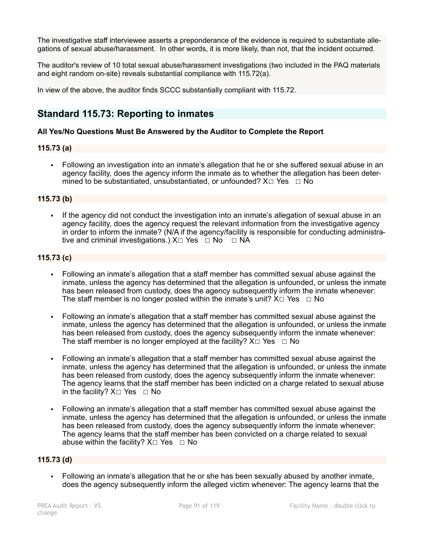The investigative staff interviewee asserts a preponderance of the evidence is required to substantiate allegations of sexual abuse/harassment. In other words, it is more likely, than not, that the incident occurred.

The auditor's review of 10 total sexual abuse/harassment investigations (two included in the PAQ materials and eight random on-site) reveals substantial compliance with 115.72(a).

In view of the above, the auditor finds SCCC substantially compliant with 115.72.

# **Standard 115.73: Reporting to inmates**

# **All Yes/No Questions Must Be Answered by the Auditor to Complete the Report**

# **115.73 (a)**

• Following an investigation into an inmate's allegation that he or she suffered sexual abuse in an agency facility, does the agency inform the inmate as to whether the allegation has been determined to be substantiated, unsubstantiated, or unfounded?  $X \Box Y$ es  $\Box$  No

### **115.73 (b)**

If the agency did not conduct the investigation into an inmate's allegation of sexual abuse in an agency facility, does the agency request the relevant information from the investigative agency in order to inform the inmate? (N/A if the agency/facility is responsible for conducting administrative and criminal investigations.)  $X \Box Y$ es  $\Box$  No  $\Box$  NA

### **115.73 (c)**

- Following an inmate's allegation that a staff member has committed sexual abuse against the inmate, unless the agency has determined that the allegation is unfounded, or unless the inmate has been released from custody, does the agency subsequently inform the inmate whenever: The staff member is no longer posted within the inmate's unit?  $X \Box Y$ es  $\Box$  No
- Following an inmate's allegation that a staff member has committed sexual abuse against the inmate, unless the agency has determined that the allegation is unfounded, or unless the inmate has been released from custody, does the agency subsequently inform the inmate whenever: The staff member is no longer employed at the facility?  $X \Box Y$ es  $\Box$  No
- Following an inmate's allegation that a staff member has committed sexual abuse against the inmate, unless the agency has determined that the allegation is unfounded, or unless the inmate has been released from custody, does the agency subsequently inform the inmate whenever: The agency learns that the staff member has been indicted on a charge related to sexual abuse in the facility?  $X \square$  Yes  $\square$  No
- Following an inmate's allegation that a staff member has committed sexual abuse against the inmate, unless the agency has determined that the allegation is unfounded, or unless the inmate has been released from custody, does the agency subsequently inform the inmate whenever: The agency learns that the staff member has been convicted on a charge related to sexual abuse within the facility?  $X \Box Y$ es  $\Box$  No

### **115.73 (d)**

▪ Following an inmate's allegation that he or she has been sexually abused by another inmate, does the agency subsequently inform the alleged victim whenever: The agency learns that the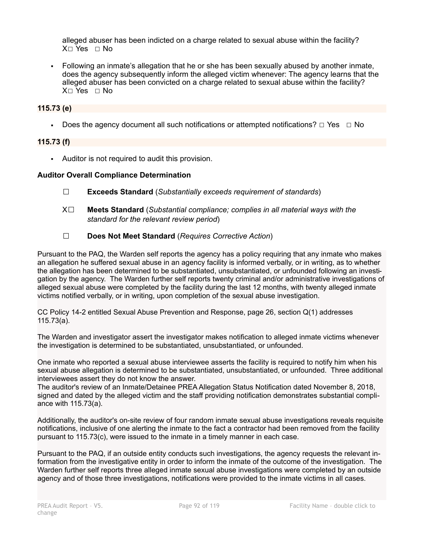alleged abuser has been indicted on a charge related to sexual abuse within the facility? X☐ Yes ☐ No

▪ Following an inmate's allegation that he or she has been sexually abused by another inmate, does the agency subsequently inform the alleged victim whenever: The agency learns that the alleged abuser has been convicted on a charge related to sexual abuse within the facility? X☐ Yes ☐ No

### **115.73 (e)**

**•** Does the agency document all such notifications or attempted notifications?  $\Box$  Yes  $\Box$  No

### **115.73 (f)**

▪ Auditor is not required to audit this provision.

### **Auditor Overall Compliance Determination**

- ☐ **Exceeds Standard** (*Substantially exceeds requirement of standards*)
- X☐ **Meets Standard** (*Substantial compliance; complies in all material ways with the standard for the relevant review period*)
- ☐ **Does Not Meet Standard** (*Requires Corrective Action*)

Pursuant to the PAQ, the Warden self reports the agency has a policy requiring that any inmate who makes an allegation he suffered sexual abuse in an agency facility is informed verbally, or in writing, as to whether the allegation has been determined to be substantiated, unsubstantiated, or unfounded following an investigation by the agency. The Warden further self reports twenty criminal and/or administrative investigations of alleged sexual abuse were completed by the facility during the last 12 months, with twenty alleged inmate victims notified verbally, or in writing, upon completion of the sexual abuse investigation.

CC Policy 14-2 entitled Sexual Abuse Prevention and Response, page 26, section Q(1) addresses 115.73(a).

The Warden and investigator assert the investigator makes notification to alleged inmate victims whenever the investigation is determined to be substantiated, unsubstantiated, or unfounded.

One inmate who reported a sexual abuse interviewee asserts the facility is required to notify him when his sexual abuse allegation is determined to be substantiated, unsubstantiated, or unfounded. Three additional interviewees assert they do not know the answer.

The auditor's review of an Inmate/Detainee PREA Allegation Status Notification dated November 8, 2018, signed and dated by the alleged victim and the staff providing notification demonstrates substantial compliance with 115.73(a).

Additionally, the auditor's on-site review of four random inmate sexual abuse investigations reveals requisite notifications, inclusive of one alerting the inmate to the fact a contractor had been removed from the facility pursuant to 115.73(c), were issued to the inmate in a timely manner in each case.

Pursuant to the PAQ, if an outside entity conducts such investigations, the agency requests the relevant information from the investigative entity in order to inform the inmate of the outcome of the investigation. The Warden further self reports three alleged inmate sexual abuse investigations were completed by an outside agency and of those three investigations, notifications were provided to the inmate victims in all cases.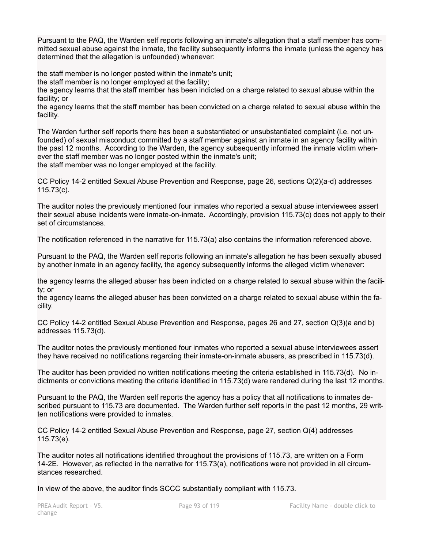Pursuant to the PAQ, the Warden self reports following an inmate's allegation that a staff member has committed sexual abuse against the inmate, the facility subsequently informs the inmate (unless the agency has determined that the allegation is unfounded) whenever:

the staff member is no longer posted within the inmate's unit;

the staff member is no longer employed at the facility;

the agency learns that the staff member has been indicted on a charge related to sexual abuse within the facility; or

the agency learns that the staff member has been convicted on a charge related to sexual abuse within the facility.

The Warden further self reports there has been a substantiated or unsubstantiated complaint (i.e. not unfounded) of sexual misconduct committed by a staff member against an inmate in an agency facility within the past 12 months. According to the Warden, the agency subsequently informed the inmate victim whenever the staff member was no longer posted within the inmate's unit; the staff member was no longer employed at the facility.

CC Policy 14-2 entitled Sexual Abuse Prevention and Response, page 26, sections Q(2)(a-d) addresses 115.73(c).

The auditor notes the previously mentioned four inmates who reported a sexual abuse interviewees assert their sexual abuse incidents were inmate-on-inmate. Accordingly, provision 115.73(c) does not apply to their set of circumstances.

The notification referenced in the narrative for 115.73(a) also contains the information referenced above.

Pursuant to the PAQ, the Warden self reports following an inmate's allegation he has been sexually abused by another inmate in an agency facility, the agency subsequently informs the alleged victim whenever:

the agency learns the alleged abuser has been indicted on a charge related to sexual abuse within the facility; or

the agency learns the alleged abuser has been convicted on a charge related to sexual abuse within the facility.

CC Policy 14-2 entitled Sexual Abuse Prevention and Response, pages 26 and 27, section Q(3)(a and b) addresses 115.73(d).

The auditor notes the previously mentioned four inmates who reported a sexual abuse interviewees assert they have received no notifications regarding their inmate-on-inmate abusers, as prescribed in 115.73(d).

The auditor has been provided no written notifications meeting the criteria established in 115.73(d). No indictments or convictions meeting the criteria identified in 115.73(d) were rendered during the last 12 months.

Pursuant to the PAQ, the Warden self reports the agency has a policy that all notifications to inmates described pursuant to 115.73 are documented. The Warden further self reports in the past 12 months, 29 written notifications were provided to inmates.

CC Policy 14-2 entitled Sexual Abuse Prevention and Response, page 27, section Q(4) addresses 115.73(e).

The auditor notes all notifications identified throughout the provisions of 115.73, are written on a Form 14-2E. However, as reflected in the narrative for 115.73(a), notifications were not provided in all circumstances researched.

In view of the above, the auditor finds SCCC substantially compliant with 115.73.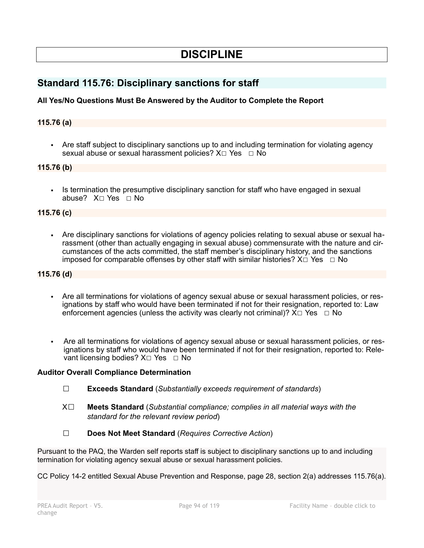# **DISCIPLINE**

# **Standard 115.76: Disciplinary sanctions for staff**

# **All Yes/No Questions Must Be Answered by the Auditor to Complete the Report**

### **115.76 (a)**

• Are staff subject to disciplinary sanctions up to and including termination for violating agency sexual abuse or sexual harassment policies? X□ Yes □ No

### **115.76 (b)**

Is termination the presumptive disciplinary sanction for staff who have engaged in sexual abuse? X□ Yes □ No

# **115.76 (c)**

▪ Are disciplinary sanctions for violations of agency policies relating to sexual abuse or sexual harassment (other than actually engaging in sexual abuse) commensurate with the nature and circumstances of the acts committed, the staff member's disciplinary history, and the sanctions imposed for comparable offenses by other staff with similar histories?  $X\square$  Yes  $\square$  No

### **115.76 (d)**

- Are all terminations for violations of agency sexual abuse or sexual harassment policies, or resignations by staff who would have been terminated if not for their resignation, reported to: Law enforcement agencies (unless the activity was clearly not criminal)?  $X \square Y$ es  $\square$  No
- Are all terminations for violations of agency sexual abuse or sexual harassment policies, or resignations by staff who would have been terminated if not for their resignation, reported to: Relevant licensing bodies?  $X□$  Yes  $□$  No

### **Auditor Overall Compliance Determination**

- ☐ **Exceeds Standard** (*Substantially exceeds requirement of standards*)
- X☐ **Meets Standard** (*Substantial compliance; complies in all material ways with the standard for the relevant review period*)
- ☐ **Does Not Meet Standard** (*Requires Corrective Action*)

Pursuant to the PAQ, the Warden self reports staff is subject to disciplinary sanctions up to and including termination for violating agency sexual abuse or sexual harassment policies.

CC Policy 14-2 entitled Sexual Abuse Prevention and Response, page 28, section 2(a) addresses 115.76(a).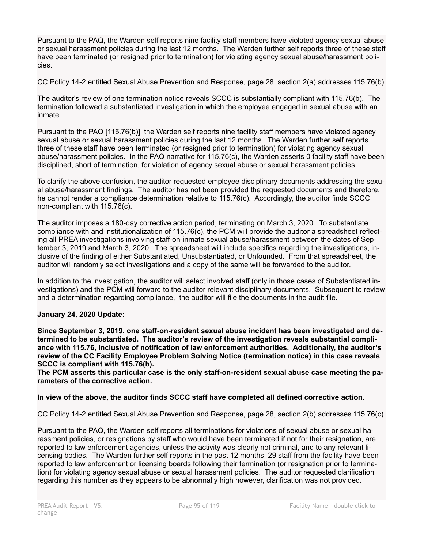Pursuant to the PAQ, the Warden self reports nine facility staff members have violated agency sexual abuse or sexual harassment policies during the last 12 months. The Warden further self reports three of these staff have been terminated (or resigned prior to termination) for violating agency sexual abuse/harassment policies.

CC Policy 14-2 entitled Sexual Abuse Prevention and Response, page 28, section 2(a) addresses 115.76(b).

The auditor's review of one termination notice reveals SCCC is substantially compliant with 115.76(b). The termination followed a substantiated investigation in which the employee engaged in sexual abuse with an inmate.

Pursuant to the PAQ [115.76(b)], the Warden self reports nine facility staff members have violated agency sexual abuse or sexual harassment policies during the last 12 months. The Warden further self reports three of these staff have been terminated (or resigned prior to termination) for violating agency sexual abuse/harassment policies. In the PAQ narrative for 115.76(c), the Warden asserts 0 facility staff have been disciplined, short of termination, for violation of agency sexual abuse or sexual harassment policies.

To clarify the above confusion, the auditor requested employee disciplinary documents addressing the sexual abuse/harassment findings. The auditor has not been provided the requested documents and therefore, he cannot render a compliance determination relative to 115.76(c). Accordingly, the auditor finds SCCC non-compliant with 115.76(c).

The auditor imposes a 180-day corrective action period, terminating on March 3, 2020. To substantiate compliance with and institutionalization of 115.76(c), the PCM will provide the auditor a spreadsheet reflecting all PREA investigations involving staff-on-inmate sexual abuse/harassment between the dates of September 3, 2019 and March 3, 2020. The spreadsheet will include specifics regarding the investigations, inclusive of the finding of either Substantiated, Unsubstantiated, or Unfounded. From that spreadsheet, the auditor will randomly select investigations and a copy of the same will be forwarded to the auditor.

In addition to the investigation, the auditor will select involved staff (only in those cases of Substantiated investigations) and the PCM will forward to the auditor relevant disciplinary documents. Subsequent to review and a determination regarding compliance, the auditor will file the documents in the audit file.

# **January 24, 2020 Update:**

**Since September 3, 2019, one staff-on-resident sexual abuse incident has been investigated and determined to be substantiated. The auditor's review of the investigation reveals substantial compliance with 115.76, inclusive of notification of law enforcement authorities. Additionally, the auditor's review of the CC Facility Employee Problem Solving Notice (termination notice) in this case reveals SCCC is compliant with 115.76(b).**

**The PCM asserts this particular case is the only staff-on-resident sexual abuse case meeting the parameters of the corrective action.**

# **In view of the above, the auditor finds SCCC staff have completed all defined corrective action.**

CC Policy 14-2 entitled Sexual Abuse Prevention and Response, page 28, section 2(b) addresses 115.76(c).

Pursuant to the PAQ, the Warden self reports all terminations for violations of sexual abuse or sexual harassment policies, or resignations by staff who would have been terminated if not for their resignation, are reported to law enforcement agencies, unless the activity was clearly not criminal, and to any relevant licensing bodies. The Warden further self reports in the past 12 months, 29 staff from the facility have been reported to law enforcement or licensing boards following their termination (or resignation prior to termination) for violating agency sexual abuse or sexual harassment policies. The auditor requested clarification regarding this number as they appears to be abnormally high however, clarification was not provided.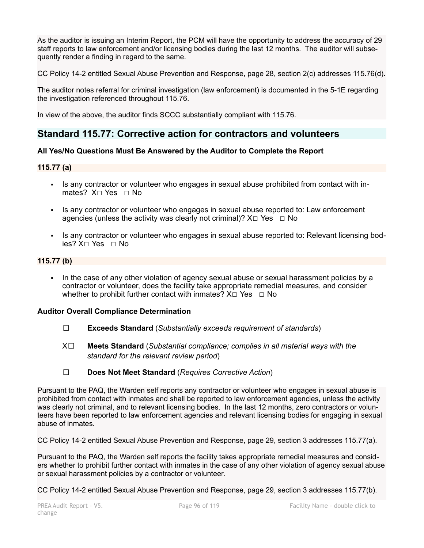As the auditor is issuing an Interim Report, the PCM will have the opportunity to address the accuracy of 29 staff reports to law enforcement and/or licensing bodies during the last 12 months. The auditor will subsequently render a finding in regard to the same.

CC Policy 14-2 entitled Sexual Abuse Prevention and Response, page 28, section 2(c) addresses 115.76(d).

The auditor notes referral for criminal investigation (law enforcement) is documented in the 5-1E regarding the investigation referenced throughout 115.76.

In view of the above, the auditor finds SCCC substantially compliant with 115.76.

# **Standard 115.77: Corrective action for contractors and volunteers**

# **All Yes/No Questions Must Be Answered by the Auditor to Complete the Report**

# **115.77 (a)**

- Is any contractor or volunteer who engages in sexual abuse prohibited from contact with inmates? X <del>□</del> Yes □ No
- Is any contractor or volunteer who engages in sexual abuse reported to: Law enforcement agencies (unless the activity was clearly not criminal)?  $X \Box Y$ es  $\Box$  No
- Is any contractor or volunteer who engages in sexual abuse reported to: Relevant licensing bodies? X□ Yes □ No

# **115.77 (b)**

▪ In the case of any other violation of agency sexual abuse or sexual harassment policies by a contractor or volunteer, does the facility take appropriate remedial measures, and consider whether to prohibit further contact with inmates?  $X \Box Y$ es  $\Box$  No

### **Auditor Overall Compliance Determination**

- ☐ **Exceeds Standard** (*Substantially exceeds requirement of standards*)
- X☐ **Meets Standard** (*Substantial compliance; complies in all material ways with the standard for the relevant review period*)
- ☐ **Does Not Meet Standard** (*Requires Corrective Action*)

Pursuant to the PAQ, the Warden self reports any contractor or volunteer who engages in sexual abuse is prohibited from contact with inmates and shall be reported to law enforcement agencies, unless the activity was clearly not criminal, and to relevant licensing bodies. In the last 12 months, zero contractors or volunteers have been reported to law enforcement agencies and relevant licensing bodies for engaging in sexual abuse of inmates.

CC Policy 14-2 entitled Sexual Abuse Prevention and Response, page 29, section 3 addresses 115.77(a).

Pursuant to the PAQ, the Warden self reports the facility takes appropriate remedial measures and considers whether to prohibit further contact with inmates in the case of any other violation of agency sexual abuse or sexual harassment policies by a contractor or volunteer.

CC Policy 14-2 entitled Sexual Abuse Prevention and Response, page 29, section 3 addresses 115.77(b).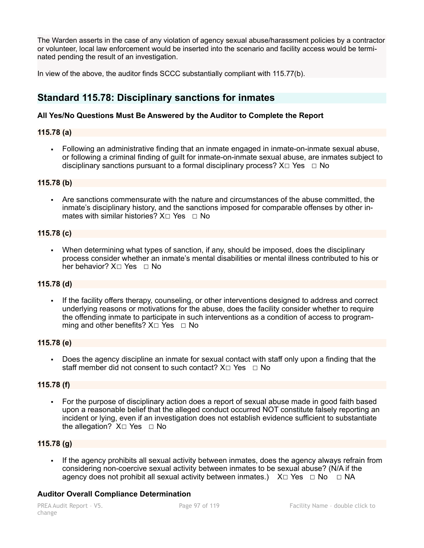The Warden asserts in the case of any violation of agency sexual abuse/harassment policies by a contractor or volunteer, local law enforcement would be inserted into the scenario and facility access would be terminated pending the result of an investigation.

In view of the above, the auditor finds SCCC substantially compliant with 115.77(b).

# **Standard 115.78: Disciplinary sanctions for inmates**

# **All Yes/No Questions Must Be Answered by the Auditor to Complete the Report**

# **115.78 (a)**

▪ Following an administrative finding that an inmate engaged in inmate-on-inmate sexual abuse, or following a criminal finding of guilt for inmate-on-inmate sexual abuse, are inmates subject to disciplinary sanctions pursuant to a formal disciplinary process?  $X \Box Y$ es  $\Box$  No

### **115.78 (b)**

▪ Are sanctions commensurate with the nature and circumstances of the abuse committed, the inmate's disciplinary history, and the sanctions imposed for comparable offenses by other inmates with similar histories?  $X \square$  Yes  $□$  No

### **115.78 (c)**

▪ When determining what types of sanction, if any, should be imposed, does the disciplinary process consider whether an inmate's mental disabilities or mental illness contributed to his or her behavior? X□ Yes □ No

# **115.78 (d)**

If the facility offers therapy, counseling, or other interventions designed to address and correct underlying reasons or motivations for the abuse, does the facility consider whether to require the offending inmate to participate in such interventions as a condition of access to programming and other benefits? X□ Yes □ No

### **115.78 (e)**

▪ Does the agency discipline an inmate for sexual contact with staff only upon a finding that the staff member did not consent to such contact?  $X \square$  Yes  $\square$  No

### **115.78 (f)**

For the purpose of disciplinary action does a report of sexual abuse made in good faith based upon a reasonable belief that the alleged conduct occurred NOT constitute falsely reporting an incident or lying, even if an investigation does not establish evidence sufficient to substantiate the allegation?  $X□$  Yes □ No

# **115.78 (g)**

▪ If the agency prohibits all sexual activity between inmates, does the agency always refrain from considering non-coercive sexual activity between inmates to be sexual abuse? (N/A if the agency does not prohibit all sexual activity between inmates.)  $X \Box Y$ es  $\Box$  No  $\Box$  NA

# **Auditor Overall Compliance Determination**

change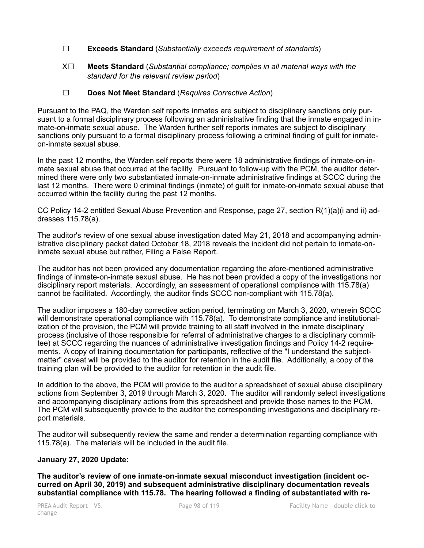- ☐ **Exceeds Standard** (*Substantially exceeds requirement of standards*)
- X☐ **Meets Standard** (*Substantial compliance; complies in all material ways with the standard for the relevant review period*)
- ☐ **Does Not Meet Standard** (*Requires Corrective Action*)

Pursuant to the PAQ, the Warden self reports inmates are subject to disciplinary sanctions only pursuant to a formal disciplinary process following an administrative finding that the inmate engaged in inmate-on-inmate sexual abuse. The Warden further self reports inmates are subject to disciplinary sanctions only pursuant to a formal disciplinary process following a criminal finding of guilt for inmateon-inmate sexual abuse.

In the past 12 months, the Warden self reports there were 18 administrative findings of inmate-on-inmate sexual abuse that occurred at the facility. Pursuant to follow-up with the PCM, the auditor determined there were only two substantiated inmate-on-inmate administrative findings at SCCC during the last 12 months. There were 0 criminal findings (inmate) of guilt for inmate-on-inmate sexual abuse that occurred within the facility during the past 12 months.

CC Policy 14-2 entitled Sexual Abuse Prevention and Response, page 27, section R(1)(a)(i and ii) addresses 115.78(a).

The auditor's review of one sexual abuse investigation dated May 21, 2018 and accompanying administrative disciplinary packet dated October 18, 2018 reveals the incident did not pertain to inmate-oninmate sexual abuse but rather, Filing a False Report.

The auditor has not been provided any documentation regarding the afore-mentioned administrative findings of inmate-on-inmate sexual abuse. He has not been provided a copy of the investigations nor disciplinary report materials. Accordingly, an assessment of operational compliance with 115.78(a) cannot be facilitated. Accordingly, the auditor finds SCCC non-compliant with 115.78(a).

The auditor imposes a 180-day corrective action period, terminating on March 3, 2020, wherein SCCC will demonstrate operational compliance with 115.78(a). To demonstrate compliance and institutionalization of the provision, the PCM will provide training to all staff involved in the inmate disciplinary process (inclusive of those responsible for referral of administrative charges to a disciplinary committee) at SCCC regarding the nuances of administrative investigation findings and Policy 14-2 requirements. A copy of training documentation for participants, reflective of the "I understand the subjectmatter" caveat will be provided to the auditor for retention in the audit file. Additionally, a copy of the training plan will be provided to the auditor for retention in the audit file.

In addition to the above, the PCM will provide to the auditor a spreadsheet of sexual abuse disciplinary actions from September 3, 2019 through March 3, 2020. The auditor will randomly select investigations and accompanying disciplinary actions from this spreadsheet and provide those names to the PCM. The PCM will subsequently provide to the auditor the corresponding investigations and disciplinary report materials.

The auditor will subsequently review the same and render a determination regarding compliance with 115.78(a). The materials will be included in the audit file.

# **January 27, 2020 Update:**

**The auditor's review of one inmate-on-inmate sexual misconduct investigation (incident occurred on April 30, 2019) and subsequent administrative disciplinary documentation reveals substantial compliance with 115.78. The hearing followed a finding of substantiated with re-**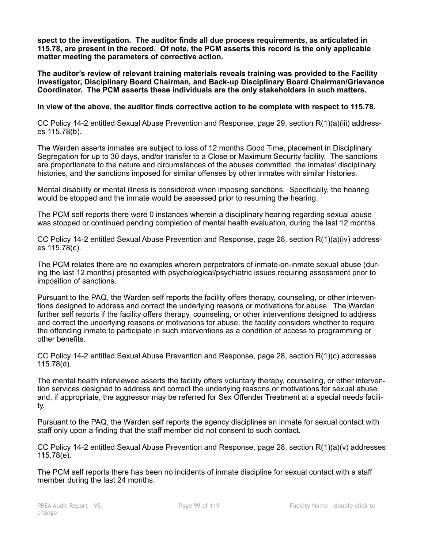**spect to the investigation. The auditor finds all due process requirements, as articulated in 115.78, are present in the record. Of note, the PCM asserts this record is the only applicable matter meeting the parameters of corrective action.** 

**The auditor's review of relevant training materials reveals training was provided to the Facility Investigator, Disciplinary Board Chairman, and Back-up Disciplinary Board Chairman/Grievance Coordinator. The PCM asserts these individuals are the only stakeholders in such matters.**

**In view of the above, the auditor finds corrective action to be complete with respect to 115.78.**

CC Policy 14-2 entitled Sexual Abuse Prevention and Response, page 29, section R(1)(a)(iii) addresses 115.78(b).

The Warden asserts inmates are subject to loss of 12 months Good Time, placement in Disciplinary Segregation for up to 30 days, and/or transfer to a Close or Maximum Security facility. The sanctions are proportionate to the nature and circumstances of the abuses committed, the inmates' disciplinary histories, and the sanctions imposed for similar offenses by other inmates with similar histories.

Mental disability or mental illness is considered when imposing sanctions. Specifically, the hearing would be stopped and the inmate would be assessed prior to resuming the hearing.

The PCM self reports there were 0 instances wherein a disciplinary hearing regarding sexual abuse was stopped or continued pending completion of mental health evaluation, during the last 12 months.

CC Policy 14-2 entitled Sexual Abuse Prevention and Response, page 28, section R(1)(a)(iv) addresses 115.78(c).

The PCM relates there are no examples wherein perpetrators of inmate-on-inmate sexual abuse (during the last 12 months) presented with psychological/psychiatric issues requiring assessment prior to imposition of sanctions.

Pursuant to the PAQ, the Warden self reports the facility offers therapy, counseling, or other interventions designed to address and correct the underlying reasons or motivations for abuse. The Warden further self reports if the facility offers therapy, counseling, or other interventions designed to address and correct the underlying reasons or motivations for abuse, the facility considers whether to require the offending inmate to participate in such interventions as a condition of access to programming or other benefits.

CC Policy 14-2 entitled Sexual Abuse Prevention and Response, page 28, section R(1)(c) addresses 115.78(d).

The mental health interviewee asserts the facility offers voluntary therapy, counseling, or other intervention services designed to address and correct the underlying reasons or motivations for sexual abuse and, if appropriate, the aggressor may be referred for Sex Offender Treatment at a special needs facility.

Pursuant to the PAQ, the Warden self reports the agency disciplines an inmate for sexual contact with staff only upon a finding that the staff member did not consent to such contact.

CC Policy 14-2 entitled Sexual Abuse Prevention and Response, page 28, section R(1)(a)(v) addresses 115.78(e).

The PCM self reports there has been no incidents of inmate discipline for sexual contact with a staff member during the last 24 months.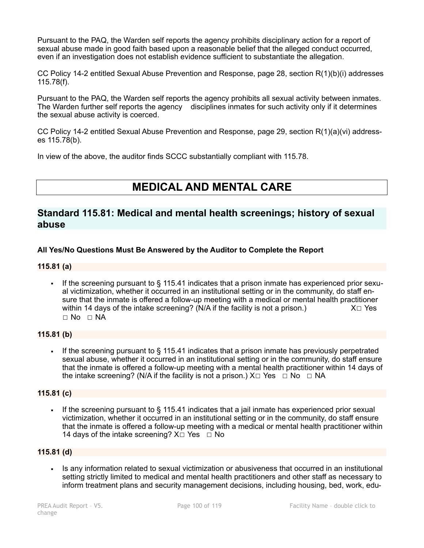Pursuant to the PAQ, the Warden self reports the agency prohibits disciplinary action for a report of sexual abuse made in good faith based upon a reasonable belief that the alleged conduct occurred, even if an investigation does not establish evidence sufficient to substantiate the allegation.

CC Policy 14-2 entitled Sexual Abuse Prevention and Response, page 28, section R(1)(b)(i) addresses 115.78(f).

Pursuant to the PAQ, the Warden self reports the agency prohibits all sexual activity between inmates. The Warden further self reports the agency disciplines inmates for such activity only if it determines the sexual abuse activity is coerced.

CC Policy 14-2 entitled Sexual Abuse Prevention and Response, page 29, section R(1)(a)(vi) addresses 115.78(b).

In view of the above, the auditor finds SCCC substantially compliant with 115.78.

# **MEDICAL AND MENTAL CARE**

# **Standard 115.81: Medical and mental health screenings; history of sexual abuse**

# **All Yes/No Questions Must Be Answered by the Auditor to Complete the Report**

### **115.81 (a)**

If the screening pursuant to  $\S$  115.41 indicates that a prison inmate has experienced prior sexual victimization, whether it occurred in an institutional setting or in the community, do staff ensure that the inmate is offered a follow-up meeting with a medical or mental health practitioner within 14 days of the intake screening? (N/A if the facility is not a prison.)  $X \square Y$ es  $\Box$  No  $\Box$  NA

### **115.81 (b)**

**•** If the screening pursuant to  $\S$  115.41 indicates that a prison inmate has previously perpetrated sexual abuse, whether it occurred in an institutional setting or in the community, do staff ensure that the inmate is offered a follow-up meeting with a mental health practitioner within 14 days of the intake screening? (N/A if the facility is not a prison.)  $X \Box Y$ es  $\Box$  No  $\Box$  NA

### **115.81 (c)**

**•** If the screening pursuant to  $\S$  115.41 indicates that a jail inmate has experienced prior sexual victimization, whether it occurred in an institutional setting or in the community, do staff ensure that the inmate is offered a follow-up meeting with a medical or mental health practitioner within 14 days of the intake screening?  $X \Box Y$ es  $\Box$  No

# **115.81 (d)**

▪ Is any information related to sexual victimization or abusiveness that occurred in an institutional setting strictly limited to medical and mental health practitioners and other staff as necessary to inform treatment plans and security management decisions, including housing, bed, work, edu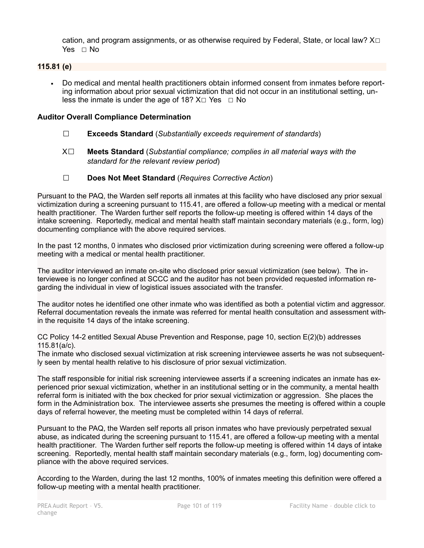cation, and program assignments, or as otherwise required by Federal, State, or local law?  $X\square$ Yes □ No

# **115.81 (e)**

▪ Do medical and mental health practitioners obtain informed consent from inmates before reporting information about prior sexual victimization that did not occur in an institutional setting, unless the inmate is under the age of 18?  $X \Box Y$ es  $\Box$  No

### **Auditor Overall Compliance Determination**

- ☐ **Exceeds Standard** (*Substantially exceeds requirement of standards*)
- X☐ **Meets Standard** (*Substantial compliance; complies in all material ways with the standard for the relevant review period*)
- ☐ **Does Not Meet Standard** (*Requires Corrective Action*)

Pursuant to the PAQ, the Warden self reports all inmates at this facility who have disclosed any prior sexual victimization during a screening pursuant to 115.41, are offered a follow-up meeting with a medical or mental health practitioner. The Warden further self reports the follow-up meeting is offered within 14 days of the intake screening. Reportedly, medical and mental health staff maintain secondary materials (e.g., form, log) documenting compliance with the above required services.

In the past 12 months, 0 inmates who disclosed prior victimization during screening were offered a follow-up meeting with a medical or mental health practitioner.

The auditor interviewed an inmate on-site who disclosed prior sexual victimization (see below). The interviewee is no longer confined at SCCC and the auditor has not been provided requested information regarding the individual in view of logistical issues associated with the transfer.

The auditor notes he identified one other inmate who was identified as both a potential victim and aggressor. Referral documentation reveals the inmate was referred for mental health consultation and assessment within the requisite 14 days of the intake screening.

CC Policy 14-2 entitled Sexual Abuse Prevention and Response, page 10, section E(2)(b) addresses 115.81(a/c).

The inmate who disclosed sexual victimization at risk screening interviewee asserts he was not subsequently seen by mental health relative to his disclosure of prior sexual victimization.

The staff responsible for initial risk screening interviewee asserts if a screening indicates an inmate has experienced prior sexual victimization, whether in an institutional setting or in the community, a mental health referral form is initiated with the box checked for prior sexual victimization or aggression. She places the form in the Administration box. The interviewee asserts she presumes the meeting is offered within a couple days of referral however, the meeting must be completed within 14 days of referral.

Pursuant to the PAQ, the Warden self reports all prison inmates who have previously perpetrated sexual abuse, as indicated during the screening pursuant to 115.41, are offered a follow-up meeting with a mental health practitioner. The Warden further self reports the follow-up meeting is offered within 14 days of intake screening. Reportedly, mental health staff maintain secondary materials (e.g., form, log) documenting compliance with the above required services.

According to the Warden, during the last 12 months, 100% of inmates meeting this definition were offered a follow-up meeting with a mental health practitioner.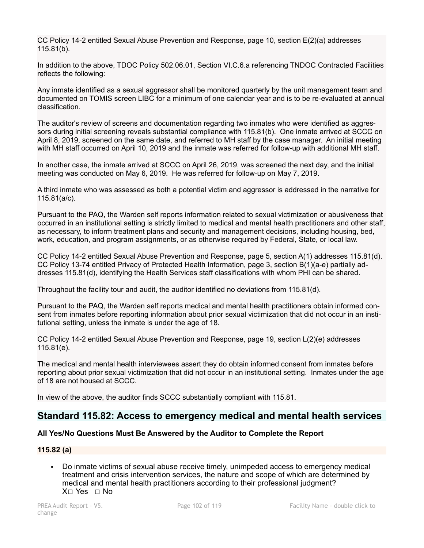CC Policy 14-2 entitled Sexual Abuse Prevention and Response, page 10, section E(2)(a) addresses 115.81(b).

In addition to the above, TDOC Policy 502.06.01, Section VI.C.6.a referencing TNDOC Contracted Facilities reflects the following:

Any inmate identified as a sexual aggressor shall be monitored quarterly by the unit management team and documented on TOMIS screen LIBC for a minimum of one calendar year and is to be re-evaluated at annual classification.

The auditor's review of screens and documentation regarding two inmates who were identified as aggressors during initial screening reveals substantial compliance with 115.81(b). One inmate arrived at SCCC on April 8, 2019, screened on the same date, and referred to MH staff by the case manager. An initial meeting with MH staff occurred on April 10, 2019 and the inmate was referred for follow-up with additional MH staff.

In another case, the inmate arrived at SCCC on April 26, 2019, was screened the next day, and the initial meeting was conducted on May 6, 2019. He was referred for follow-up on May 7, 2019.

A third inmate who was assessed as both a potential victim and aggressor is addressed in the narrative for 115.81(a/c).

Pursuant to the PAQ, the Warden self reports information related to sexual victimization or abusiveness that occurred in an institutional setting is strictly limited to medical and mental health practitioners and other staff, as necessary, to inform treatment plans and security and management decisions, including housing, bed, work, education, and program assignments, or as otherwise required by Federal, State, or local law.

CC Policy 14-2 entitled Sexual Abuse Prevention and Response, page 5, section A(1) addresses 115.81(d). CC Policy 13-74 entitled Privacy of Protected Health Information, page 3, section B(1)(a-e) partially addresses 115.81(d), identifying the Health Services staff classifications with whom PHI can be shared.

Throughout the facility tour and audit, the auditor identified no deviations from 115.81(d).

Pursuant to the PAQ, the Warden self reports medical and mental health practitioners obtain informed consent from inmates before reporting information about prior sexual victimization that did not occur in an institutional setting, unless the inmate is under the age of 18.

CC Policy 14-2 entitled Sexual Abuse Prevention and Response, page 19, section L(2)(e) addresses 115.81(e).

The medical and mental health interviewees assert they do obtain informed consent from inmates before reporting about prior sexual victimization that did not occur in an institutional setting. Inmates under the age of 18 are not housed at SCCC.

In view of the above, the auditor finds SCCC substantially compliant with 115.81.

# **Standard 115.82: Access to emergency medical and mental health services**

# **All Yes/No Questions Must Be Answered by the Auditor to Complete the Report**

### **115.82 (a)**

▪ Do inmate victims of sexual abuse receive timely, unimpeded access to emergency medical treatment and crisis intervention services, the nature and scope of which are determined by medical and mental health practitioners according to their professional judgment? X☐ Yes ☐ No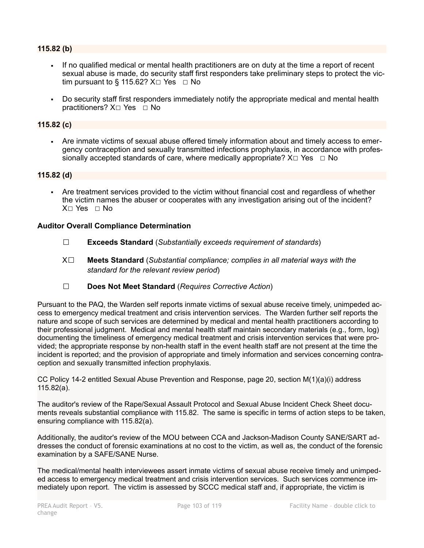### **115.82 (b)**

- If no qualified medical or mental health practitioners are on duty at the time a report of recent sexual abuse is made, do security staff first responders take preliminary steps to protect the victim pursuant to § 115.62?  $X \square$  Yes  $\square$  No
- Do security staff first responders immediately notify the appropriate medical and mental health practitioners? X☐ Yes ☐ No

### **115.82 (c)**

▪ Are inmate victims of sexual abuse offered timely information about and timely access to emergency contraception and sexually transmitted infections prophylaxis, in accordance with professionally accepted standards of care, where medically appropriate?  $X \Box Y$ es  $\Box$  No

### **115.82 (d)**

▪ Are treatment services provided to the victim without financial cost and regardless of whether the victim names the abuser or cooperates with any investigation arising out of the incident? X☐ Yes ☐ No

### **Auditor Overall Compliance Determination**

- ☐ **Exceeds Standard** (*Substantially exceeds requirement of standards*)
- X☐ **Meets Standard** (*Substantial compliance; complies in all material ways with the standard for the relevant review period*)
- ☐ **Does Not Meet Standard** (*Requires Corrective Action*)

Pursuant to the PAQ, the Warden self reports inmate victims of sexual abuse receive timely, unimpeded access to emergency medical treatment and crisis intervention services. The Warden further self reports the nature and scope of such services are determined by medical and mental health practitioners according to their professional judgment. Medical and mental health staff maintain secondary materials (e.g., form, log) documenting the timeliness of emergency medical treatment and crisis intervention services that were provided; the appropriate response by non-health staff in the event health staff are not present at the time the incident is reported; and the provision of appropriate and timely information and services concerning contraception and sexually transmitted infection prophylaxis.

CC Policy 14-2 entitled Sexual Abuse Prevention and Response, page 20, section M(1)(a)(i) address 115.82(a).

The auditor's review of the Rape/Sexual Assault Protocol and Sexual Abuse Incident Check Sheet documents reveals substantial compliance with 115.82. The same is specific in terms of action steps to be taken, ensuring compliance with 115.82(a).

Additionally, the auditor's review of the MOU between CCA and Jackson-Madison County SANE/SART addresses the conduct of forensic examinations at no cost to the victim, as well as, the conduct of the forensic examination by a SAFE/SANE Nurse.

The medical/mental health interviewees assert inmate victims of sexual abuse receive timely and unimpeded access to emergency medical treatment and crisis intervention services. Such services commence immediately upon report. The victim is assessed by SCCC medical staff and, if appropriate, the victim is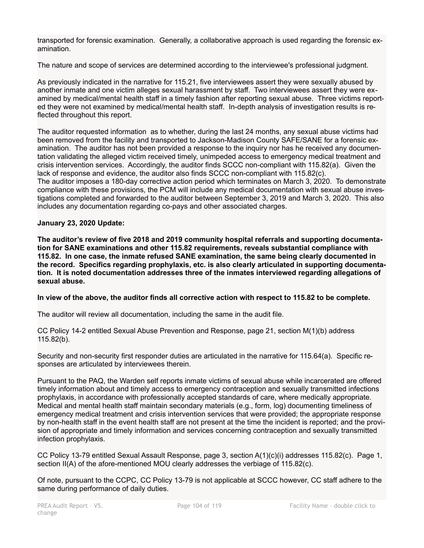transported for forensic examination. Generally, a collaborative approach is used regarding the forensic examination.

The nature and scope of services are determined according to the interviewee's professional judgment.

As previously indicated in the narrative for 115.21, five interviewees assert they were sexually abused by another inmate and one victim alleges sexual harassment by staff. Two interviewees assert they were examined by medical/mental health staff in a timely fashion after reporting sexual abuse. Three victims reported they were not examined by medical/mental health staff. In-depth analysis of investigation results is reflected throughout this report.

The auditor requested information as to whether, during the last 24 months, any sexual abuse victims had been removed from the facility and transported to Jackson-Madison County SAFE/SANE for a forensic examination. The auditor has not been provided a response to the inquiry nor has he received any documentation validating the alleged victim received timely, unimpeded access to emergency medical treatment and crisis intervention services. Accordingly, the auditor finds SCCC non-compliant with 115.82(a). Given the lack of response and evidence, the auditor also finds SCCC non-compliant with 115.82(c). The auditor imposes a 180-day corrective action period which terminates on March 3, 2020. To demonstrate compliance with these provisions, the PCM will include any medical documentation with sexual abuse investigations completed and forwarded to the auditor between September 3, 2019 and March 3, 2020. This also includes any documentation regarding co-pays and other associated charges.

### **January 23, 2020 Update:**

**The auditor's review of five 2018 and 2019 community hospital referrals and supporting documentation for SANE examinations and other 115.82 requirements, reveals substantial compliance with 115.82. In one case, the inmate refused SANE examination, the same being clearly documented in the record. Specifics regarding prophylaxis, etc. is also clearly articulated in supporting documentation. It is noted documentation addresses three of the inmates interviewed regarding allegations of sexual abuse.**

### **In view of the above, the auditor finds all corrective action with respect to 115.82 to be complete.**

The auditor will review all documentation, including the same in the audit file.

CC Policy 14-2 entitled Sexual Abuse Prevention and Response, page 21, section M(1)(b) address 115.82(b).

Security and non-security first responder duties are articulated in the narrative for 115.64(a). Specific responses are articulated by interviewees therein.

Pursuant to the PAQ, the Warden self reports inmate victims of sexual abuse while incarcerated are offered timely information about and timely access to emergency contraception and sexually transmitted infections prophylaxis, in accordance with professionally accepted standards of care, where medically appropriate. Medical and mental health staff maintain secondary materials (e.g., form, log) documenting timeliness of emergency medical treatment and crisis intervention services that were provided; the appropriate response by non-health staff in the event health staff are not present at the time the incident is reported; and the provision of appropriate and timely information and services concerning contraception and sexually transmitted infection prophylaxis.

CC Policy 13-79 entitled Sexual Assault Response, page 3, section A(1)(c)(i) addresses 115.82(c). Page 1, section II(A) of the afore-mentioned MOU clearly addresses the verbiage of 115.82(c).

Of note, pursuant to the CCPC, CC Policy 13-79 is not applicable at SCCC however, CC staff adhere to the same during performance of daily duties.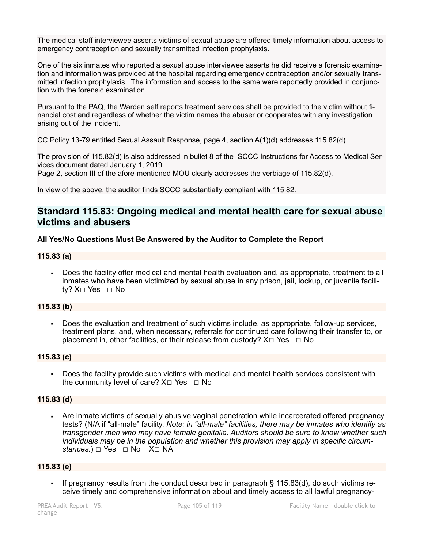The medical staff interviewee asserts victims of sexual abuse are offered timely information about access to emergency contraception and sexually transmitted infection prophylaxis.

One of the six inmates who reported a sexual abuse interviewee asserts he did receive a forensic examination and information was provided at the hospital regarding emergency contraception and/or sexually transmitted infection prophylaxis. The information and access to the same were reportedly provided in conjunction with the forensic examination.

Pursuant to the PAQ, the Warden self reports treatment services shall be provided to the victim without financial cost and regardless of whether the victim names the abuser or cooperates with any investigation arising out of the incident.

CC Policy 13-79 entitled Sexual Assault Response, page 4, section A(1)(d) addresses 115.82(d).

The provision of 115.82(d) is also addressed in bullet 8 of the SCCC Instructions for Access to Medical Services document dated January 1, 2019.

Page 2, section III of the afore-mentioned MOU clearly addresses the verbiage of 115.82(d).

In view of the above, the auditor finds SCCC substantially compliant with 115.82.

# **Standard 115.83: Ongoing medical and mental health care for sexual abuse victims and abusers**

# **All Yes/No Questions Must Be Answered by the Auditor to Complete the Report**

### **115.83 (a)**

Does the facility offer medical and mental health evaluation and, as appropriate, treatment to all inmates who have been victimized by sexual abuse in any prison, jail, lockup, or juvenile facility? X□ Yes □ No

# **115.83 (b)**

Does the evaluation and treatment of such victims include, as appropriate, follow-up services, treatment plans, and, when necessary, referrals for continued care following their transfer to, or placement in, other facilities, or their release from custody?  $X \Box Y$ es  $\Box N$ o

### **115.83 (c)**

▪ Does the facility provide such victims with medical and mental health services consistent with the community level of care?  $X \square Y$ es  $\square$  No

# **115.83 (d)**

Are inmate victims of sexually abusive vaginal penetration while incarcerated offered pregnancy tests? (N/A if "all-male" facility. *Note: in "all-male" facilities, there may be inmates who identify as transgender men who may have female genitalia. Auditors should be sure to know whether such individuals may be in the population and whether this provision may apply in specific circumstances.*) □ Yes □ No X□ NA

# **115.83 (e)**

▪ If pregnancy results from the conduct described in paragraph § 115.83(d), do such victims receive timely and comprehensive information about and timely access to all lawful pregnancy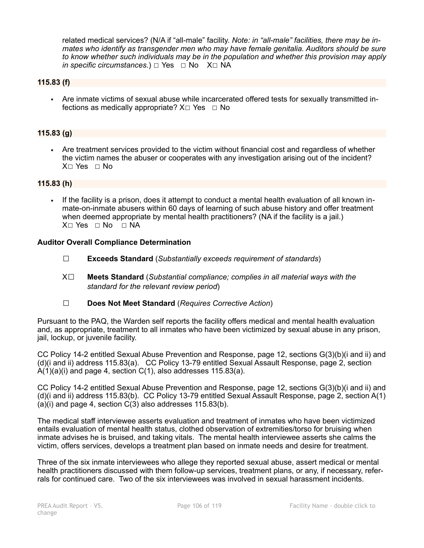related medical services? (N/A if "all-male" facility. *Note: in "all-male" facilities, there may be inmates who identify as transgender men who may have female genitalia. Auditors should be sure to know whether such individuals may be in the population and whether this provision may apply in specific circumstances.*)  $\Box$  Yes  $\Box$  No X $\Box$  NA

### **115.83 (f)**

▪ Are inmate victims of sexual abuse while incarcerated offered tests for sexually transmitted infections as medically appropriate?  $X \Box Y$ es  $\Box$  No

### **115.83 (g)**

▪ Are treatment services provided to the victim without financial cost and regardless of whether the victim names the abuser or cooperates with any investigation arising out of the incident? X☐ Yes ☐ No

### **115.83 (h)**

▪ If the facility is a prison, does it attempt to conduct a mental health evaluation of all known inmate-on-inmate abusers within 60 days of learning of such abuse history and offer treatment when deemed appropriate by mental health practitioners? (NA if the facility is a jail.) X□ Yes □ No □ NA

### **Auditor Overall Compliance Determination**

- ☐ **Exceeds Standard** (*Substantially exceeds requirement of standards*)
- X☐ **Meets Standard** (*Substantial compliance; complies in all material ways with the standard for the relevant review period*)
- ☐ **Does Not Meet Standard** (*Requires Corrective Action*)

Pursuant to the PAQ, the Warden self reports the facility offers medical and mental health evaluation and, as appropriate, treatment to all inmates who have been victimized by sexual abuse in any prison, jail, lockup, or juvenile facility.

CC Policy 14-2 entitled Sexual Abuse Prevention and Response, page 12, sections G(3)(b)(i and ii) and (d)(i and ii) address 115.83(a). CC Policy 13-79 entitled Sexual Assault Response, page 2, section  $A(1)(a)(i)$  and page 4, section  $C(1)$ , also addresses 115.83 $(a)$ .

CC Policy 14-2 entitled Sexual Abuse Prevention and Response, page 12, sections G(3)(b)(i and ii) and (d)(i and ii) address 115.83(b). CC Policy 13-79 entitled Sexual Assault Response, page 2, section A(1) (a)(i) and page 4, section C(3) also addresses 115.83(b).

The medical staff interviewee asserts evaluation and treatment of inmates who have been victimized entails evaluation of mental health status, clothed observation of extremities/torso for bruising when inmate advises he is bruised, and taking vitals. The mental health interviewee asserts she calms the victim, offers services, develops a treatment plan based on inmate needs and desire for treatment.

Three of the six inmate interviewees who allege they reported sexual abuse, assert medical or mental health practitioners discussed with them follow-up services, treatment plans, or any, if necessary, referrals for continued care. Two of the six interviewees was involved in sexual harassment incidents.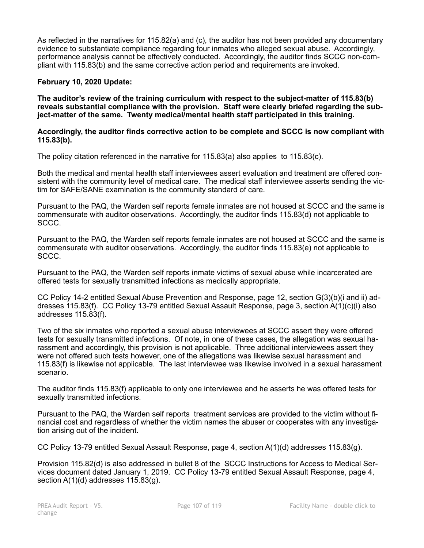As reflected in the narratives for 115.82(a) and (c), the auditor has not been provided any documentary evidence to substantiate compliance regarding four inmates who alleged sexual abuse. Accordingly, performance analysis cannot be effectively conducted. Accordingly, the auditor finds SCCC non-compliant with 115.83(b) and the same corrective action period and requirements are invoked.

# **February 10, 2020 Update:**

**The auditor's review of the training curriculum with respect to the subject-matter of 115.83(b) reveals substantial compliance with the provision. Staff were clearly briefed regarding the subject-matter of the same. Twenty medical/mental health staff participated in this training.** 

### **Accordingly, the auditor finds corrective action to be complete and SCCC is now compliant with 115.83(b).**

The policy citation referenced in the narrative for 115.83(a) also applies to 115.83(c).

Both the medical and mental health staff interviewees assert evaluation and treatment are offered consistent with the community level of medical care. The medical staff interviewee asserts sending the victim for SAFE/SANE examination is the community standard of care.

Pursuant to the PAQ, the Warden self reports female inmates are not housed at SCCC and the same is commensurate with auditor observations. Accordingly, the auditor finds 115.83(d) not applicable to SCCC.

Pursuant to the PAQ, the Warden self reports female inmates are not housed at SCCC and the same is commensurate with auditor observations. Accordingly, the auditor finds 115.83(e) not applicable to SCCC.

Pursuant to the PAQ, the Warden self reports inmate victims of sexual abuse while incarcerated are offered tests for sexually transmitted infections as medically appropriate.

CC Policy 14-2 entitled Sexual Abuse Prevention and Response, page 12, section G(3)(b)(i and ii) addresses 115.83(f). CC Policy 13-79 entitled Sexual Assault Response, page 3, section A(1)(c)(i) also addresses 115.83(f).

Two of the six inmates who reported a sexual abuse interviewees at SCCC assert they were offered tests for sexually transmitted infections. Of note, in one of these cases, the allegation was sexual harassment and accordingly, this provision is not applicable. Three additional interviewees assert they were not offered such tests however, one of the allegations was likewise sexual harassment and 115.83(f) is likewise not applicable. The last interviewee was likewise involved in a sexual harassment scenario.

The auditor finds 115.83(f) applicable to only one interviewee and he asserts he was offered tests for sexually transmitted infections.

Pursuant to the PAQ, the Warden self reports treatment services are provided to the victim without financial cost and regardless of whether the victim names the abuser or cooperates with any investigation arising out of the incident.

CC Policy 13-79 entitled Sexual Assault Response, page 4, section A(1)(d) addresses 115.83(g).

Provision 115.82(d) is also addressed in bullet 8 of the SCCC Instructions for Access to Medical Services document dated January 1, 2019. CC Policy 13-79 entitled Sexual Assault Response, page 4, section A(1)(d) addresses 115.83(g).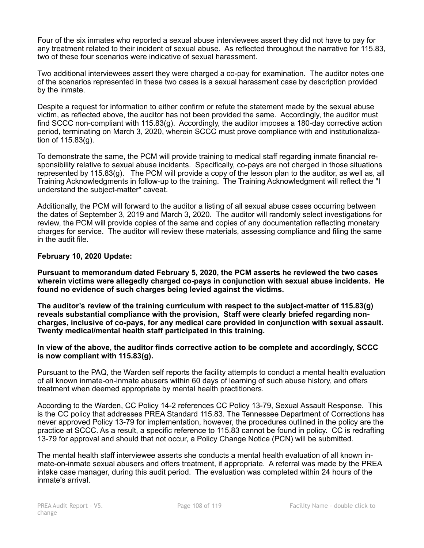Four of the six inmates who reported a sexual abuse interviewees assert they did not have to pay for any treatment related to their incident of sexual abuse. As reflected throughout the narrative for 115.83, two of these four scenarios were indicative of sexual harassment.

Two additional interviewees assert they were charged a co-pay for examination. The auditor notes one of the scenarios represented in these two cases is a sexual harassment case by description provided by the inmate.

Despite a request for information to either confirm or refute the statement made by the sexual abuse victim, as reflected above, the auditor has not been provided the same. Accordingly, the auditor must find SCCC non-compliant with 115.83(g). Accordingly, the auditor imposes a 180-day corrective action period, terminating on March 3, 2020, wherein SCCC must prove compliance with and institutionalization of 115.83(g).

To demonstrate the same, the PCM will provide training to medical staff regarding inmate financial responsibility relative to sexual abuse incidents. Specifically, co-pays are not charged in those situations represented by 115.83(g). The PCM will provide a copy of the lesson plan to the auditor, as well as, all Training Acknowledgments in follow-up to the training. The Training Acknowledgment will reflect the "I understand the subject-matter" caveat.

Additionally, the PCM will forward to the auditor a listing of all sexual abuse cases occurring between the dates of September 3, 2019 and March 3, 2020. The auditor will randomly select investigations for review, the PCM will provide copies of the same and copies of any documentation reflecting monetary charges for service. The auditor will review these materials, assessing compliance and filing the same in the audit file.

### **February 10, 2020 Update:**

**Pursuant to memorandum dated February 5, 2020, the PCM asserts he reviewed the two cases wherein victims were allegedly charged co-pays in conjunction with sexual abuse incidents. He found no evidence of such charges being levied against the victims.** 

**The auditor's review of the training curriculum with respect to the subject-matter of 115.83(g) reveals substantial compliance with the provision, Staff were clearly briefed regarding noncharges, inclusive of co-pays, for any medical care provided in conjunction with sexual assault. Twenty medical/mental health staff participated in this training.** 

### **In view of the above, the auditor finds corrective action to be complete and accordingly, SCCC is now compliant with 115.83(g).**

Pursuant to the PAQ, the Warden self reports the facility attempts to conduct a mental health evaluation of all known inmate-on-inmate abusers within 60 days of learning of such abuse history, and offers treatment when deemed appropriate by mental health practitioners.

According to the Warden, CC Policy 14-2 references CC Policy 13-79, Sexual Assault Response. This is the CC policy that addresses PREA Standard 115.83. The Tennessee Department of Corrections has never approved Policy 13-79 for implementation, however, the procedures outlined in the policy are the practice at SCCC. As a result, a specific reference to 115.83 cannot be found in policy. CC is redrafting 13-79 for approval and should that not occur, a Policy Change Notice (PCN) will be submitted.

The mental health staff interviewee asserts she conducts a mental health evaluation of all known inmate-on-inmate sexual abusers and offers treatment, if appropriate. A referral was made by the PREA intake case manager, during this audit period. The evaluation was completed within 24 hours of the inmate's arrival.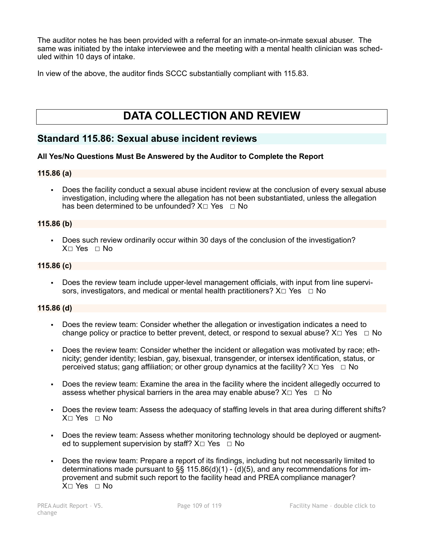The auditor notes he has been provided with a referral for an inmate-on-inmate sexual abuser. The same was initiated by the intake interviewee and the meeting with a mental health clinician was scheduled within 10 days of intake.

In view of the above, the auditor finds SCCC substantially compliant with 115.83.

# **DATA COLLECTION AND REVIEW**

# **Standard 115.86: Sexual abuse incident reviews**

#### **All Yes/No Questions Must Be Answered by the Auditor to Complete the Report**

#### **115.86 (a)**

▪ Does the facility conduct a sexual abuse incident review at the conclusion of every sexual abuse investigation, including where the allegation has not been substantiated, unless the allegation has been determined to be unfounded?  $X \square Y$ es  $\square N$ o

#### **115.86 (b)**

▪ Does such review ordinarily occur within 30 days of the conclusion of the investigation?  $X \cap Yes \cap No$ 

#### **115.86 (c)**

▪ Does the review team include upper-level management officials, with input from line supervisors, investigators, and medical or mental health practitioners?  $X \Box Y$ es  $\Box$  No

#### **115.86 (d)**

- Does the review team: Consider whether the allegation or investigation indicates a need to change policy or practice to better prevent, detect, or respond to sexual abuse?  $X \Box Y$ es  $\Box$  No
- Does the review team: Consider whether the incident or allegation was motivated by race; ethnicity; gender identity; lesbian, gay, bisexual, transgender, or intersex identification, status, or perceived status; gang affiliation; or other group dynamics at the facility?  $X \Box Y$ es  $\Box$  No
- Does the review team: Examine the area in the facility where the incident allegedly occurred to assess whether physical barriers in the area may enable abuse?  $X \Box Y$ es  $\Box \overline{N}$ o
- Does the review team: Assess the adequacy of staffing levels in that area during different shifts? X☐ Yes ☐ No
- Does the review team: Assess whether monitoring technology should be deployed or augmented to supplement supervision by staff?  $X \square$  Yes  $\square$  No
- Does the review team: Prepare a report of its findings, including but not necessarily limited to determinations made pursuant to  $\S$ § 115.86(d)(1) - (d)(5), and any recommendations for improvement and submit such report to the facility head and PREA compliance manager? X☐ Yes ☐ No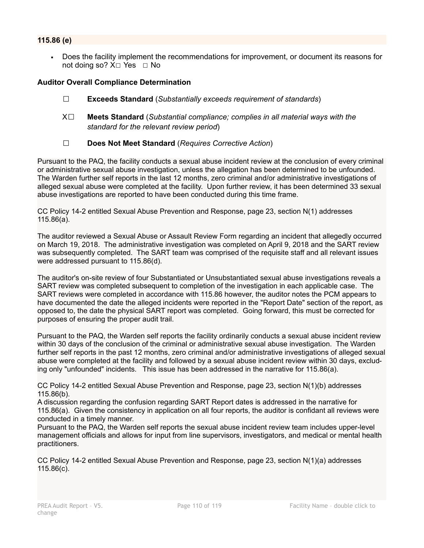# **115.86 (e)**

• Does the facility implement the recommendations for improvement, or document its reasons for not doing so?  $X□$  Yes  $□$  No

#### **Auditor Overall Compliance Determination**

- ☐ **Exceeds Standard** (*Substantially exceeds requirement of standards*)
- X☐ **Meets Standard** (*Substantial compliance; complies in all material ways with the standard for the relevant review period*)
- ☐ **Does Not Meet Standard** (*Requires Corrective Action*)

Pursuant to the PAQ, the facility conducts a sexual abuse incident review at the conclusion of every criminal or administrative sexual abuse investigation, unless the allegation has been determined to be unfounded. The Warden further self reports in the last 12 months, zero criminal and/or administrative investigations of alleged sexual abuse were completed at the facility. Upon further review, it has been determined 33 sexual abuse investigations are reported to have been conducted during this time frame.

CC Policy 14-2 entitled Sexual Abuse Prevention and Response, page 23, section N(1) addresses 115.86(a).

The auditor reviewed a Sexual Abuse or Assault Review Form regarding an incident that allegedly occurred on March 19, 2018. The administrative investigation was completed on April 9, 2018 and the SART review was subsequently completed. The SART team was comprised of the requisite staff and all relevant issues were addressed pursuant to 115.86(d).

The auditor's on-site review of four Substantiated or Unsubstantiated sexual abuse investigations reveals a SART review was completed subsequent to completion of the investigation in each applicable case. The SART reviews were completed in accordance with 115.86 however, the auditor notes the PCM appears to have documented the date the alleged incidents were reported in the "Report Date" section of the report, as opposed to, the date the physical SART report was completed. Going forward, this must be corrected for purposes of ensuring the proper audit trail.

Pursuant to the PAQ, the Warden self reports the facility ordinarily conducts a sexual abuse incident review within 30 days of the conclusion of the criminal or administrative sexual abuse investigation. The Warden further self reports in the past 12 months, zero criminal and/or administrative investigations of alleged sexual abuse were completed at the facility and followed by a sexual abuse incident review within 30 days, excluding only "unfounded" incidents. This issue has been addressed in the narrative for 115.86(a).

CC Policy 14-2 entitled Sexual Abuse Prevention and Response, page 23, section N(1)(b) addresses 115.86(b).

A discussion regarding the confusion regarding SART Report dates is addressed in the narrative for 115.86(a). Given the consistency in application on all four reports, the auditor is confidant all reviews were conducted in a timely manner.

Pursuant to the PAQ, the Warden self reports the sexual abuse incident review team includes upper-level management officials and allows for input from line supervisors, investigators, and medical or mental health practitioners.

CC Policy 14-2 entitled Sexual Abuse Prevention and Response, page 23, section N(1)(a) addresses 115.86(c).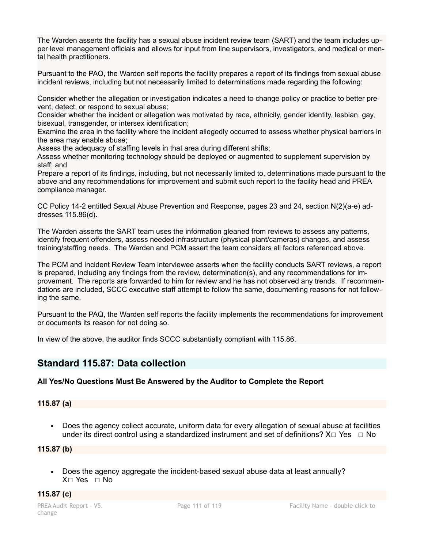The Warden asserts the facility has a sexual abuse incident review team (SART) and the team includes upper level management officials and allows for input from line supervisors, investigators, and medical or mental health practitioners.

Pursuant to the PAQ, the Warden self reports the facility prepares a report of its findings from sexual abuse incident reviews, including but not necessarily limited to determinations made regarding the following:

Consider whether the allegation or investigation indicates a need to change policy or practice to better prevent, detect, or respond to sexual abuse;

Consider whether the incident or allegation was motivated by race, ethnicity, gender identity, lesbian, gay, bisexual, transgender, or intersex identification;

Examine the area in the facility where the incident allegedly occurred to assess whether physical barriers in the area may enable abuse;

Assess the adequacy of staffing levels in that area during different shifts;

Assess whether monitoring technology should be deployed or augmented to supplement supervision by staff; and

Prepare a report of its findings, including, but not necessarily limited to, determinations made pursuant to the above and any recommendations for improvement and submit such report to the facility head and PREA compliance manager.

CC Policy 14-2 entitled Sexual Abuse Prevention and Response, pages 23 and 24, section N(2)(a-e) addresses 115.86(d).

The Warden asserts the SART team uses the information gleaned from reviews to assess any patterns, identify frequent offenders, assess needed infrastructure (physical plant/cameras) changes, and assess training/staffing needs. The Warden and PCM assert the team considers all factors referenced above.

The PCM and Incident Review Team interviewee asserts when the facility conducts SART reviews, a report is prepared, including any findings from the review, determination(s), and any recommendations for improvement. The reports are forwarded to him for review and he has not observed any trends. If recommendations are included, SCCC executive staff attempt to follow the same, documenting reasons for not following the same.

Pursuant to the PAQ, the Warden self reports the facility implements the recommendations for improvement or documents its reason for not doing so.

In view of the above, the auditor finds SCCC substantially compliant with 115.86.

# **Standard 115.87: Data collection**

# **All Yes/No Questions Must Be Answered by the Auditor to Complete the Report**

# **115.87 (a)**

Does the agency collect accurate, uniform data for every allegation of sexual abuse at facilities under its direct control using a standardized instrument and set of definitions?  $X \Box Y$ es  $\Box$  No

**115.87 (b)**

▪ Does the agency aggregate the incident-based sexual abuse data at least annually? X☐ Yes ☐ No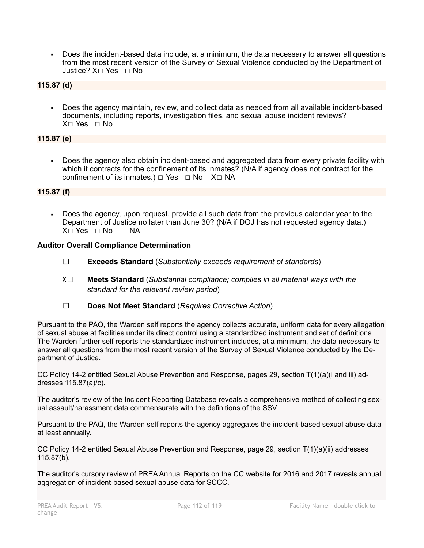▪ Does the incident-based data include, at a minimum, the data necessary to answer all questions from the most recent version of the Survey of Sexual Violence conducted by the Department of Justice? X☐ Yes ☐ No

# **115.87 (d)**

▪ Does the agency maintain, review, and collect data as needed from all available incident-based documents, including reports, investigation files, and sexual abuse incident reviews? X☐ Yes ☐ No

# **115.87 (e)**

Does the agency also obtain incident-based and aggregated data from every private facility with which it contracts for the confinement of its inmates? (N/A if agency does not contract for the confinement of its inmates.)  $□$  Yes  $□$  No  $X□$  NA

# **115.87 (f)**

▪ Does the agency, upon request, provide all such data from the previous calendar year to the Department of Justice no later than June 30? (N/A if DOJ has not requested agency data.)  $X \cap Yes \cap No \cap NA$ 

# **Auditor Overall Compliance Determination**

- ☐ **Exceeds Standard** (*Substantially exceeds requirement of standards*)
- X☐ **Meets Standard** (*Substantial compliance; complies in all material ways with the standard for the relevant review period*)
- ☐ **Does Not Meet Standard** (*Requires Corrective Action*)

Pursuant to the PAQ, the Warden self reports the agency collects accurate, uniform data for every allegation of sexual abuse at facilities under its direct control using a standardized instrument and set of definitions. The Warden further self reports the standardized instrument includes, at a minimum, the data necessary to answer all questions from the most recent version of the Survey of Sexual Violence conducted by the Department of Justice.

CC Policy 14-2 entitled Sexual Abuse Prevention and Response, pages 29, section T(1)(a)(i and iii) addresses 115.87(a)/c).

The auditor's review of the Incident Reporting Database reveals a comprehensive method of collecting sexual assault/harassment data commensurate with the definitions of the SSV.

Pursuant to the PAQ, the Warden self reports the agency aggregates the incident-based sexual abuse data at least annually.

CC Policy 14-2 entitled Sexual Abuse Prevention and Response, page 29, section T(1)(a)(ii) addresses 115.87(b).

The auditor's cursory review of PREA Annual Reports on the CC website for 2016 and 2017 reveals annual aggregation of incident-based sexual abuse data for SCCC.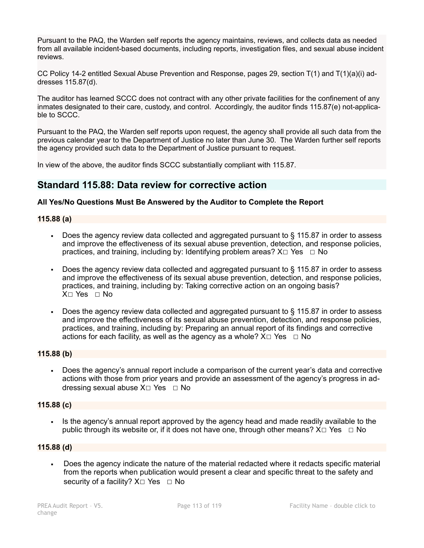Pursuant to the PAQ, the Warden self reports the agency maintains, reviews, and collects data as needed from all available incident-based documents, including reports, investigation files, and sexual abuse incident reviews.

CC Policy 14-2 entitled Sexual Abuse Prevention and Response, pages 29, section  $T(1)$  and  $T(1)(a)(i)$  addresses 115.87(d).

The auditor has learned SCCC does not contract with any other private facilities for the confinement of any inmates designated to their care, custody, and control. Accordingly, the auditor finds 115.87(e) not-applicable to SCCC.

Pursuant to the PAQ, the Warden self reports upon request, the agency shall provide all such data from the previous calendar year to the Department of Justice no later than June 30. The Warden further self reports the agency provided such data to the Department of Justice pursuant to request.

In view of the above, the auditor finds SCCC substantially compliant with 115.87.

# **Standard 115.88: Data review for corrective action**

#### **All Yes/No Questions Must Be Answered by the Auditor to Complete the Report**

#### **115.88 (a)**

- Does the agency review data collected and aggregated pursuant to § 115.87 in order to assess and improve the effectiveness of its sexual abuse prevention, detection, and response policies, practices, and training, including by: Identifying problem areas?  $X \Box Y$ es  $\Box$  No
- Does the agency review data collected and aggregated pursuant to § 115.87 in order to assess and improve the effectiveness of its sexual abuse prevention, detection, and response policies, practices, and training, including by: Taking corrective action on an ongoing basis?  $X \cap Yes \cap No$
- **•** Does the agency review data collected and aggregated pursuant to  $\S$  115.87 in order to assess and improve the effectiveness of its sexual abuse prevention, detection, and response policies, practices, and training, including by: Preparing an annual report of its findings and corrective actions for each facility, as well as the agency as a whole?  $X \Box Y$ es  $\Box$  No

#### **115.88 (b)**

▪ Does the agency's annual report include a comparison of the current year's data and corrective actions with those from prior years and provide an assessment of the agency's progress in addressing sexual abuse  $X \square$  Yes  $\square$  No

# **115.88 (c)**

▪ Is the agency's annual report approved by the agency head and made readily available to the public through its website or, if it does not have one, through other means?  $X \square Y$ es  $\square$  No

#### **115.88 (d)**

Does the agency indicate the nature of the material redacted where it redacts specific material from the reports when publication would present a clear and specific threat to the safety and security of a facility?  $X□$  Yes  $□$  No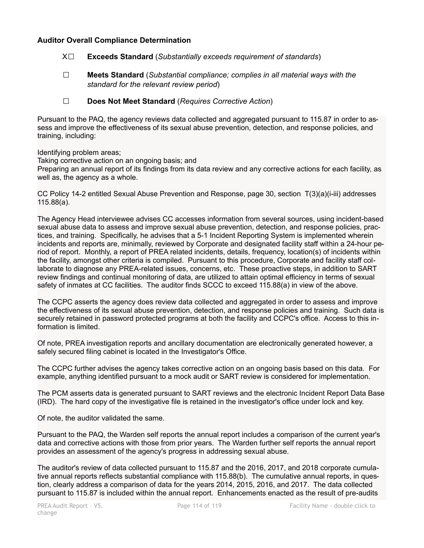### **Auditor Overall Compliance Determination**

- X☐ **Exceeds Standard** (*Substantially exceeds requirement of standards*)
- ☐ **Meets Standard** (*Substantial compliance; complies in all material ways with the standard for the relevant review period*)
- ☐ **Does Not Meet Standard** (*Requires Corrective Action*)

Pursuant to the PAQ, the agency reviews data collected and aggregated pursuant to 115.87 in order to assess and improve the effectiveness of its sexual abuse prevention, detection, and response policies, and training, including:

Identifying problem areas;

Taking corrective action on an ongoing basis; and

Preparing an annual report of its findings from its data review and any corrective actions for each facility, as well as, the agency as a whole.

CC Policy 14-2 entitled Sexual Abuse Prevention and Response, page 30, section T(3)(a)(i-iii) addresses 115.88(a).

The Agency Head interviewee advises CC accesses information from several sources, using incident-based sexual abuse data to assess and improve sexual abuse prevention, detection, and response policies, practices, and training. Specifically, he advises that a 5-1 Incident Reporting System is implemented wherein incidents and reports are, minimally, reviewed by Corporate and designated facility staff within a 24-hour period of report. Monthly, a report of PREA related incidents, details, frequency, location(s) of incidents within the facility, amongst other criteria is compiled. Pursuant to this procedure, Corporate and facility staff collaborate to diagnose any PREA-related issues, concerns, etc. These proactive steps, in addition to SART review findings and continual monitoring of data, are utilized to attain optimal efficiency in terms of sexual safety of inmates at CC facilities. The auditor finds SCCC to exceed 115.88(a) in view of the above.

The CCPC asserts the agency does review data collected and aggregated in order to assess and improve the effectiveness of its sexual abuse prevention, detection, and response policies and training. Such data is securely retained in password protected programs at both the facility and CCPC's office. Access to this information is limited.

Of note, PREA investigation reports and ancillary documentation are electronically generated however, a safely secured filing cabinet is located in the Investigator's Office.

The CCPC further advises the agency takes corrective action on an ongoing basis based on this data. For example, anything identified pursuant to a mock audit or SART review is considered for implementation.

The PCM asserts data is generated pursuant to SART reviews and the electronic Incident Report Data Base (IRD). The hard copy of the investigative file is retained in the investigator's office under lock and key.

Of note, the auditor validated the same.

Pursuant to the PAQ, the Warden self reports the annual report includes a comparison of the current year's data and corrective actions with those from prior years. The Warden further self reports the annual report provides an assessment of the agency's progress in addressing sexual abuse.

The auditor's review of data collected pursuant to 115.87 and the 2016, 2017, and 2018 corporate cumulative annual reports reflects substantial compliance with 115.88(b). The cumulative annual reports, in question, clearly address a comparison of data for the years 2014, 2015, 2016, and 2017. The data collected pursuant to 115.87 is included within the annual report. Enhancements enacted as the result of pre-audits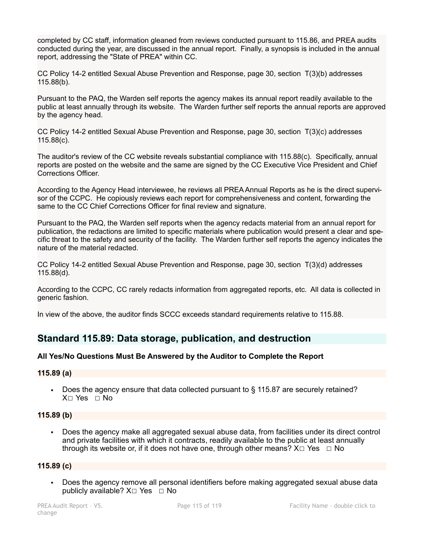completed by CC staff, information gleaned from reviews conducted pursuant to 115.86, and PREA audits conducted during the year, are discussed in the annual report. Finally, a synopsis is included in the annual report, addressing the "State of PREA" within CC.

CC Policy 14-2 entitled Sexual Abuse Prevention and Response, page 30, section T(3)(b) addresses 115.88(b).

Pursuant to the PAQ, the Warden self reports the agency makes its annual report readily available to the public at least annually through its website. The Warden further self reports the annual reports are approved by the agency head.

CC Policy 14-2 entitled Sexual Abuse Prevention and Response, page 30, section T(3)(c) addresses 115.88(c).

The auditor's review of the CC website reveals substantial compliance with 115.88(c). Specifically, annual reports are posted on the website and the same are signed by the CC Executive Vice President and Chief Corrections Officer.

According to the Agency Head interviewee, he reviews all PREA Annual Reports as he is the direct supervisor of the CCPC. He copiously reviews each report for comprehensiveness and content, forwarding the same to the CC Chief Corrections Officer for final review and signature.

Pursuant to the PAQ, the Warden self reports when the agency redacts material from an annual report for publication, the redactions are limited to specific materials where publication would present a clear and specific threat to the safety and security of the facility. The Warden further self reports the agency indicates the nature of the material redacted.

CC Policy 14-2 entitled Sexual Abuse Prevention and Response, page 30, section T(3)(d) addresses 115.88(d).

According to the CCPC, CC rarely redacts information from aggregated reports, etc. All data is collected in generic fashion.

In view of the above, the auditor finds SCCC exceeds standard requirements relative to 115.88.

# **Standard 115.89: Data storage, publication, and destruction**

#### **All Yes/No Questions Must Be Answered by the Auditor to Complete the Report**

#### **115.89 (a)**

▪ Does the agency ensure that data collected pursuant to § 115.87 are securely retained? X☐ Yes ☐ No

#### **115.89 (b)**

▪ Does the agency make all aggregated sexual abuse data, from facilities under its direct control and private facilities with which it contracts, readily available to the public at least annually through its website or, if it does not have one, through other means?  $X \Box Y$ es  $\Box$  No

#### **115.89 (c)**

Does the agency remove all personal identifiers before making aggregated sexual abuse data publicly available?  $X□$  Yes  $□$  No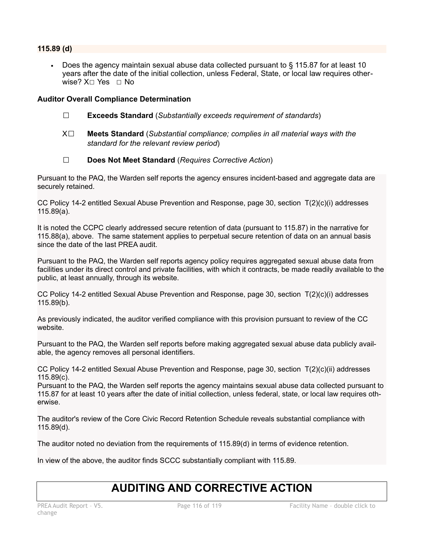# **115.89 (d)**

Does the agency maintain sexual abuse data collected pursuant to  $\S$  115.87 for at least 10 years after the date of the initial collection, unless Federal, State, or local law requires otherwise? X□ Yes □ No

# **Auditor Overall Compliance Determination**

- ☐ **Exceeds Standard** (*Substantially exceeds requirement of standards*)
- X☐ **Meets Standard** (*Substantial compliance; complies in all material ways with the standard for the relevant review period*)
- ☐ **Does Not Meet Standard** (*Requires Corrective Action*)

Pursuant to the PAQ, the Warden self reports the agency ensures incident-based and aggregate data are securely retained.

CC Policy 14-2 entitled Sexual Abuse Prevention and Response, page 30, section T(2)(c)(i) addresses 115.89(a).

It is noted the CCPC clearly addressed secure retention of data (pursuant to 115.87) in the narrative for 115.88(a), above. The same statement applies to perpetual secure retention of data on an annual basis since the date of the last PREA audit.

Pursuant to the PAQ, the Warden self reports agency policy requires aggregated sexual abuse data from facilities under its direct control and private facilities, with which it contracts, be made readily available to the public, at least annually, through its website.

CC Policy 14-2 entitled Sexual Abuse Prevention and Response, page 30, section T(2)(c)(i) addresses 115.89(b).

As previously indicated, the auditor verified compliance with this provision pursuant to review of the CC website.

Pursuant to the PAQ, the Warden self reports before making aggregated sexual abuse data publicly available, the agency removes all personal identifiers.

CC Policy 14-2 entitled Sexual Abuse Prevention and Response, page 30, section T(2)(c)(ii) addresses 115.89(c).

Pursuant to the PAQ, the Warden self reports the agency maintains sexual abuse data collected pursuant to 115.87 for at least 10 years after the date of initial collection, unless federal, state, or local law requires otherwise.

The auditor's review of the Core Civic Record Retention Schedule reveals substantial compliance with 115.89(d).

The auditor noted no deviation from the requirements of 115.89(d) in terms of evidence retention.

In view of the above, the auditor finds SCCC substantially compliant with 115.89.

# **AUDITING AND CORRECTIVE ACTION**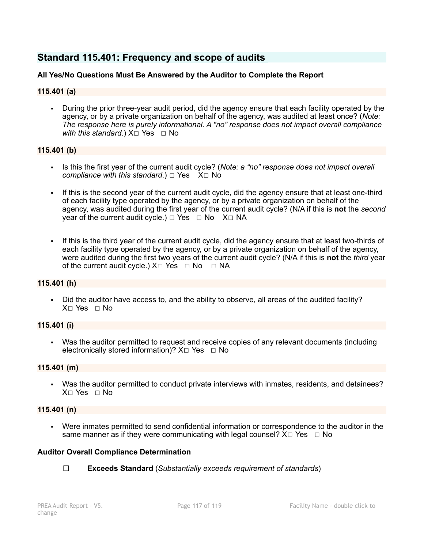# **Standard 115.401: Frequency and scope of audits**

# **All Yes/No Questions Must Be Answered by the Auditor to Complete the Report**

### **115.401 (a)**

During the prior three-year audit period, did the agency ensure that each facility operated by the agency, or by a private organization on behalf of the agency, was audited at least once? (*Note: The response here is purely informational. A "no" response does not impact overall compliance with this standard.*)  $X□$  Yes  $□$  No

#### **115.401 (b)**

- Is this the first year of the current audit cycle? (*Note: a "no" response does not impact overall compliance with this standard.*)  $□$  Yes X $□$  No
- If this is the second year of the current audit cycle, did the agency ensure that at least one-third of each facility type operated by the agency, or by a private organization on behalf of the agency, was audited during the first year of the current audit cycle? (N/A if this is **not** the *second* vear of the current audit cycle.) □ Yes □ No X□ NA
- If this is the third year of the current audit cycle, did the agency ensure that at least two-thirds of each facility type operated by the agency, or by a private organization on behalf of the agency, were audited during the first two years of the current audit cycle? (N/A if this is **not** the *third* year of the current audit cycle.)  $X \Box Y$ es  $\Box$  No  $\Box$  NA

#### **115.401 (h)**

▪ Did the auditor have access to, and the ability to observe, all areas of the audited facility? X☐ Yes ☐ No

#### **115.401 (i)**

Was the auditor permitted to request and receive copies of any relevant documents (including electronically stored information)?  $X \Box Y$ es  $\Box$  No

#### **115.401 (m)**

▪ Was the auditor permitted to conduct private interviews with inmates, residents, and detainees? X☐ Yes ☐ No

#### **115.401 (n)**

▪ Were inmates permitted to send confidential information or correspondence to the auditor in the same manner as if they were communicating with legal counsel?  $X \Box Y$ es  $\Box$  No

#### **Auditor Overall Compliance Determination**

☐ **Exceeds Standard** (*Substantially exceeds requirement of standards*)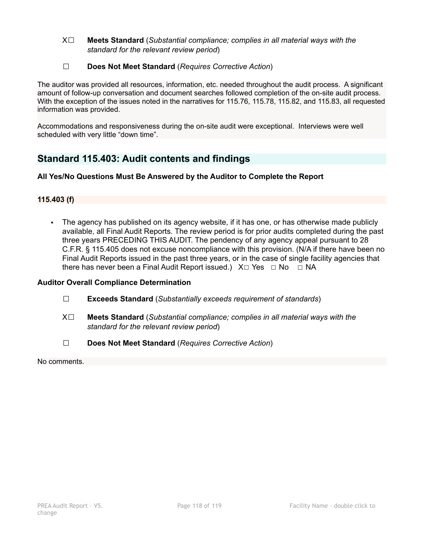- X☐ **Meets Standard** (*Substantial compliance; complies in all material ways with the standard for the relevant review period*)
- ☐ **Does Not Meet Standard** (*Requires Corrective Action*)

The auditor was provided all resources, information, etc. needed throughout the audit process. A significant amount of follow-up conversation and document searches followed completion of the on-site audit process. With the exception of the issues noted in the narratives for 115.76, 115.78, 115.82, and 115.83, all requested information was provided.

Accommodations and responsiveness during the on-site audit were exceptional. Interviews were well scheduled with very little "down time".

# **Standard 115.403: Audit contents and findings**

# **All Yes/No Questions Must Be Answered by the Auditor to Complete the Report**

# **115.403 (f)**

▪ The agency has published on its agency website, if it has one, or has otherwise made publicly available, all Final Audit Reports. The review period is for prior audits completed during the past three years PRECEDING THIS AUDIT. The pendency of any agency appeal pursuant to 28 C.F.R. § 115.405 does not excuse noncompliance with this provision. (N/A if there have been no Final Audit Reports issued in the past three years, or in the case of single facility agencies that there has never been a Final Audit Report issued.)  $X \Box Y$ es  $\Box$  No  $\Box$  NA

# **Auditor Overall Compliance Determination**

- ☐ **Exceeds Standard** (*Substantially exceeds requirement of standards*)
- X☐ **Meets Standard** (*Substantial compliance; complies in all material ways with the standard for the relevant review period*)
- ☐ **Does Not Meet Standard** (*Requires Corrective Action*)

No comments.